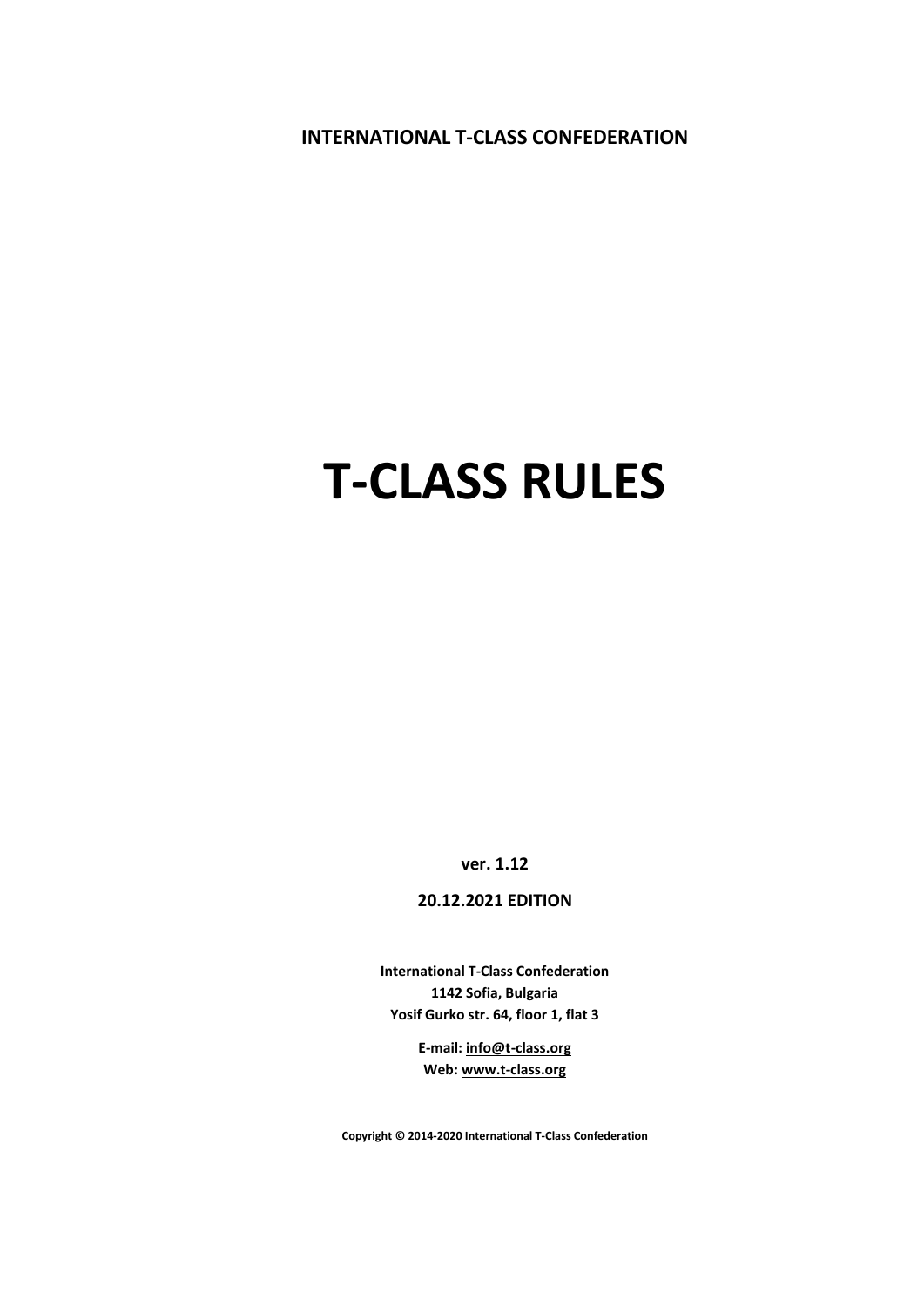**INTERNATIONAL T-CLASS CONFEDERATION**

# **T-CLASS RULES**

**ver. 1.12**

**20.12.2021 EDITION** 

**International T-Class Confederation 1142 Sofia, Bulgaria Yosif Gurko str. 64, floor 1, flat 3**

> **E-mail[: info@t-class.org](mailto:info@t-class.org) Web[: www.t-class.org](http://www.t-class.org/)**

**Copyright © 2014-2020 International T-Class Confederation**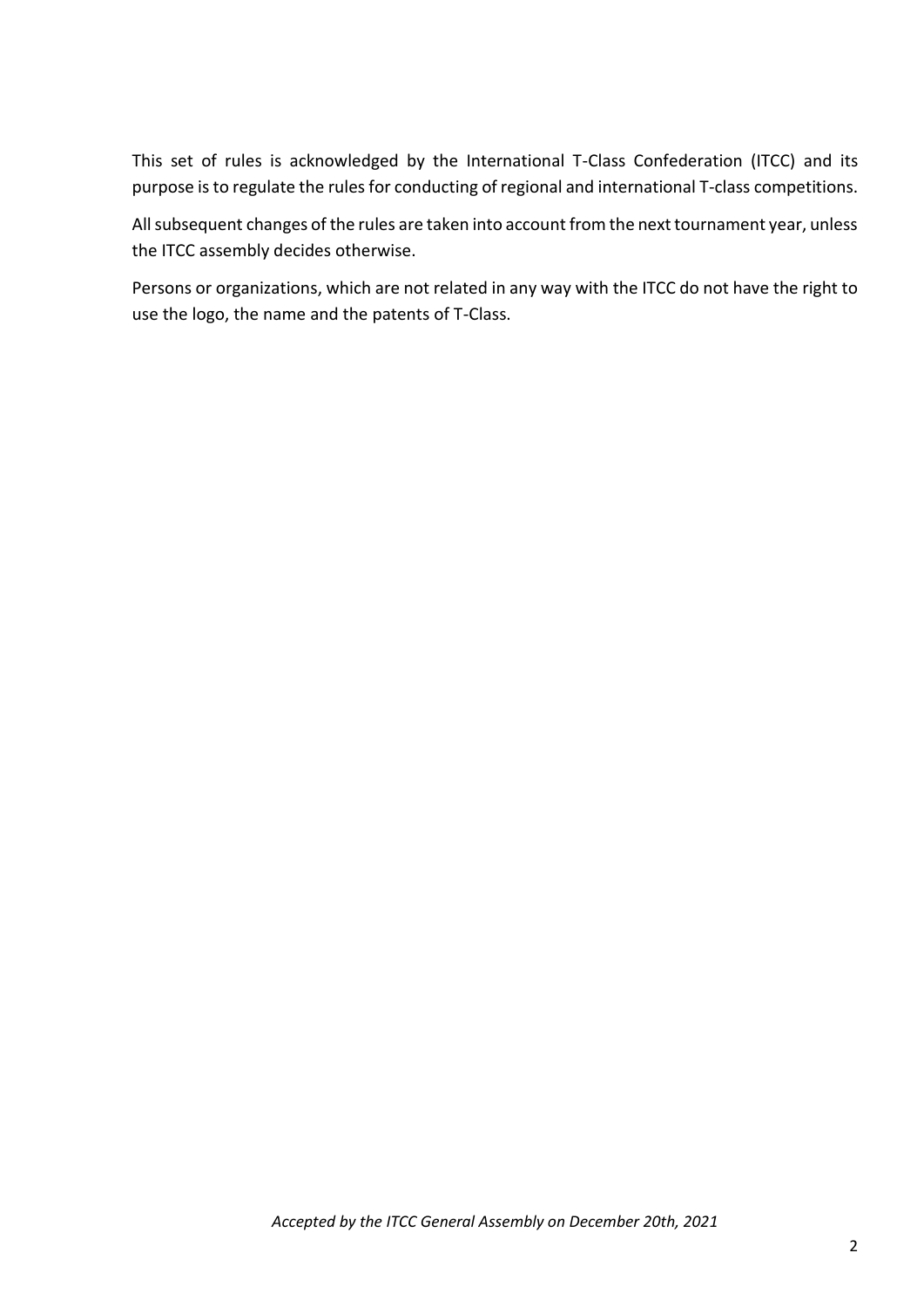This set of rules is acknowledged by the International T-Class Confederation (ITCC) and its purpose is to regulate the rules for conducting of regional and international T-class competitions.

All subsequent changes of the rules are taken into account from the next tournament year, unless the ITCC assembly decides otherwise.

Persons or organizations, which are not related in any way with the ITCC do not have the right to use the logo, the name and the patents of T-Class.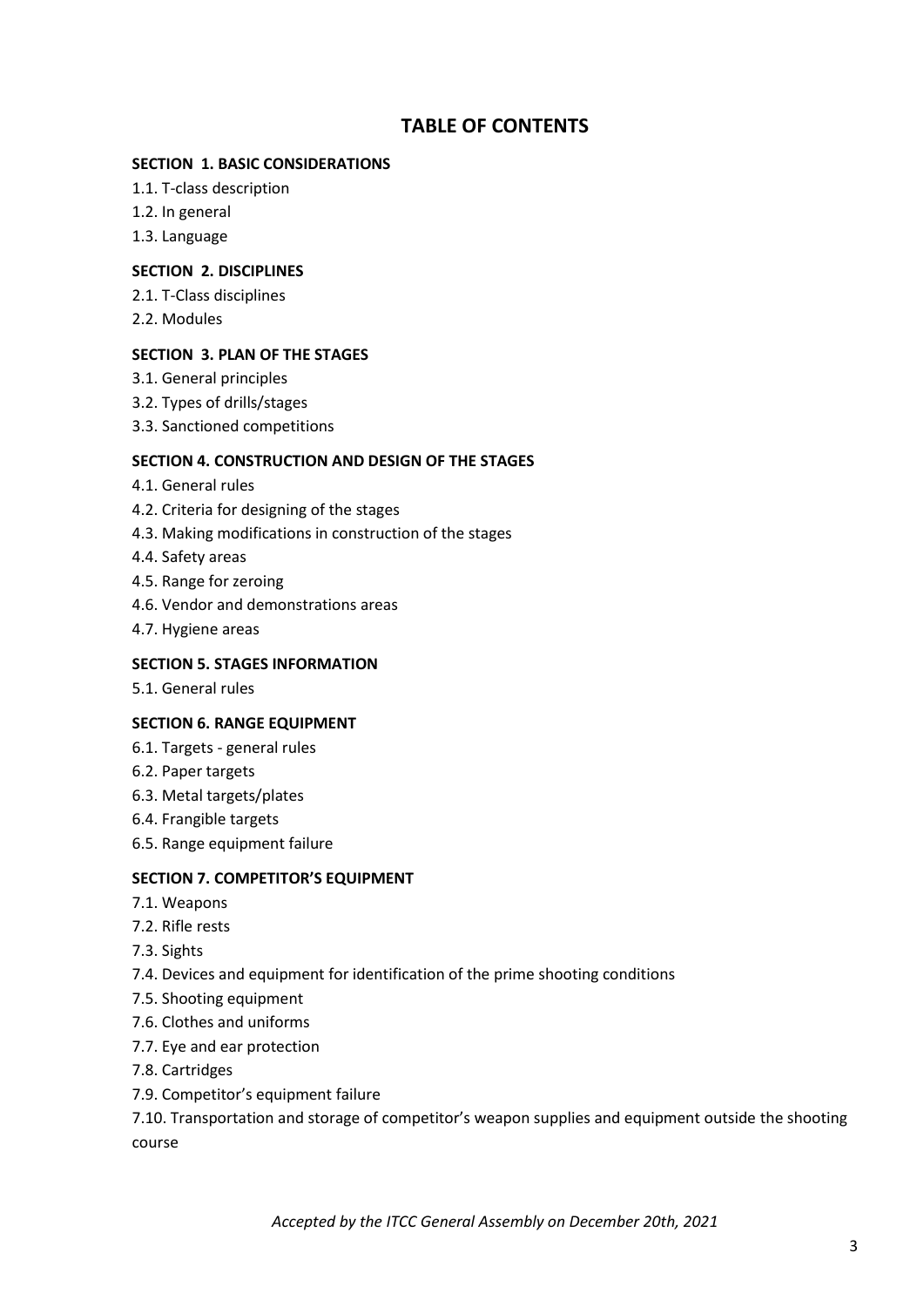# **TABLE OF CONTENTS**

#### **SECTION 1. BASIC CONSIDERATIONS**

- 1.1. T-class description
- 1.2. In general
- 1.3. Language

#### **SECTION 2. DISCIPLINES**

- 2.1. T-Class disciplines
- 2.2. Modules

#### **SECTION 3. PLAN OF THE STAGES**

- 3.1. General principles
- 3.2. Types of drills/stages
- 3.3. Sanctioned competitions

#### **SECTION 4. CONSTRUCTION AND DESIGN OF THE STAGES**

- 4.1. General rules
- 4.2. Criteria for designing of the stages
- 4.3. Making modifications in construction of the stages
- 4.4. Safety areas
- 4.5. Range for zeroing
- 4.6. Vendor and demonstrations areas
- 4.7. Hygiene areas

#### **SECTION 5. STAGES INFORMATION**

5.1. General rules

#### **SECTION 6. RANGE EQUIPMENT**

- 6.1. Targets general rules
- 6.2. Paper targets
- 6.3. Metal targets/plates
- 6.4. Frangible targets
- 6.5. Range equipment failure

#### **SECTION 7. COMPETITOR'S EQUIPMENT**

- 7.1. Weapons
- 7.2. Rifle rests
- 7.3. Sights
- 7.4. Devices and equipment for identification of the prime shooting conditions
- 7.5. Shooting equipment
- 7.6. Clothes and uniforms
- 7.7. Eye and ear protection
- 7.8. Cartridges
- 7.9. Competitor's equipment failure

7.10. Transportation and storage of competitor's weapon supplies and equipment outside the shooting course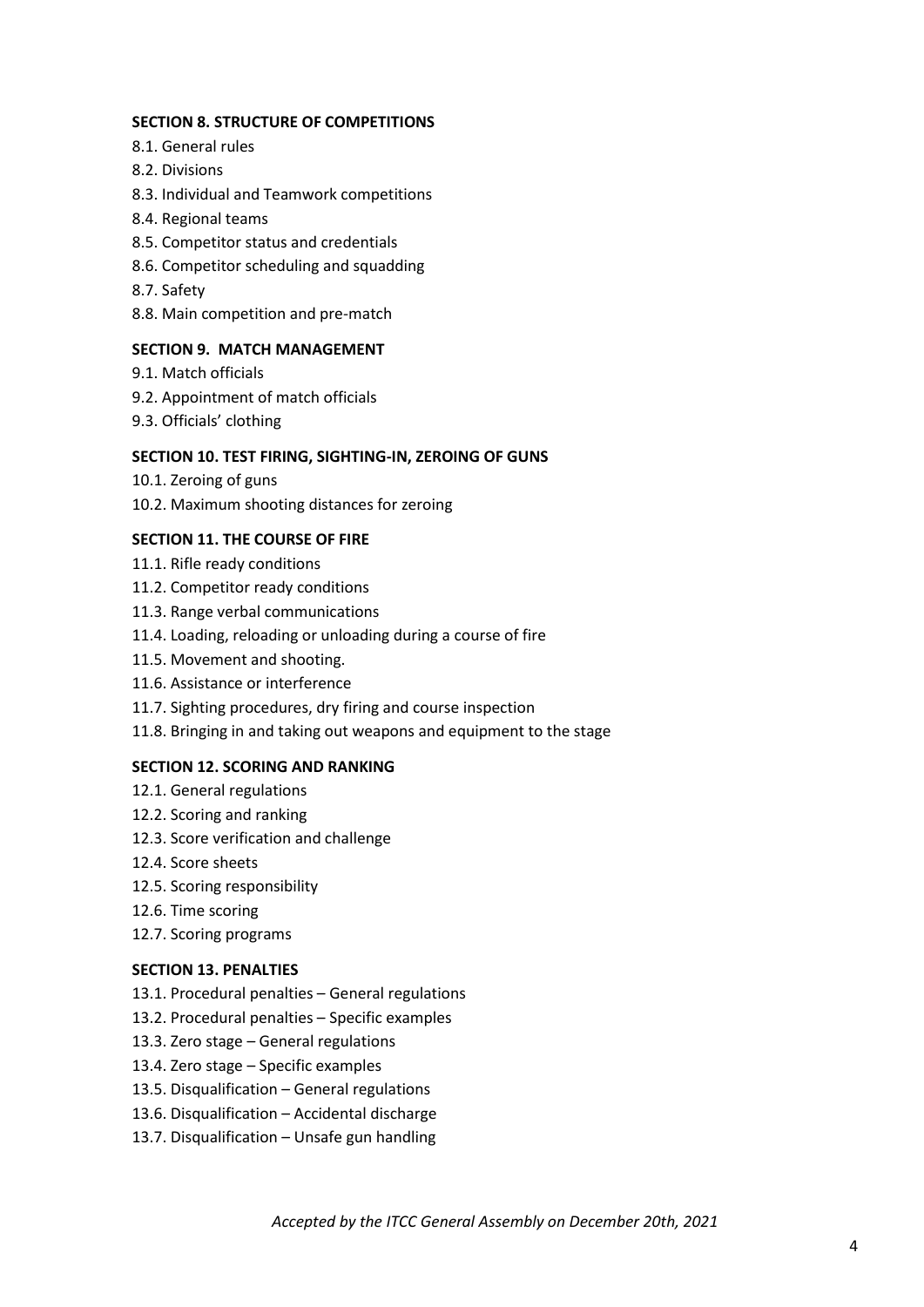#### **SECTION 8. STRUCTURE OF COMPETITIONS**

- 8.1. General rules
- 8.2. Divisions
- 8.3. Individual and Teamwork competitions
- 8.4. Regional teams
- 8.5. Competitor status and credentials
- 8.6. Competitor scheduling and squadding
- 8.7. Safety
- 8.8. Main competition and pre-match

#### **SECTION 9. MATCH MANAGEMENT**

- 9.1. Match officials
- 9.2. Appointment of match officials
- 9.3. Officials' clothing

#### **SECTION 10. TEST FIRING, SIGHTING-IN, ZEROING OF GUNS**

- 10.1. Zeroing of guns
- 10.2. Maximum shooting distances for zeroing

#### **SECTION 11. THE COURSE OF FIRE**

- 11.1. Rifle ready conditions
- 11.2. Competitor ready conditions
- 11.3. Range verbal communications
- 11.4. Loading, reloading or unloading during a course of fire
- 11.5. Movement and shooting.
- 11.6. Assistance or interference
- 11.7. Sighting procedures, dry firing and course inspection
- 11.8. Bringing in and taking out weapons and equipment to the stage

#### **SECTION 12. SCORING AND RANKING**

- 12.1. General regulations
- 12.2. Scoring and ranking
- 12.3. Score verification and challenge
- 12.4. Score sheets
- 12.5. Scoring responsibility
- 12.6. Time scoring
- 12.7. Scoring programs

#### **SECTION 13. PENALTIES**

- 13.1. Procedural penalties General regulations
- 13.2. Procedural penalties Specific examples
- 13.3. Zero stage General regulations
- 13.4. Zero stage Specific examples
- 13.5. Disqualification General regulations
- 13.6. Disqualification Accidental discharge
- 13.7. Disqualification Unsafe gun handling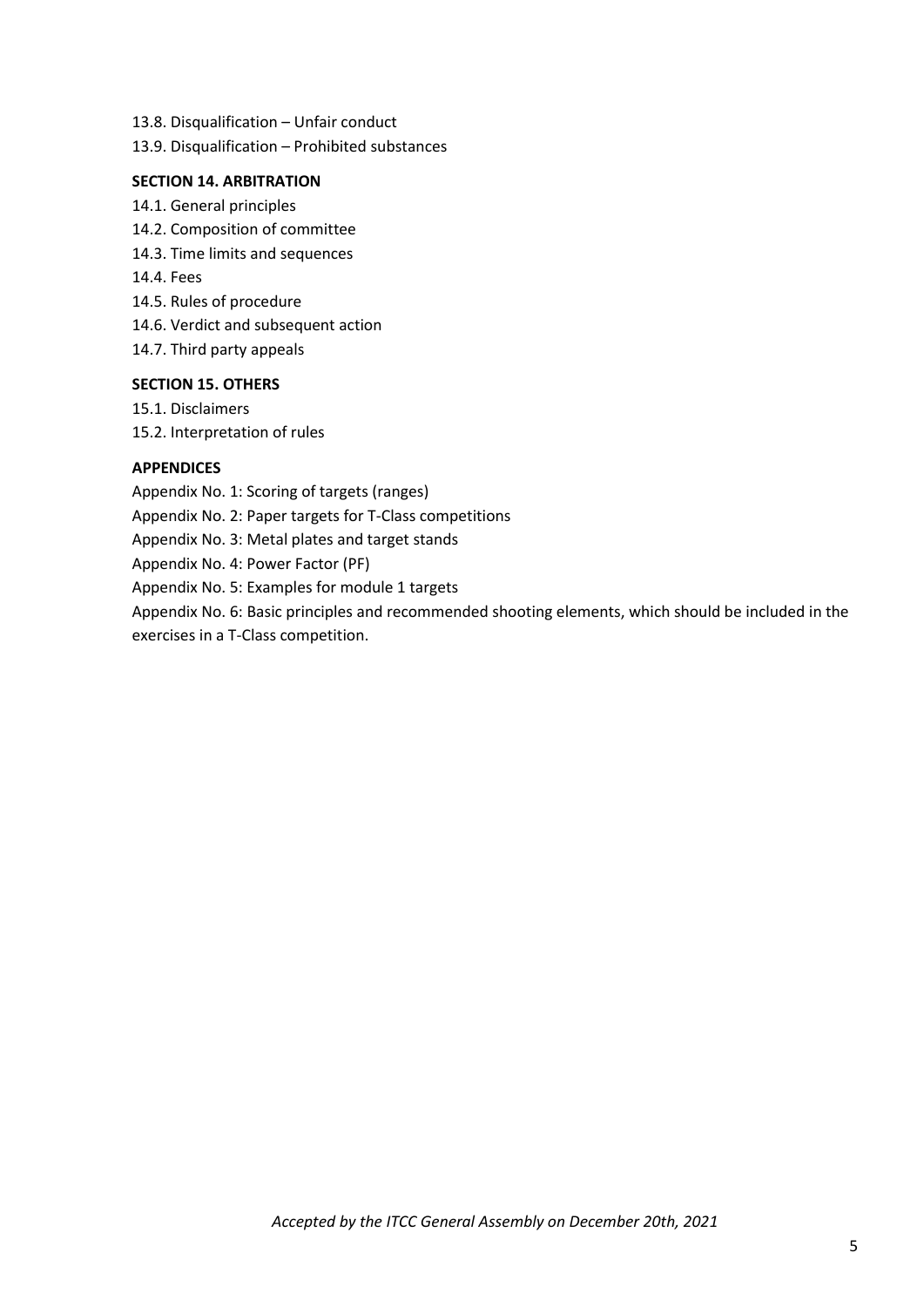- 13.8. Disqualification Unfair conduct
- 13.9. Disqualification Prohibited substances

#### **SECTION 14. ARBITRATION**

- 14.1. General principles
- 14.2. Composition of committee
- 14.3. Time limits and sequences
- 14.4. Fees
- 14.5. Rules of procedure
- 14.6. Verdict and subsequent action
- 14.7. Third party appeals

#### **SECTION 15. OTHERS**

- 15.1. Disclaimers
- 15.2. Interpretation of rules

#### **APPENDICES**

Appendix No. 1: Scoring of targets (ranges)

Appendix No. 2: Paper targets for T-Class competitions

Appendix No. 3: Metal plates and target stands

Appendix No. 4: Power Factor (PF)

Appendix No. 5: Examples for module 1 targets

Appendix No. 6: Basic principles and recommended shooting elements, which should be included in the exercises in a T-Class competition.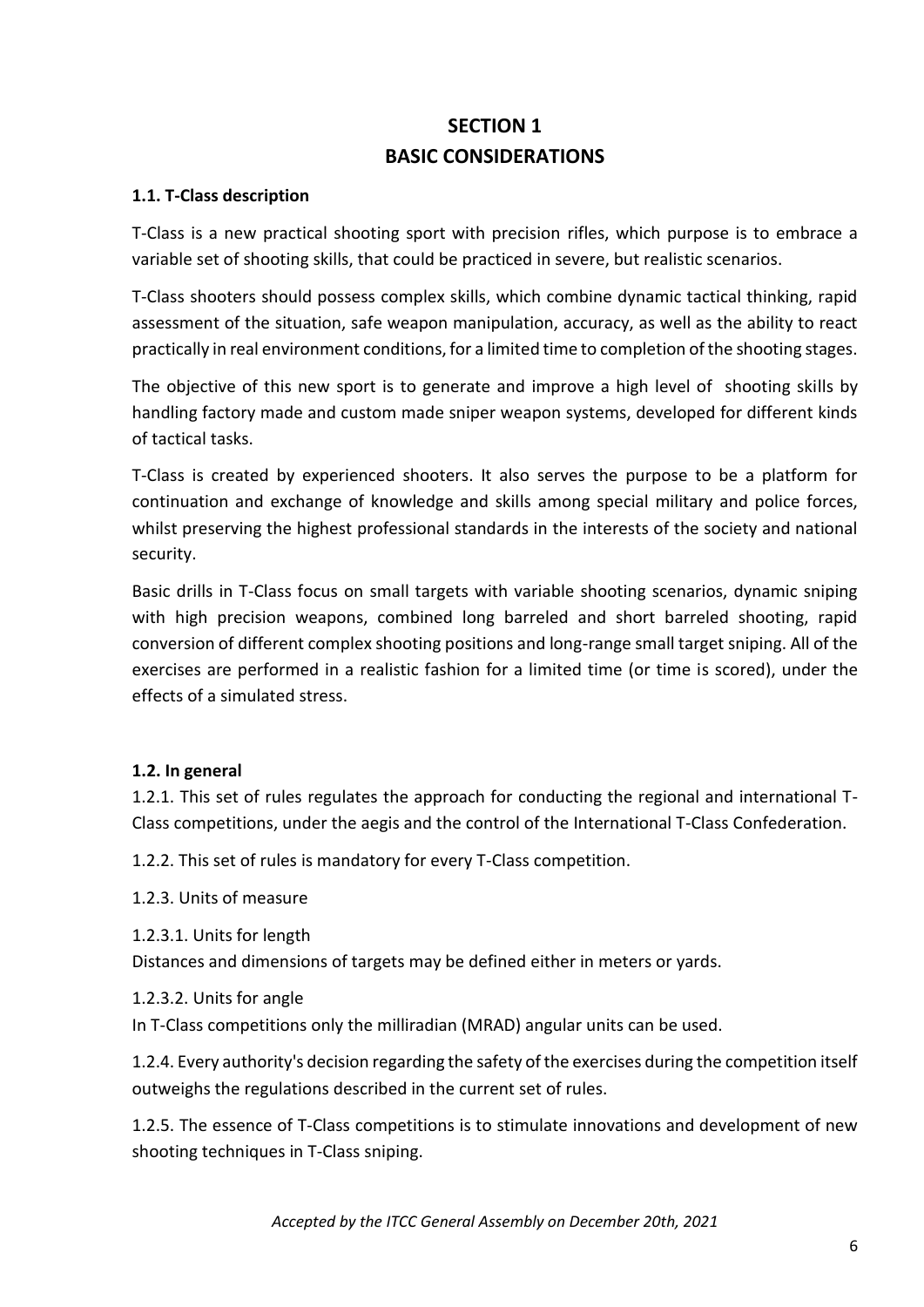# **SECTION 1 BASIC CONSIDERATIONS**

## **1.1. T-Class description**

T-Class is a new practical shooting sport with precision rifles, which purpose is to embrace a variable set of shooting skills, that could be practiced in severe, but realistic scenarios.

T-Class shooters should possess complex skills, which combine dynamic tactical thinking, rapid assessment of the situation, safe weapon manipulation, accuracy, as well as the ability to react practically in real environment conditions, for a limited time to completion of the shooting stages.

The objective of this new sport is to generate and improve a high level of shooting skills by handling factory made and custom made sniper weapon systems, developed for different kinds of tactical tasks.

T-Class is created by experienced shooters. It also serves the purpose to be a platform for continuation and exchange of knowledge and skills among special military and police forces, whilst preserving the highest professional standards in the interests of the society and national security.

Basic drills in T-Class focus on small targets with variable shooting scenarios, dynamic sniping with high precision weapons, combined long barreled and short barreled shooting, rapid conversion of different complex shooting positions and long-range small target sniping. All of the exercises are performed in a realistic fashion for a limited time (or time is scored), under the effects of a simulated stress.

# **1.2. In general**

1.2.1. This set of rules regulates the approach for conducting the regional and international T-Class competitions, under the aegis and the control of the International T-Class Confederation.

1.2.2. This set of rules is mandatory for every T-Class competition.

1.2.3. Units of measure

1.2.3.1. Units for length

Distances and dimensions of targets may be defined either in meters or yards.

1.2.3.2. Units for angle

In T-Class competitions only the milliradian (MRAD) angular units can be used.

1.2.4. Every authority's decision regarding the safety of the exercises during the competition itself outweighs the regulations described in the current set of rules.

1.2.5. The essence of T-Class competitions is to stimulate innovations and development of new shooting techniques in T-Class sniping.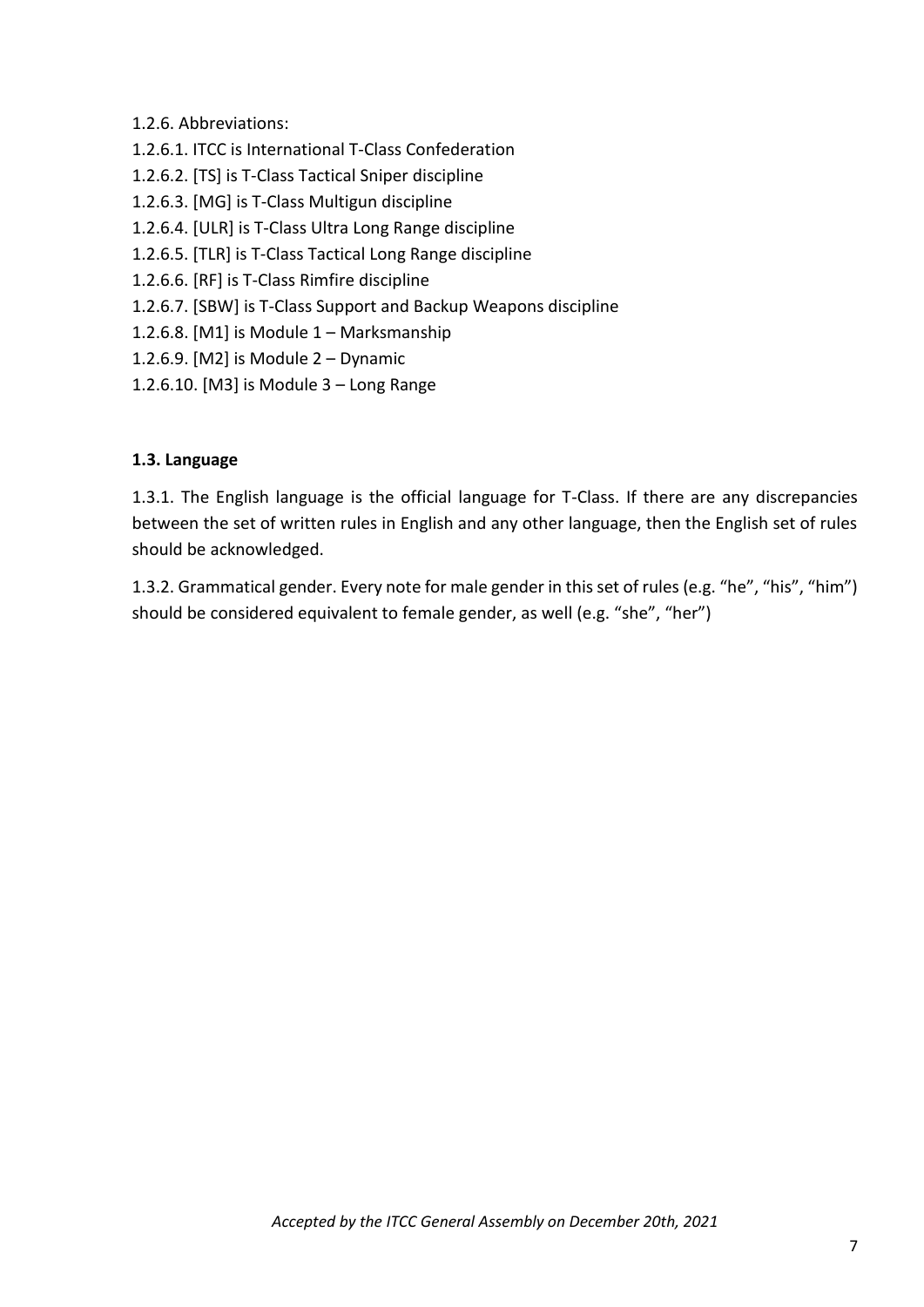- 1.2.6. Abbreviations:
- 1.2.6.1. ITCC is International T-Class Confederation
- 1.2.6.2. [TS] is T-Class Tactical Sniper discipline
- 1.2.6.3. [MG] is T-Class Multigun discipline
- 1.2.6.4. [ULR] is T-Class Ultra Long Range discipline
- 1.2.6.5. [ТLR] is T-Class Tactical Long Range discipline
- 1.2.6.6. [RF] is T-Class Rimfire discipline
- 1.2.6.7. [SBW] is T-Class Support and Backup Weapons discipline
- 1.2.6.8. [M1] is Module 1 Marksmanship
- 1.2.6.9. [M2] is Module 2 Dynamic
- 1.2.6.10. [M3] is Module 3 Long Range

#### **1.3. Language**

1.3.1. The English language is the official language for T-Class. If there are any discrepancies between the set of written rules in English and any other language, then the English set of rules should be acknowledged.

1.3.2. Grammatical gender. Every note for male gender in this set of rules (e.g. "he", "his", "him") should be considered equivalent to female gender, as well (e.g. "she", "her")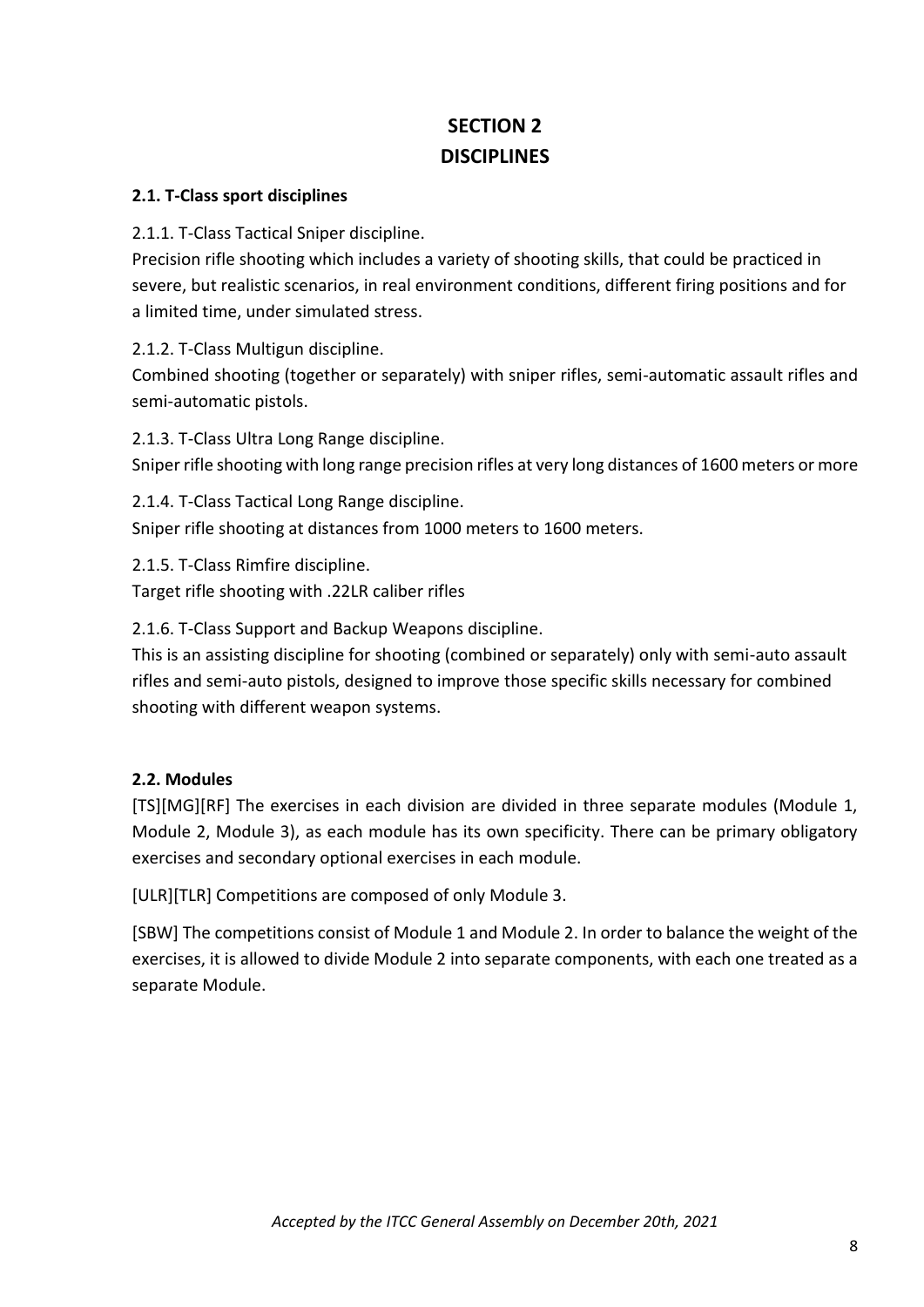# **SECTION 2 DISCIPLINES**

# **2.1. T-Class sport disciplines**

2.1.1. T-Class Tactical Sniper discipline.

Precision rifle shooting which includes a variety of shooting skills, that could be practiced in severe, but realistic scenarios, in real environment conditions, different firing positions and for a limited time, under simulated stress.

2.1.2. T-Class Multigun discipline.

Combined shooting (together or separately) with sniper rifles, semi-automatic assault rifles and semi-automatic pistols.

2.1.3. T-Class Ultra Long Range discipline. Sniper rifle shooting with long range precision rifles at very long distances of 1600 meters or more

2.1.4. T-Class Tactical Long Range discipline. Sniper rifle shooting at distances from 1000 meters to 1600 meters.

2.1.5. T-Class Rimfire discipline. Target rifle shooting with .22LR caliber rifles

2.1.6. T-Class Support and Backup Weapons discipline.

This is an assisting discipline for shooting (combined or separately) only with semi-auto assault rifles and semi-auto pistols, designed to improve those specific skills necessary for combined shooting with different weapon systems.

# **2.2. Modules**

[TS][MG][RF] The exercises in each division are divided in three separate modules (Module 1, Module 2, Module 3), as each module has its own specificity. There can be primary obligatory exercises and secondary optional exercises in each module.

[ULR][TLR] Competitions are composed of only Module 3.

[SBW] The competitions consist of Module 1 and Module 2. In order to balance the weight of the exercises, it is allowed to divide Module 2 into separate components, with each one treated as a separate Module.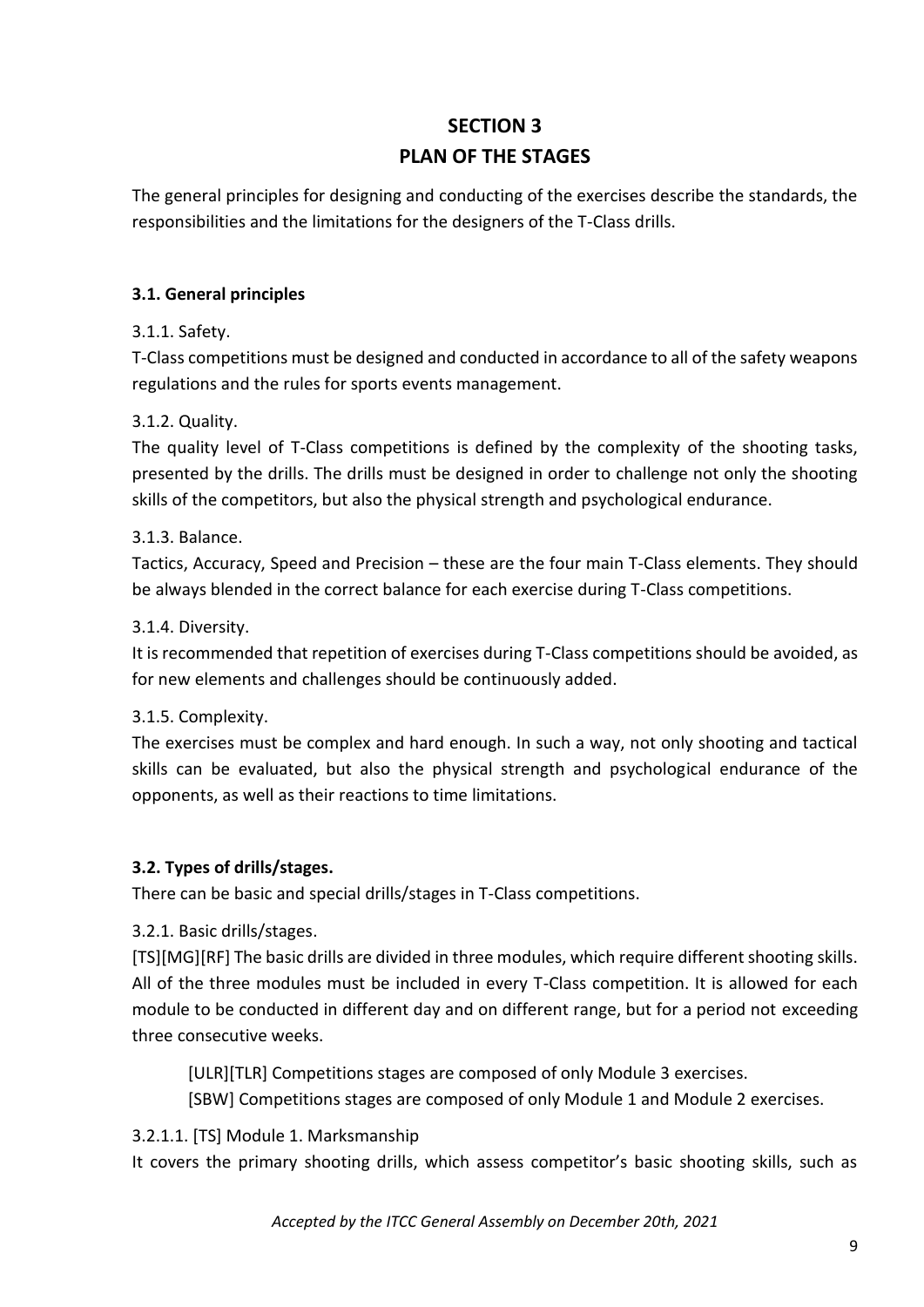# **SECTION 3 PLAN OF THE STAGES**

The general principles for designing and conducting of the exercises describe the standards, the responsibilities and the limitations for the designers of the T-Class drills.

# **3.1. General principles**

# 3.1.1. Safety.

T-Class competitions must be designed and conducted in accordance to all of the safety weapons regulations and the rules for sports events management.

# 3.1.2. Quality.

The quality level of T-Class competitions is defined by the complexity of the shooting tasks, presented by the drills. The drills must be designed in order to challenge not only the shooting skills of the competitors, but also the physical strength and psychological endurance.

# 3.1.3. Balance.

Tactics, Accuracy, Speed and Precision – these are the four main T-Class elements. They should be always blended in the correct balance for each exercise during T-Class competitions.

# 3.1.4. Diversity.

It is recommended that repetition of exercises during T-Class competitions should be avoided, as for new elements and challenges should be continuously added.

# 3.1.5. Complexity.

The exercises must be complex and hard enough. In such a way, not only shooting and tactical skills can be evaluated, but also the physical strength and psychological endurance of the opponents, as well as their reactions to time limitations.

# **3.2. Types of drills/stages.**

There can be basic and special drills/stages in T-Class competitions.

# 3.2.1. Basic drills/stages.

[TS][MG][RF] The basic drills are divided in three modules, which require different shooting skills. All of the three modules must be included in every T-Class competition. It is allowed for each module to be conducted in different day and on different range, but for a period not exceeding three consecutive weeks.

[ULR][TLR] Competitions stages are composed of only Module 3 exercises. [SBW] Competitions stages are composed of only Module 1 and Module 2 exercises.

# 3.2.1.1. [TS] Module 1. Marksmanship

It covers the primary shooting drills, which assess competitor's basic shooting skills, such as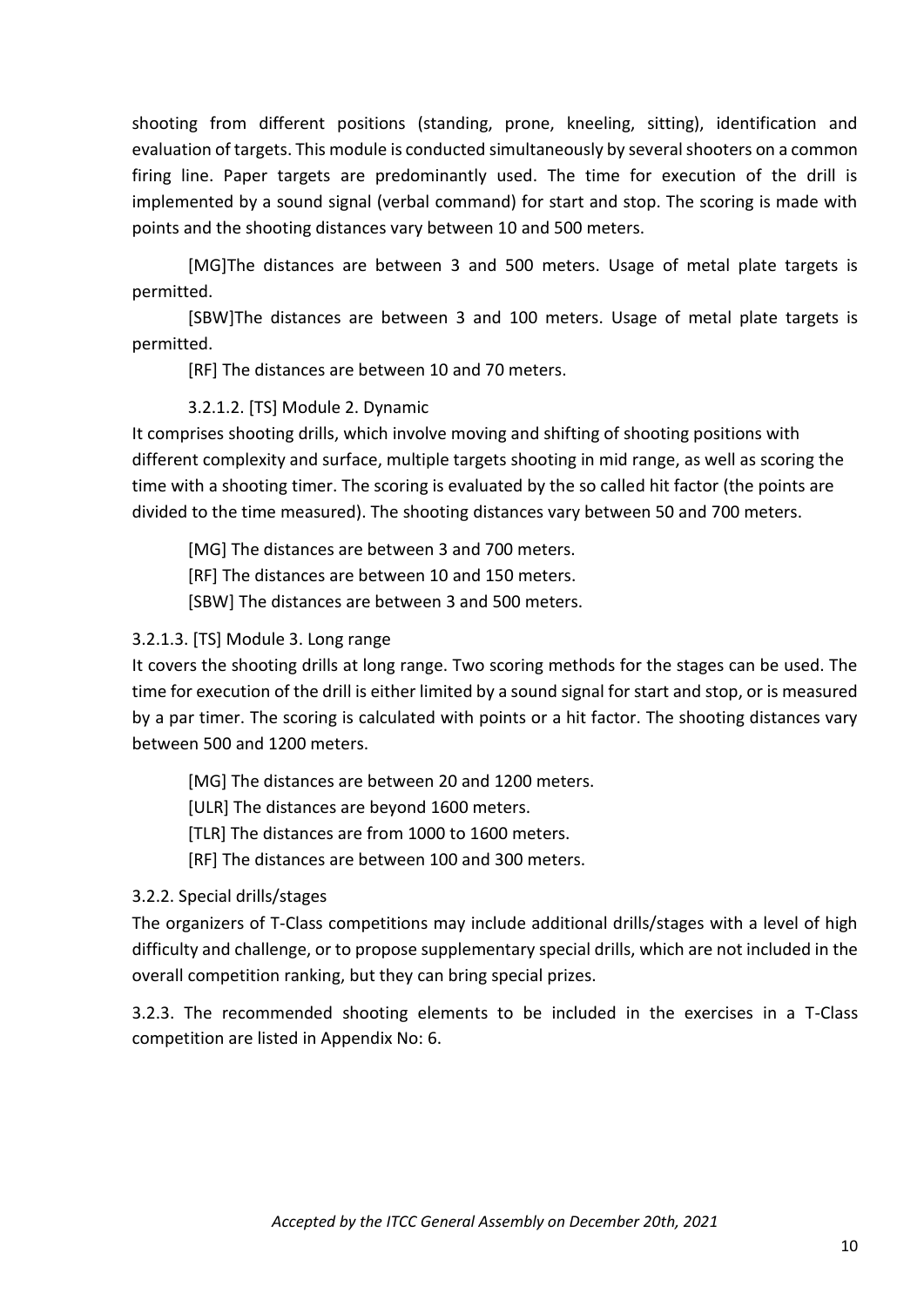shooting from different positions (standing, prone, kneeling, sitting), identification and evaluation of targets. This module is conducted simultaneously by several shooters on a common firing line. Paper targets are predominantly used. The time for execution of the drill is implemented by a sound signal (verbal command) for start and stop. The scoring is made with points and the shooting distances vary between 10 and 500 meters.

[MG]The distances are between 3 and 500 meters. Usage of metal plate targets is permitted.

[SBW]The distances are between 3 and 100 meters. Usage of metal plate targets is permitted.

[RF] The distances are between 10 and 70 meters.

# 3.2.1.2. [TS] Module 2. Dynamic

It comprises shooting drills, which involve moving and shifting of shooting positions with different complexity and surface, multiple targets shooting in mid range, as well as scoring the time with a shooting timer. The scoring is evaluated by the so called hit factor (the points are divided to the time measured). The shooting distances vary between 50 and 700 meters.

[MG] The distances are between 3 and 700 meters. [RF] The distances are between 10 and 150 meters. [SBW] The distances are between 3 and 500 meters.

# 3.2.1.3. [TS] Module 3. Long range

It covers the shooting drills at long range. Two scoring methods for the stages can be used. The time for execution of the drill is either limited by a sound signal for start and stop, or is measured by a par timer. The scoring is calculated with points or a hit factor. The shooting distances vary between 500 and 1200 meters.

[MG] The distances are between 20 and 1200 meters.

[ULR] The distances are beyond 1600 meters.

[TLR] The distances are from 1000 to 1600 meters.

[RF] The distances are between 100 and 300 meters.

3.2.2. Special drills/stages

The organizers of T-Class competitions may include additional drills/stages with a level of high difficulty and challenge, or to propose supplementary special drills, which are not included in the overall competition ranking, but they can bring special prizes.

3.2.3. The recommended shooting elements to be included in the exercises in a T-Class competition are listed in Appendix No: 6.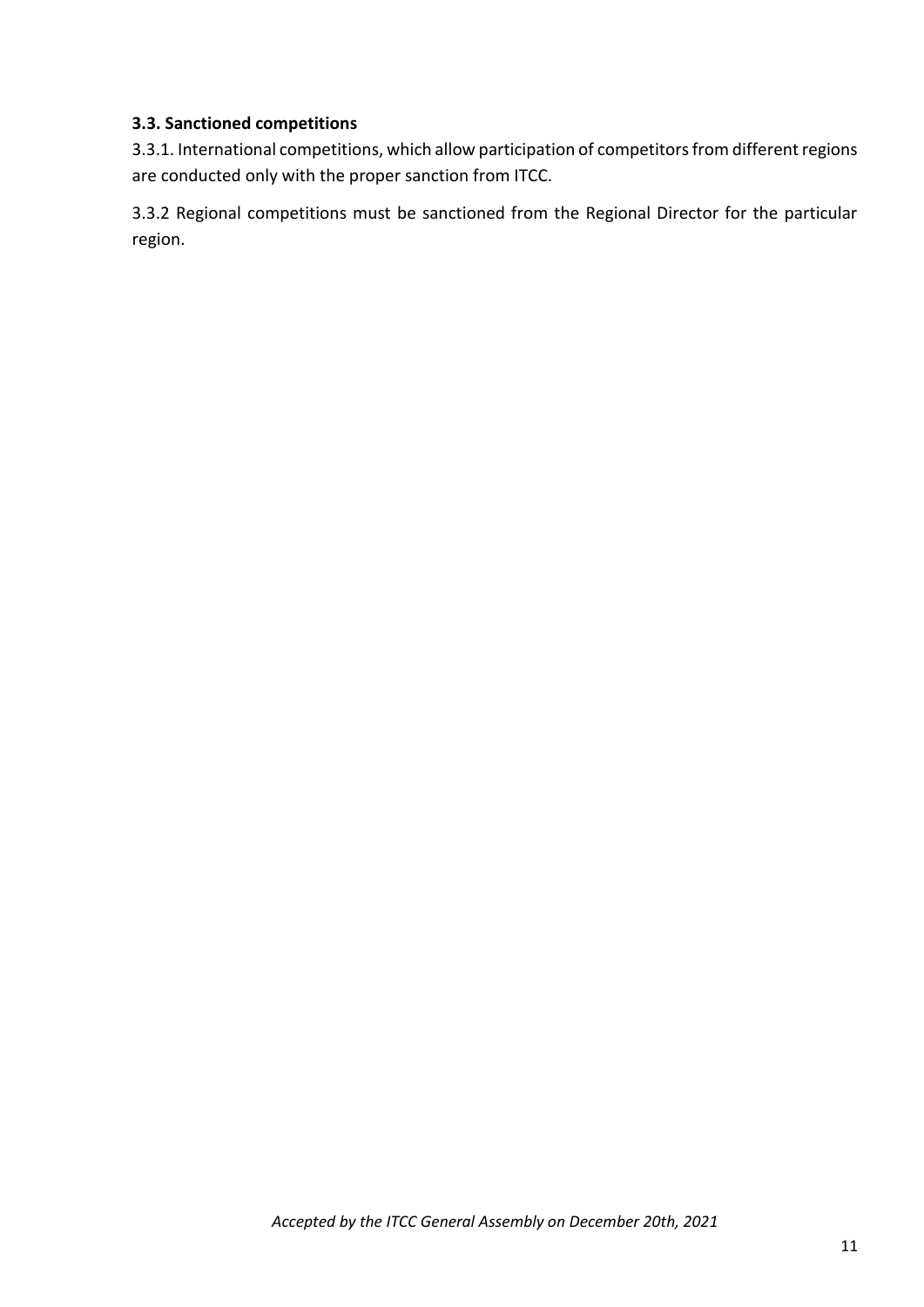#### **3.3. Sanctioned competitions**

3.3.1. International competitions, which allow participation of competitors from different regions are conducted only with the proper sanction from ITCC.

3.3.2 Regional competitions must be sanctioned from the Regional Director for the particular region.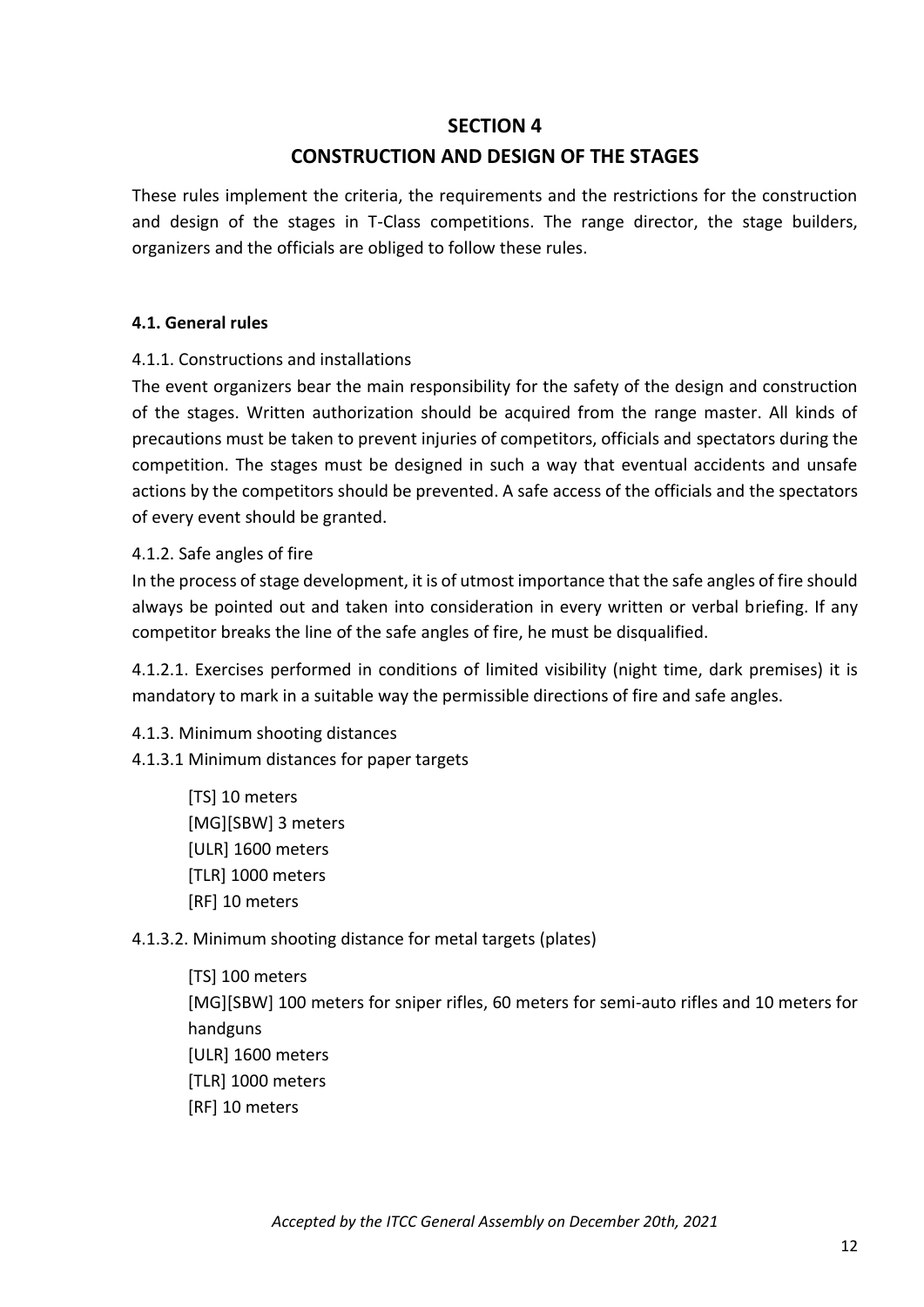# **SECTION 4**

# **CONSTRUCTION AND DESIGN OF THE STAGES**

These rules implement the criteria, the requirements and the restrictions for the construction and design of the stages in T-Class competitions. The range director, the stage builders, organizers and the officials are obliged to follow these rules.

#### **4.1. General rules**

#### 4.1.1. Constructions and installations

The event organizers bear the main responsibility for the safety of the design and construction of the stages. Written authorization should be acquired from the range master. All kinds of precautions must be taken to prevent injuries of competitors, officials and spectators during the competition. The stages must be designed in such a way that eventual accidents and unsafe actions by the competitors should be prevented. A safe access of the officials and the spectators of every event should be granted.

#### 4.1.2. Safe angles of fire

In the process of stage development, it is of utmost importance that the safe angles of fire should always be pointed out and taken into consideration in every written or verbal briefing. If any competitor breaks the line of the safe angles of fire, he must be disqualified.

4.1.2.1. Еxercises performed in conditions of limited visibility (night time, dark premises) it is mandatory to mark in a suitable way the permissible directions of fire and safe angles.

#### 4.1.3. Minimum shooting distances

4.1.3.1 Minimum distances for paper targets

[TS] 10 meters [MG][SBW] 3 meters [ULR] 1600 meters [ТLR] 1000 meters [RF] 10 meters

#### 4.1.3.2. Minimum shooting distance for metal targets (plates)

[TS] 100 meters [MG][SBW] 100 meters for sniper rifles, 60 meters for semi-auto rifles and 10 meters for handguns [ULR] 1600 meters [TLR] 1000 meters [RF] 10 meters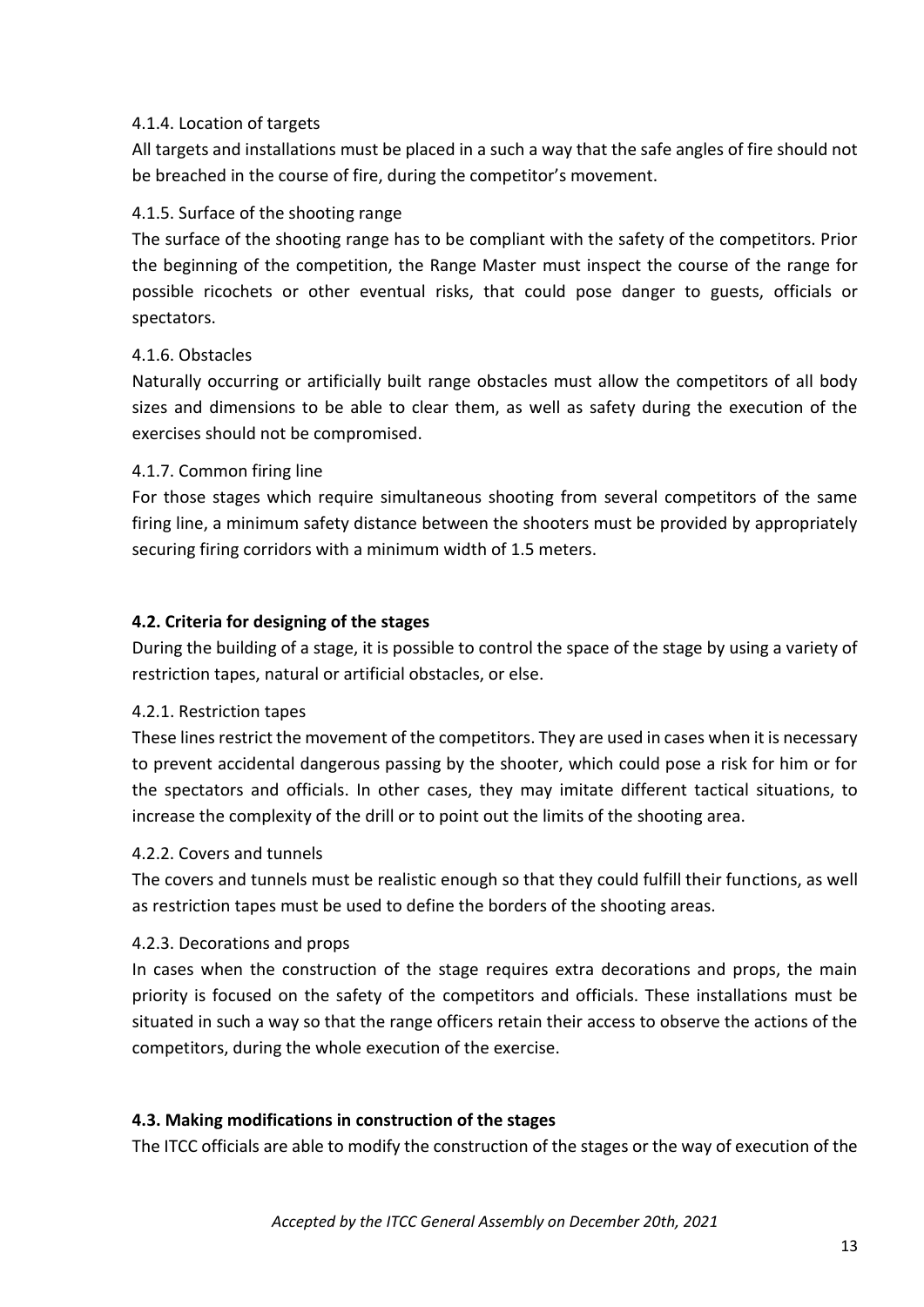#### 4.1.4. Location of targets

All targets and installations must be placed in a such a way that the safe angles of fire should not be breached in the course of fire, during the competitor's movement.

#### 4.1.5. Surface of the shooting range

The surface of the shooting range has to be compliant with the safety of the competitors. Prior the beginning of the competition, the Range Master must inspect the course of the range for possible ricochets or other eventual risks, that could pose danger to guests, officials or spectators.

#### 4.1.6. Obstacles

Naturally occurring or artificially built range obstacles must allow the competitors of all body sizes and dimensions to be able to clear them, as well as safety during the execution of the exercises should not be compromised.

#### 4.1.7. Common firing line

For those stages which require simultaneous shooting from several competitors of the same firing line, a minimum safety distance between the shooters must be provided by appropriately securing firing corridors with a minimum width of 1.5 meters.

#### **4.2. Criteria for designing of the stages**

During the building of a stage, it is possible to control the space of the stage by using a variety of restriction tapes, natural or artificial obstacles, or else.

#### 4.2.1. Restriction tapes

These lines restrict the movement of the competitors. They are used in cases when it is necessary to prevent accidental dangerous passing by the shooter, which could pose a risk for him or for the spectators and officials. In other cases, they may imitate different tactical situations, to increase the complexity of the drill or to point out the limits of the shooting area.

#### 4.2.2. Covers and tunnels

The covers and tunnels must be realistic enough so that they could fulfill their functions, as well as restriction tapes must be used to define the borders of the shooting areas.

#### 4.2.3. Decorations and props

In cases when the construction of the stage requires extra decorations and props, the main priority is focused on the safety of the competitors and officials. These installations must be situated in such a way so that the range officers retain their access to observe the actions of the competitors, during the whole execution of the exercise.

#### **4.3. Making modifications in construction of the stages**

The ITCC officials are able to modify the construction of the stages or the way of execution of the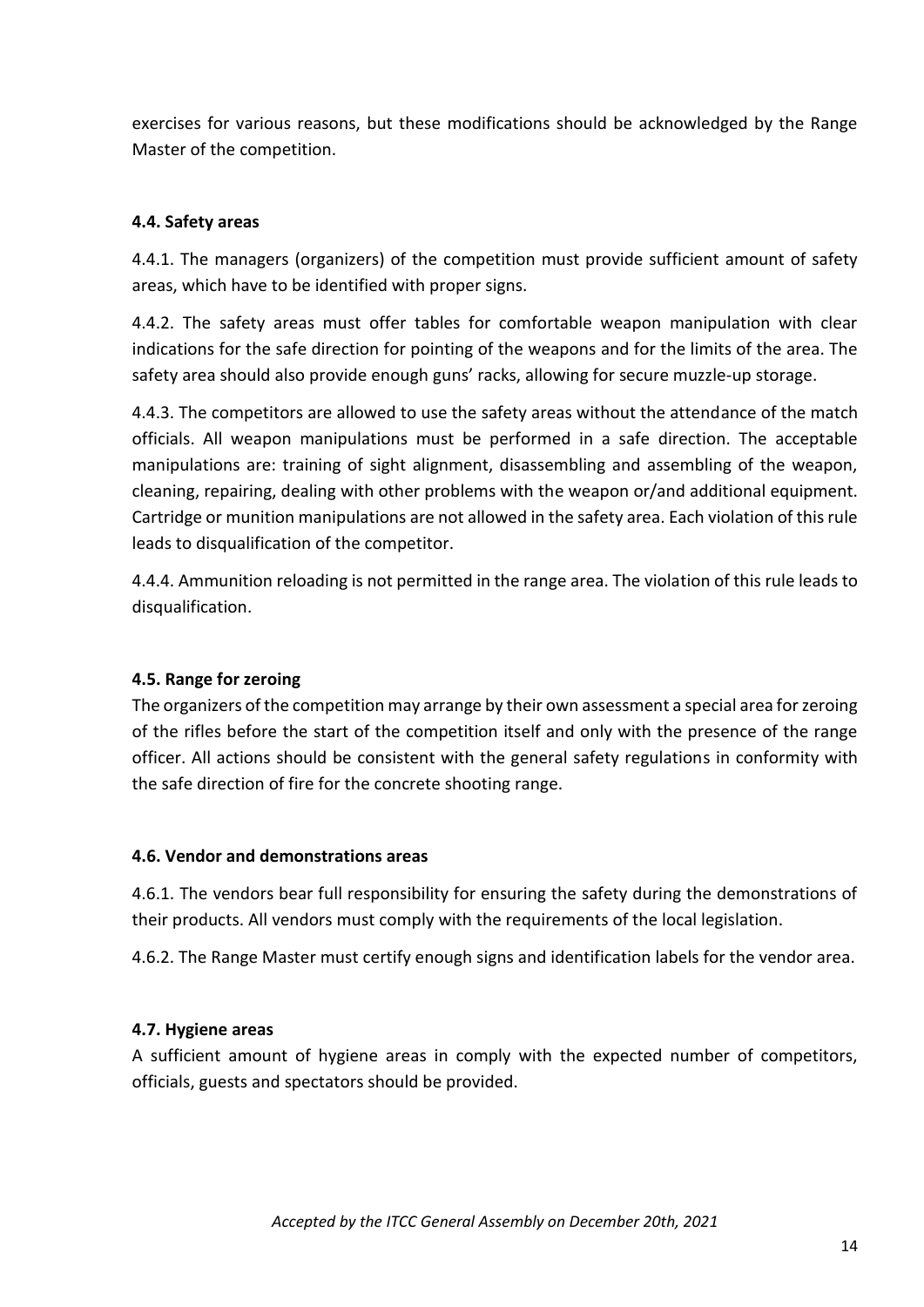exercises for various reasons, but these modifications should be acknowledged by the Range Master of the competition.

## **4.4. Safety areas**

4.4.1. The managers (organizers) of the competition must provide sufficient amount of safety areas, which have to be identified with proper signs.

4.4.2. The safety areas must offer tables for comfortable weapon manipulation with clear indications for the safe direction for pointing of the weapons and for the limits of the area. The safety area should also provide enough guns' racks, allowing for secure muzzle-up storage.

4.4.3. The competitors are allowed to use the safety areas without the attendance of the match officials. All weapon manipulations must be performed in a safe direction. The acceptable manipulations are: training of sight alignment, disassembling and assembling of the weapon, cleaning, repairing, dealing with other problems with the weapon or/and additional equipment. Cartridge or munition manipulations are not allowed in the safety area. Each violation of this rule leads to disqualification of the competitor.

4.4.4. Ammunition reloading is not permitted in the range area. The violation of this rule leads to disqualification.

#### **4.5. Range for zeroing**

The organizers of the competition may arrange by their own assessment a special area for zeroing of the rifles before the start of the competition itself and only with the presence of the range officer. All actions should be consistent with the general safety regulations in conformity with the safe direction of fire for the concrete shooting range.

#### **4.6. Vendor and demonstrations areas**

4.6.1. The vendors bear full responsibility for ensuring the safety during the demonstrations of their products. All vendors must comply with the requirements of the local legislation.

4.6.2. The Range Master must certify enough signs and identification labels for the vendor area.

#### **4.7. Hygiene areas**

A sufficient amount of hygiene areas in comply with the expected number of competitors, officials, guests and spectators should be provided.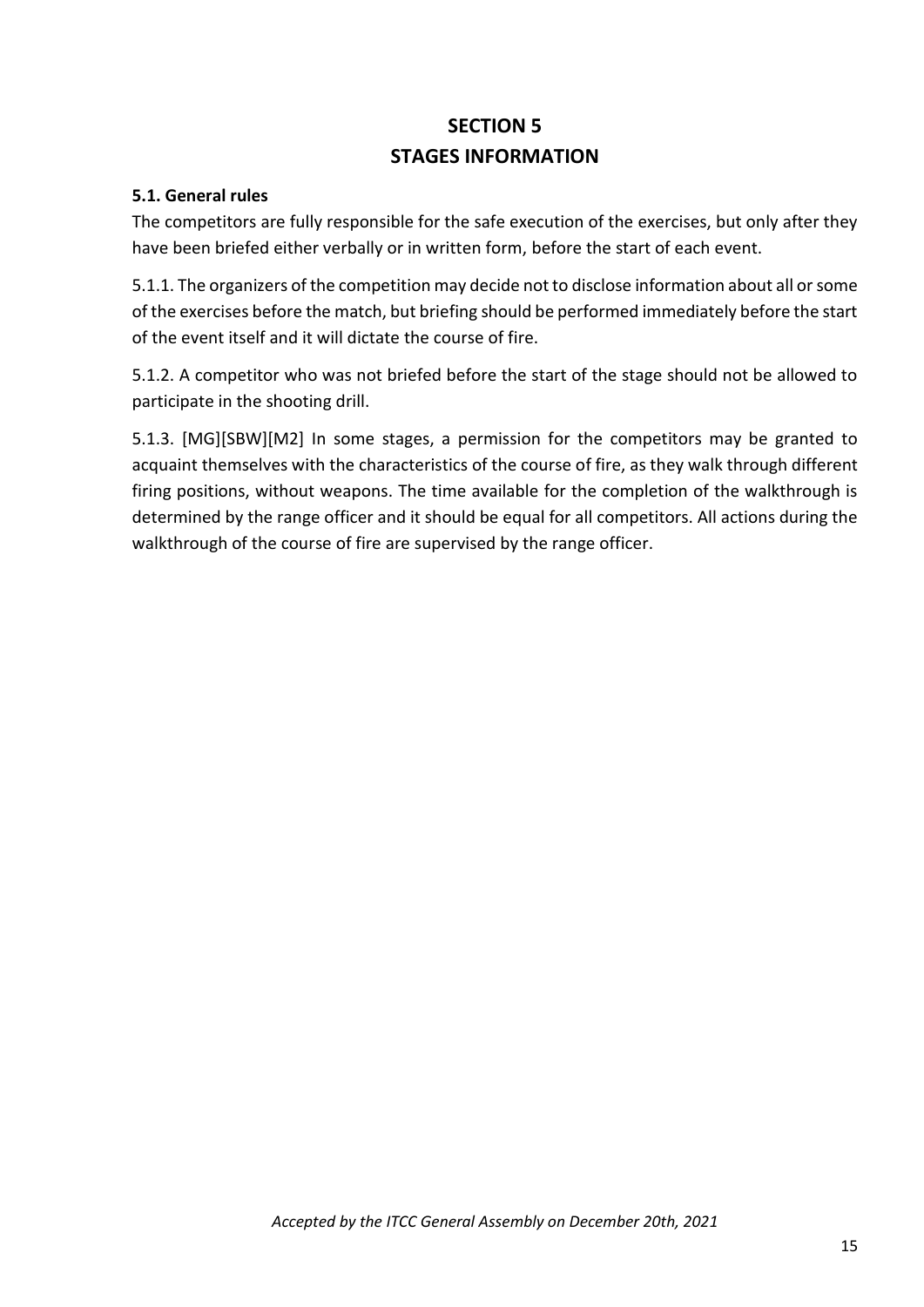# **SECTION 5 STAGES INFORMATION**

#### **5.1. General rules**

The competitors are fully responsible for the safe execution of the exercises, but only after they have been briefed either verbally or in written form, before the start of each event.

5.1.1. The organizers of the competition may decide not to disclose information about all or some of the exercises before the match, but briefing should be performed immediately before the start of the event itself and it will dictate the course of fire.

5.1.2. A competitor who was not briefed before the start of the stage should not be allowed to participate in the shooting drill.

5.1.3. [MG][SBW][M2] In some stages, a permission for the competitors may be granted to acquaint themselves with the characteristics of the course of fire, as they walk through different firing positions, without weapons. The time available for the completion of the walkthrough is determined by the range officer and it should be equal for all competitors. All actions during the walkthrough of the course of fire are supervised by the range officer.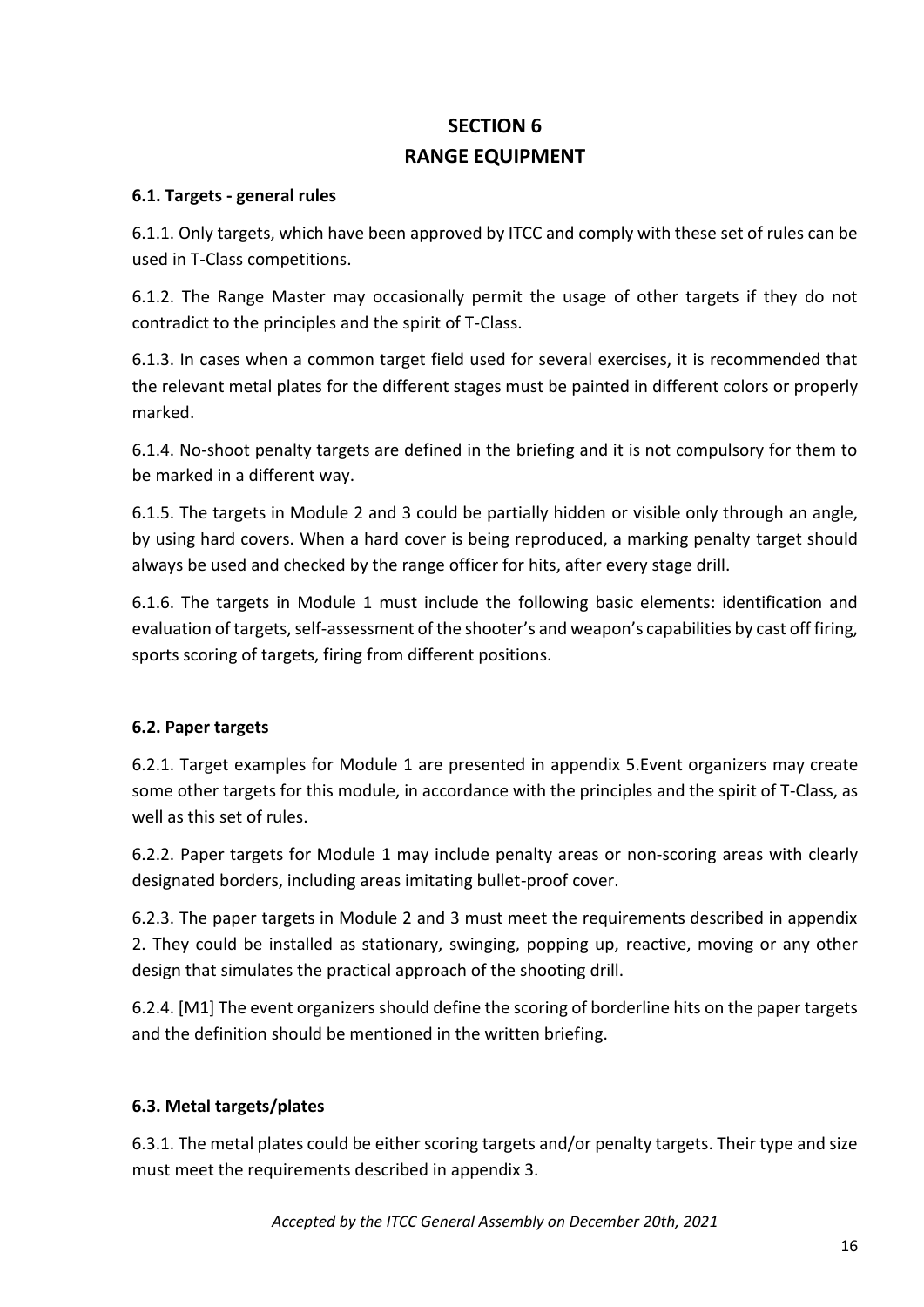# **SECTION 6 RANGE EQUIPMENT**

# **6.1. Targets - general rules**

6.1.1. Only targets, which have been approved by ITCC and comply with these set of rules can be used in T-Class competitions.

6.1.2. The Range Master may occasionally permit the usage of other targets if they do not contradict to the principles and the spirit of T-Class.

6.1.3. In cases when a common target field used for several exercises, it is recommended that the relevant metal plates for the different stages must be painted in different colors or properly marked.

6.1.4. No-shoot penalty targets are defined in the briefing and it is not compulsory for them to be marked in a different way.

6.1.5. The targets in Module 2 and 3 could be partially hidden or visible only through an angle, by using hard covers. When a hard cover is being reproduced, a marking penalty target should always be used and checked by the range officer for hits, after every stage drill.

6.1.6. The targets in Module 1 must include the following basic elements: identification and evaluation of targets, self-assessment of the shooter's and weapon's capabilities by cast off firing, sports scoring of targets, firing from different positions.

# **6.2. Paper targets**

6.2.1. Target examples for Module 1 are presented in appendix 5.Event organizers may create some other targets for this module, in accordance with the principles and the spirit of T-Class, as well as this set of rules.

6.2.2. Paper targets for Module 1 may include penalty areas or non-scoring areas with clearly designated borders, including areas imitating bullet-proof cover.

6.2.3. The paper targets in Module 2 and 3 must meet the requirements described in appendix 2. They could be installed as stationary, swinging, popping up, reactive, moving or any other design that simulates the practical approach of the shooting drill.

6.2.4. [M1] The event organizers should define the scoring of borderline hits on the paper targets and the definition should be mentioned in the written briefing.

# **6.3. Metal targets/plates**

6.3.1. The metal plates could be either scoring targets and/or penalty targets. Their type and size must meet the requirements described in appendix 3.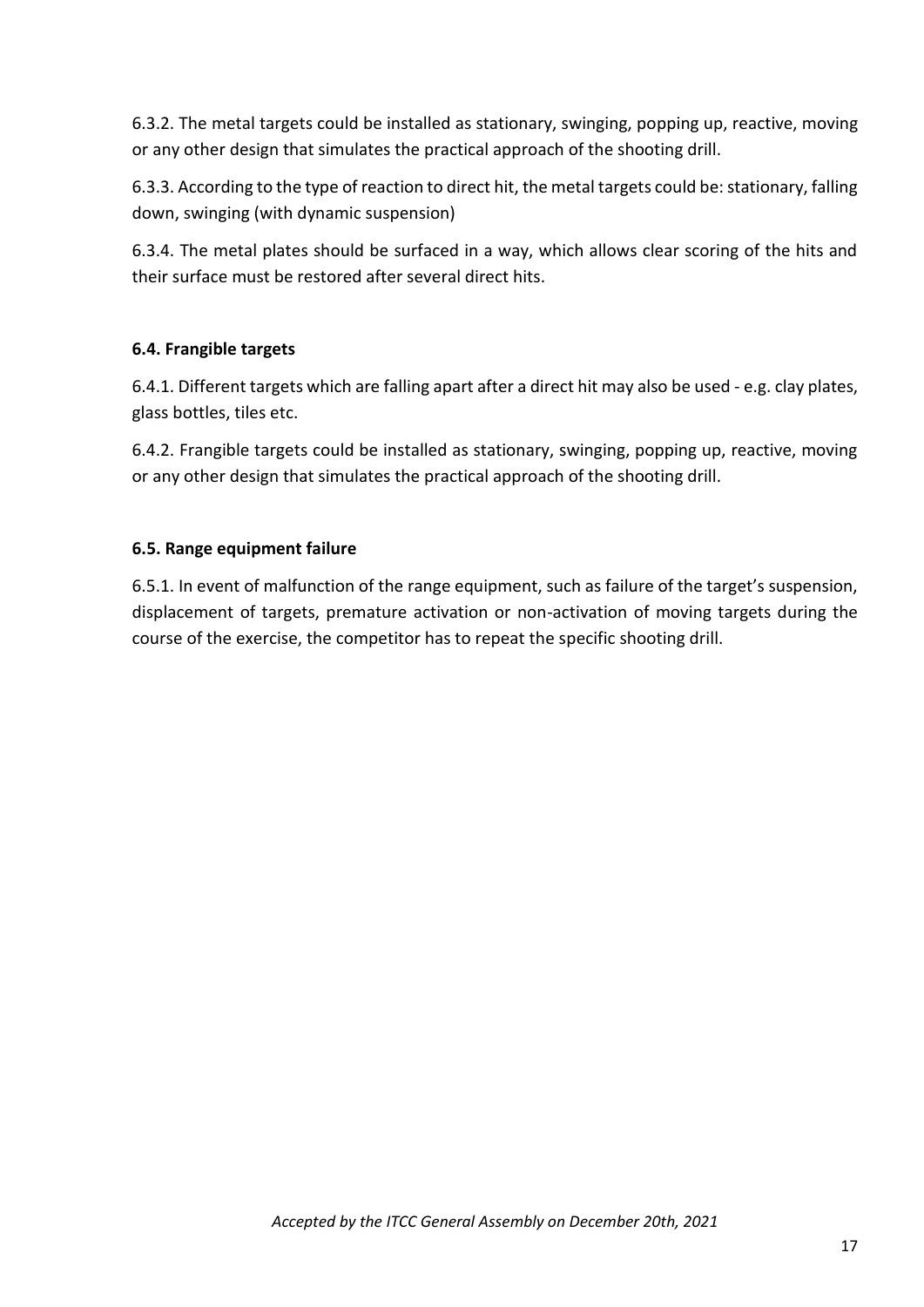6.3.2. The metal targets could be installed as stationary, swinging, popping up, reactive, moving or any other design that simulates the practical approach of the shooting drill.

6.3.3. According to the type of reaction to direct hit, the metal targets could be: stationary, falling down, swinging (with dynamic suspension)

6.3.4. The metal plates should be surfaced in a way, which allows clear scoring of the hits and their surface must be restored after several direct hits.

# **6.4. Frangible targets**

6.4.1. Different targets which are falling apart after a direct hit may also be used - e.g. clay plates, glass bottles, tiles etc.

6.4.2. Frangible targets could be installed as stationary, swinging, popping up, reactive, moving or any other design that simulates the practical approach of the shooting drill.

#### **6.5. Range equipment failure**

6.5.1. In event of malfunction of the range equipment, such as failure of the target's suspension, displacement of targets, premature activation or non-activation of moving targets during the course of the exercise, the competitor has to repeat the specific shooting drill.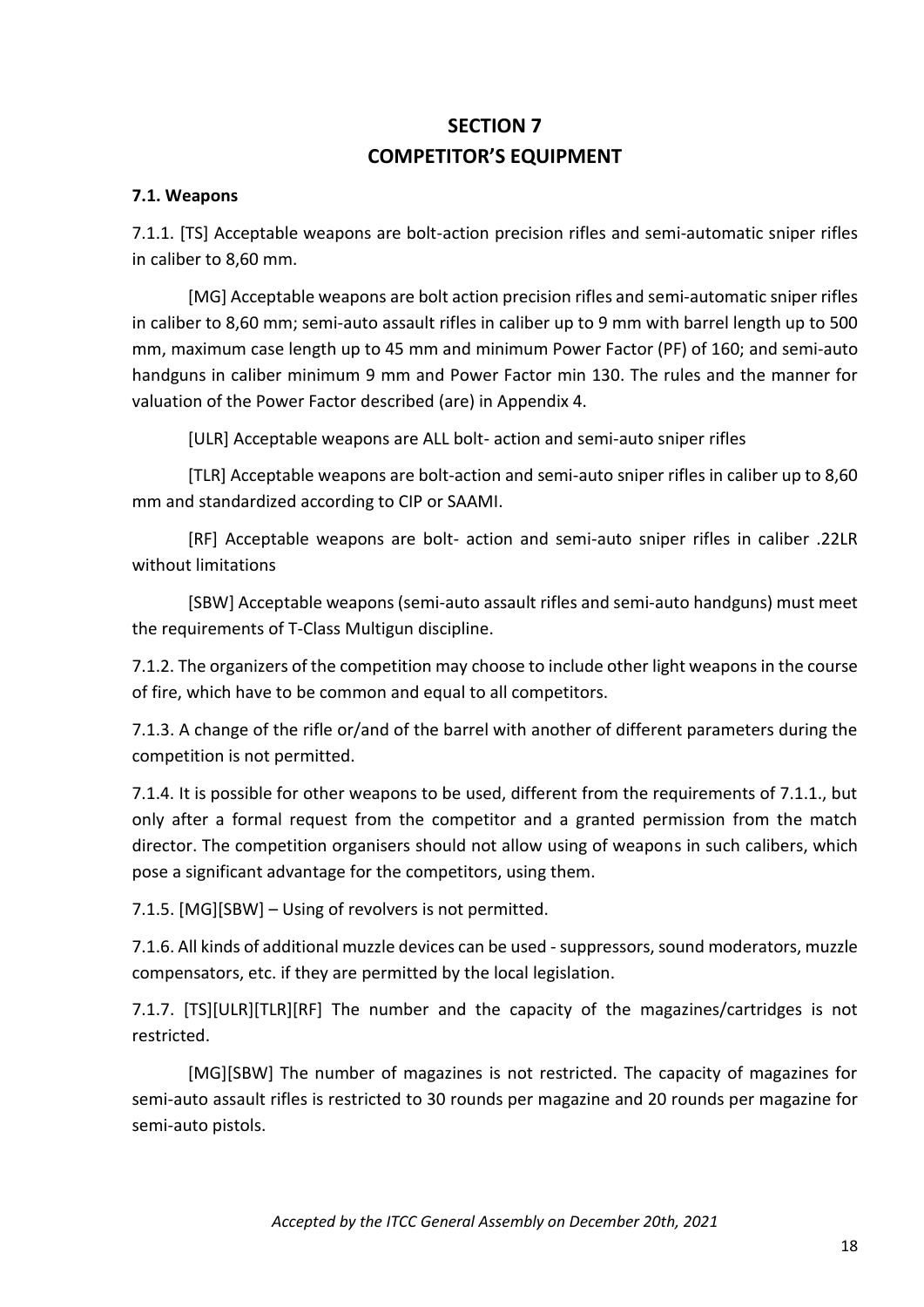# **SECTION 7 COMPETITOR'S EQUIPMENT**

#### **7.1. Weapons**

7.1.1. [TS] Acceptable weapons are bolt-action precision rifles and semi-automatic sniper rifles in caliber to 8,60 mm.

[MG] Acceptable weapons are bolt action precision rifles and semi-automatic sniper rifles in caliber to 8,60 mm; semi-auto assault rifles in caliber up to 9 mm with barrel length up to 500 mm, maximum case length up to 45 mm and minimum Power Factor (PF) of 160; and semi-auto handguns in caliber minimum 9 mm and Power Factor min 130. The rules and the manner for valuation of the Power Factor described (are) in Appendix 4.

[ULR] Acceptable weapons are ALL bolt- action and semi-auto sniper rifles

[TLR] Acceptable weapons are bolt-action and semi-auto sniper rifles in caliber up to 8,60 mm and standardized according to CIP or SAAMI.

[RF] Acceptable weapons are bolt- action and semi-auto sniper rifles in caliber .22LR without limitations

[SBW] Acceptable weapons (semi-auto assault rifles and semi-auto handguns) must meet the requirements of T-Class Multigun discipline.

7.1.2. The organizers of the competition may choose to include other light weapons in the course of fire, which have to be common and equal to all competitors.

7.1.3. A change of the rifle or/and of the barrel with another of different parameters during the competition is not permitted.

7.1.4. It is possible for other weapons to be used, different from the requirements of 7.1.1., but only after a formal request from the competitor and a granted permission from the match director. The competition organisers should not allow using of weapons in such calibers, which pose a significant advantage for the competitors, using them.

7.1.5. [MG][SBW] – Using of revolvers is not permitted.

7.1.6. All kinds of additional muzzle devices can be used -suppressors, sound moderators, muzzle compensators, etc. if they are permitted by the local legislation.

7.1.7. [TS][ULR][ТLR][RF] The number and the capacity of the magazines/cartridges is not restricted.

[MG][SBW] The number of magazines is not restricted. The capacity of magazines for semi-auto assault rifles is restricted to 30 rounds per magazine and 20 rounds per magazine for semi-auto pistols.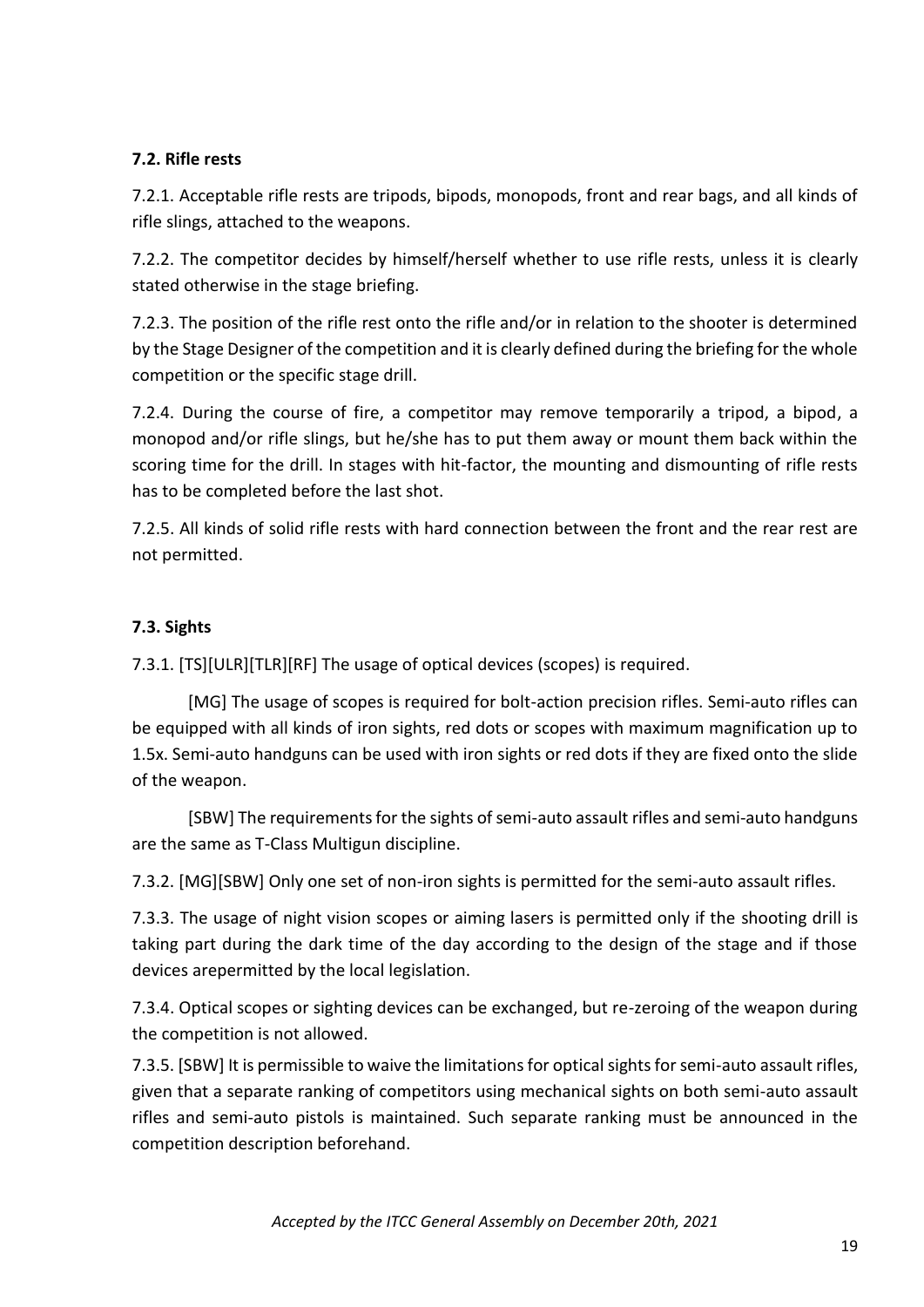# **7.2. Rifle rests**

7.2.1. Acceptable rifle rests are tripods, bipods, monopods, front and rear bags, and all kinds of rifle slings, attached to the weapons.

7.2.2. The competitor decides by himself/herself whether to use rifle rests, unless it is clearly stated otherwise in the stage briefing.

7.2.3. The position of the rifle rest onto the rifle and/or in relation to the shooter is determined by the Stage Designer of the competition and it is clearly defined during the briefing for the whole competition or the specific stage drill.

7.2.4. During the course of fire, a competitor may remove temporarily a tripod, a bipod, a monopod and/or rifle slings, but he/she has to put them away or mount them back within the scoring time for the drill. In stages with hit-factor, the mounting and dismounting of rifle rests has to be completed before the last shot.

7.2.5. All kinds of solid rifle rests with hard connection between the front and the rear rest are not permitted.

# **7.3. Sights**

7.3.1. [TS][ULR][TLR][RF] The usage of optical devices (scopes) is required.

[MG] The usage of scopes is required for bolt-action precision rifles. Semi-auto rifles can be equipped with all kinds of iron sights, red dots or scopes with maximum magnification up to 1.5x. Semi-auto handguns can be used with iron sights or red dots if they are fixed onto the slide of the weapon.

[SBW] The requirements for the sights of semi-auto assault rifles and semi-auto handguns are the same as T-Class Multigun discipline.

7.3.2. [MG][SBW] Only one set of non-iron sights is permitted for the semi-auto assault rifles.

7.3.3. The usage of night vision scopes or aiming lasers is permitted only if the shooting drill is taking part during the dark time of the day according to the design of the stage and if those devices arepermitted by the local legislation.

7.3.4. Optical scopes or sighting devices can be exchanged, but re-zeroing of the weapon during the competition is not allowed.

7.3.5. [SBW] It is permissible to waive the limitations for optical sights for semi-auto assault rifles, given that a separate ranking of competitors using mechanical sights on both semi-auto assault rifles and semi-auto pistols is maintained. Such separate ranking must be announced in the competition description beforehand.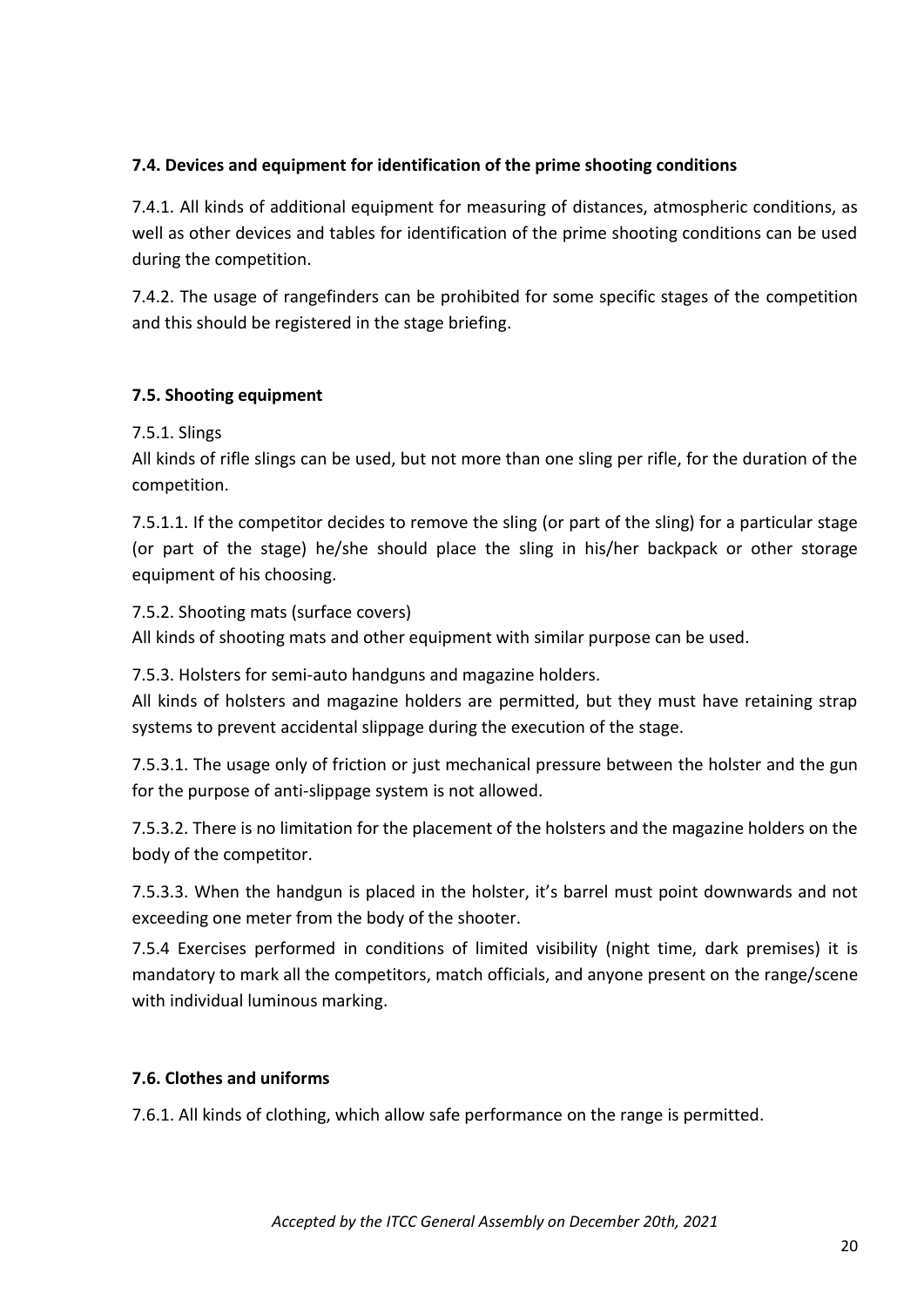# **7.4. Devices and equipment for identification of the prime shooting conditions**

7.4.1. All kinds of additional equipment for measuring of distances, atmospheric conditions, as well as other devices and tables for identification of the prime shooting conditions can be used during the competition.

7.4.2. The usage of rangefinders can be prohibited for some specific stages of the competition and this should be registered in the stage briefing.

# **7.5. Shooting equipment**

7.5.1. Slings

All kinds of rifle slings can be used, but not more than one sling per rifle, for the duration of the competition.

7.5.1.1. If the competitor decides to remove the sling (or part of the sling) for a particular stage (or part of the stage) he/she should place the sling in his/her backpack or other storage equipment of his choosing.

#### 7.5.2. Shooting mats (surface covers)

All kinds of shooting mats and other equipment with similar purpose can be used.

7.5.3. Holsters for semi-auto handguns and magazine holders.

All kinds of holsters and magazine holders are permitted, but they must have retaining strap systems to prevent accidental slippage during the execution of the stage.

7.5.3.1. The usage only of friction or just mechanical pressure between the holster and the gun for the purpose of anti-slippage system is not allowed.

7.5.3.2. There is no limitation for the placement of the holsters and the magazine holders on the body of the competitor.

7.5.3.3. When the handgun is placed in the holster, it's barrel must point downwards and not exceeding one meter from the body of the shooter.

7.5.4 Еxercises performed in conditions of limited visibility (night time, dark premises) it is mandatory to mark all the competitors, match officials, and anyone present on the range/scene with individual luminous marking.

#### **7.6. Clothes and uniforms**

7.6.1. All kinds of clothing, which allow safe performance on the range is permitted.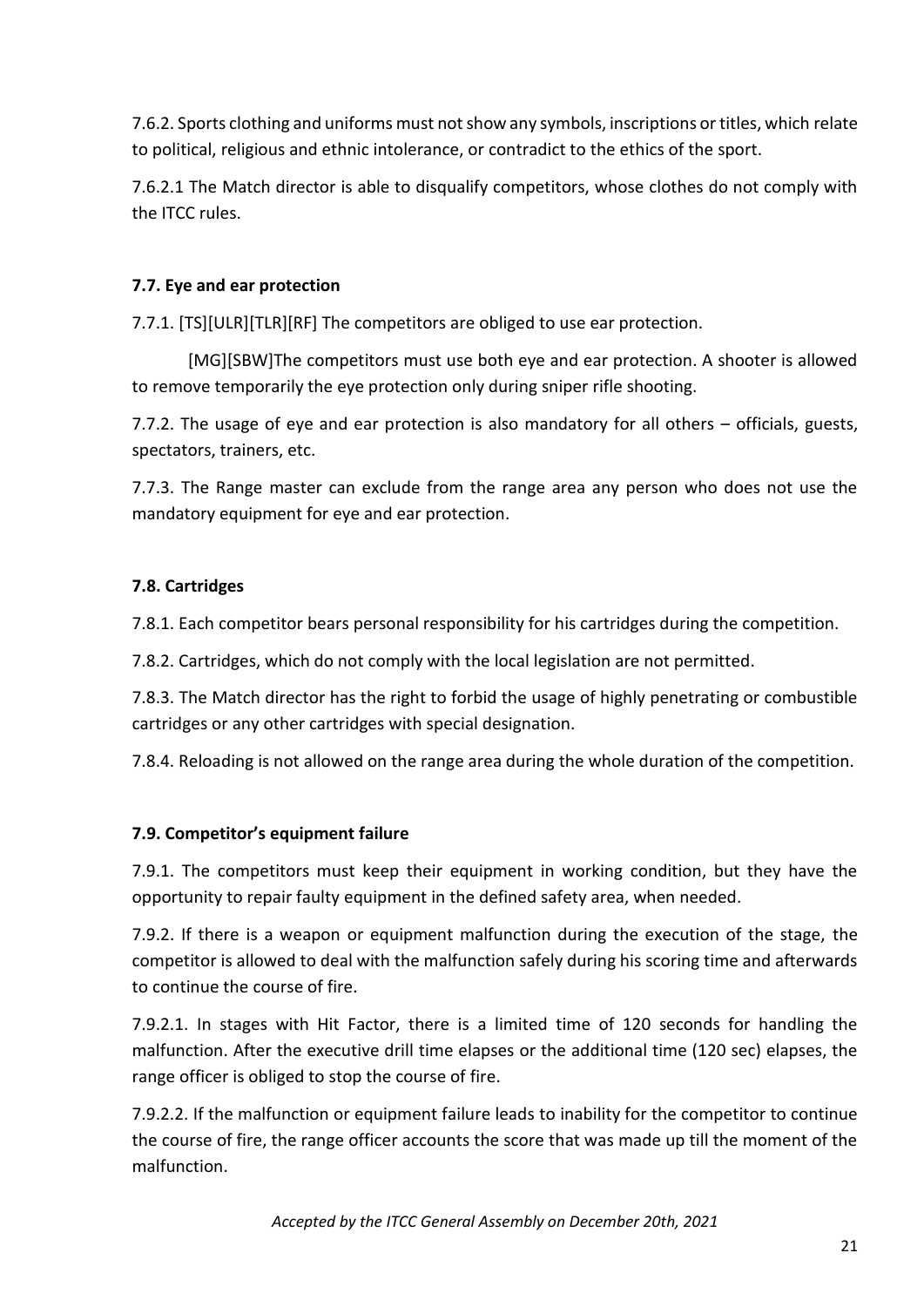7.6.2. Sports clothing and uniforms must not show any symbols, inscriptions or titles, which relate to political, religious and ethnic intolerance, or contradict to the ethics of the sport.

7.6.2.1 The Match director is able to disqualify competitors, whose clothes do not comply with the ITCC rules.

## **7.7. Eye and ear protection**

7.7.1. [TS][ULR][TLR][RF] The competitors are obliged to use ear protection.

[MG][SBW]The competitors must use both eye and ear protection. A shooter is allowed to remove temporarily the eye protection only during sniper rifle shooting.

7.7.2. The usage of eye and ear protection is also mandatory for all others – officials, guests, spectators, trainers, etc.

7.7.3. The Range master can exclude from the range area any person who does not use the mandatory equipment for eye and ear protection.

# **7.8. Cartridges**

7.8.1. Each competitor bears personal responsibility for his cartridges during the competition.

7.8.2. Cartridges, which do not comply with the local legislation are not permitted.

7.8.3. The Match director has the right to forbid the usage of highly penetrating or combustible cartridges or any other cartridges with special designation.

7.8.4. Reloading is not allowed on the range area during the whole duration of the competition.

#### **7.9. Competitor's equipment failure**

7.9.1. The competitors must keep their equipment in working condition, but they have the opportunity to repair faulty equipment in the defined safety area, when needed.

7.9.2. If there is a weapon or equipment malfunction during the execution of the stage, the competitor is allowed to deal with the malfunction safely during his scoring time and afterwards to continue the course of fire.

7.9.2.1. In stages with Hit Factor, there is a limited time of 120 seconds for handling the malfunction. After the executive drill time elapses or the additional time (120 sec) elapses, the range officer is obliged to stop the course of fire.

7.9.2.2. If the malfunction or equipment failure leads to inability for the competitor to continue the course of fire, the range officer accounts the score that was made up till the moment of the malfunction.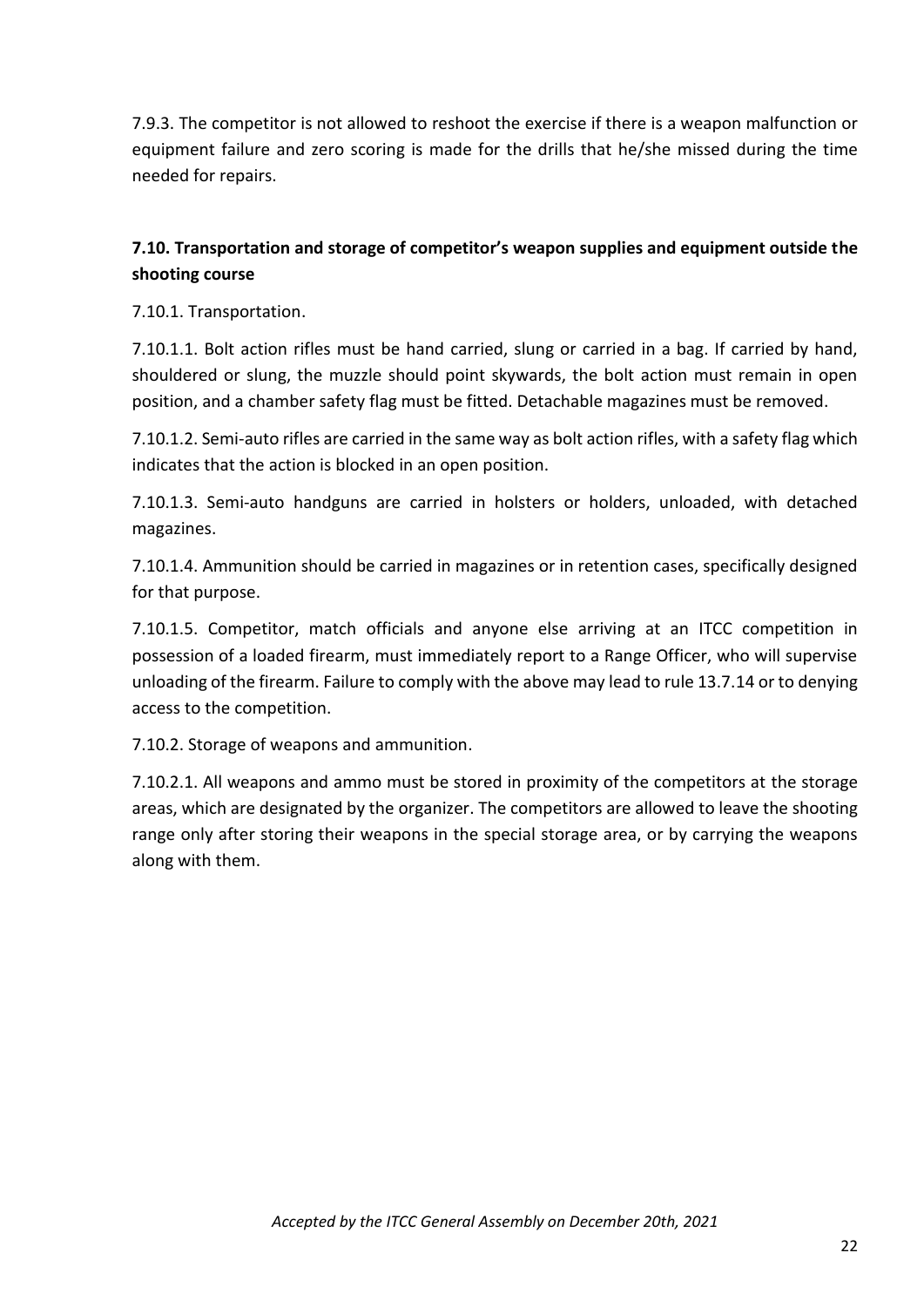7.9.3. The competitor is not allowed to reshoot the exercise if there is a weapon malfunction or equipment failure and zero scoring is made for the drills that he/she missed during the time needed for repairs.

# **7.10. Transportation and storage of competitor's weapon supplies and equipment outside the shooting course**

7.10.1. Transportation.

7.10.1.1. Bolt action rifles must be hand carried, slung or carried in a bag. If carried by hand, shouldered or slung, the muzzle should point skywards, the bolt action must remain in open position, and a chamber safety flag must be fitted. Detachable magazines must be removed.

7.10.1.2. Semi-auto rifles are carried in the same way as bolt action rifles, with a safety flag which indicates that the action is blocked in an open position.

7.10.1.3. Semi-auto handguns are carried in holsters or holders, unloaded, with detached magazines.

7.10.1.4. Ammunition should be carried in magazines or in retention cases, specifically designed for that purpose.

7.10.1.5. Competitor, match officials and anyone else arriving at an ITCC competition in possession of a loaded firearm, must immediately report to a Range Officer, who will supervise unloading of the firearm. Failure to comply with the above may lead to rule 13.7.14 or to denying access to the competition.

7.10.2. Storage of weapons and ammunition.

7.10.2.1. All weapons and ammo must be stored in proximity of the competitors at the storage areas, which are designated by the organizer. The competitors are allowed to leave the shooting range only after storing their weapons in the special storage area, or by carrying the weapons along with them.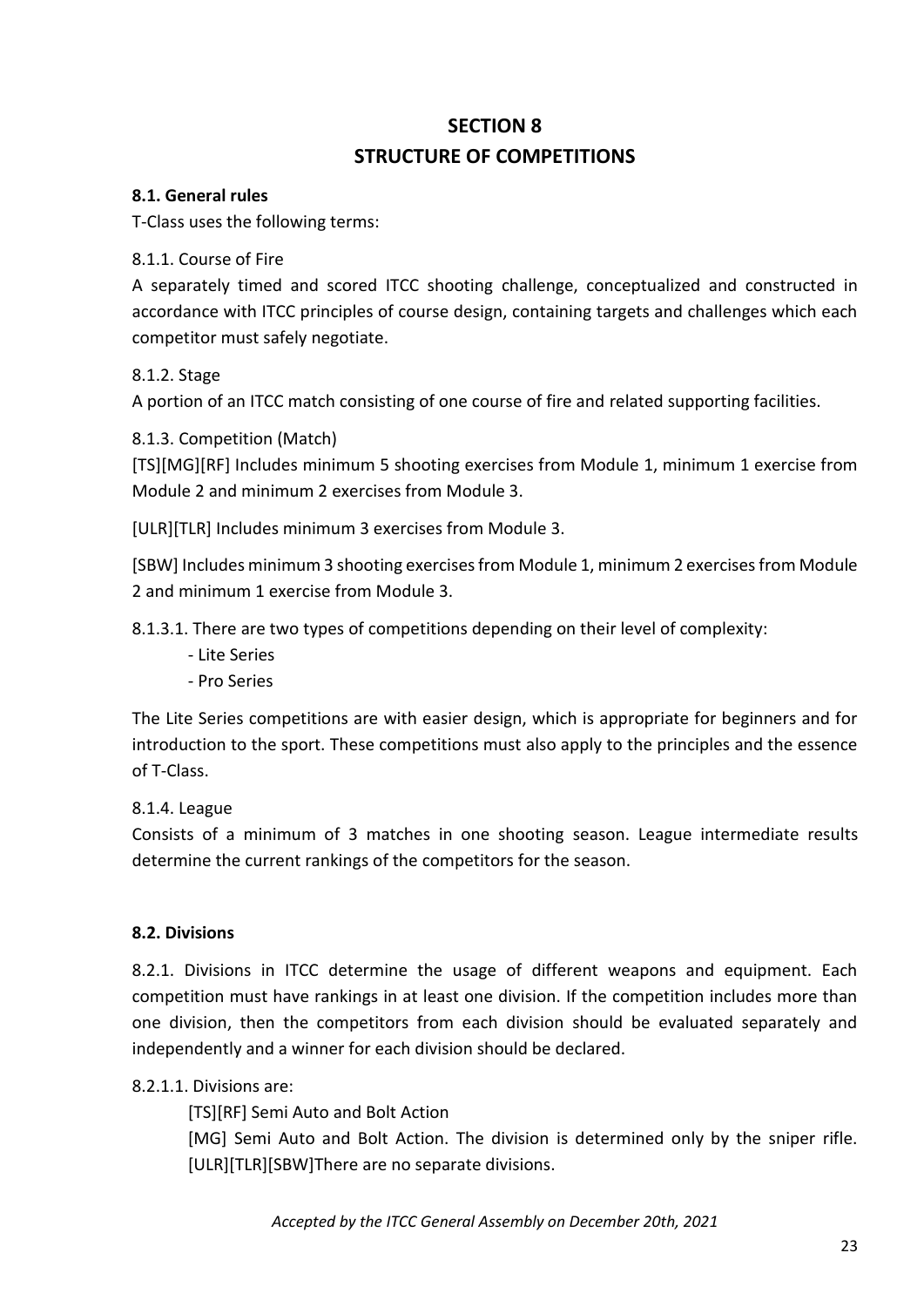# **SECTION 8 STRUCTURE OF COMPETITIONS**

#### **8.1. General rules**

T-Class uses the following terms:

#### 8.1.1. Course of Fire

A separately timed and scored ITCC shooting challenge, conceptualized and constructed in accordance with ITCC principles of course design, containing targets and challenges which each competitor must safely negotiate.

#### 8.1.2. Stage

A portion of an ITCC match consisting of one course of fire and related supporting facilities.

#### 8.1.3. Competition (Match)

[TS][MG][RF] Includes minimum 5 shooting exercises from Module 1, minimum 1 exercise from Module 2 and minimum 2 exercises from Module 3.

[ULR][TLR] Includes minimum 3 exercises from Module 3.

[SBW] Includes minimum 3 shooting exercises from Module 1, minimum 2 exercises from Module 2 and minimum 1 exercise from Module 3.

8.1.3.1. There are two types of competitions depending on their level of complexity:

- Lite Series
- Pro Series

The Lite Series competitions are with easier design, which is appropriate for beginners and for introduction to the sport. These competitions must also apply to the principles and the essence of T-Class.

#### 8.1.4. League

Consists of a minimum of 3 matches in one shooting season. League intermediate results determine the current rankings of the competitors for the season.

#### **8.2. Divisions**

8.2.1. Divisions in ITCC determine the usage of different weapons and equipment. Each competition must have rankings in at least one division. If the competition includes more than one division, then the competitors from each division should be evaluated separately and independently and a winner for each division should be declared.

#### 8.2.1.1. Divisions are:

[TS][RF] Semi Auto and Bolt Action

[MG] Semi Auto and Bolt Action. The division is determined only by the sniper rifle. [ULR][TLR][SBW]There are no separate divisions.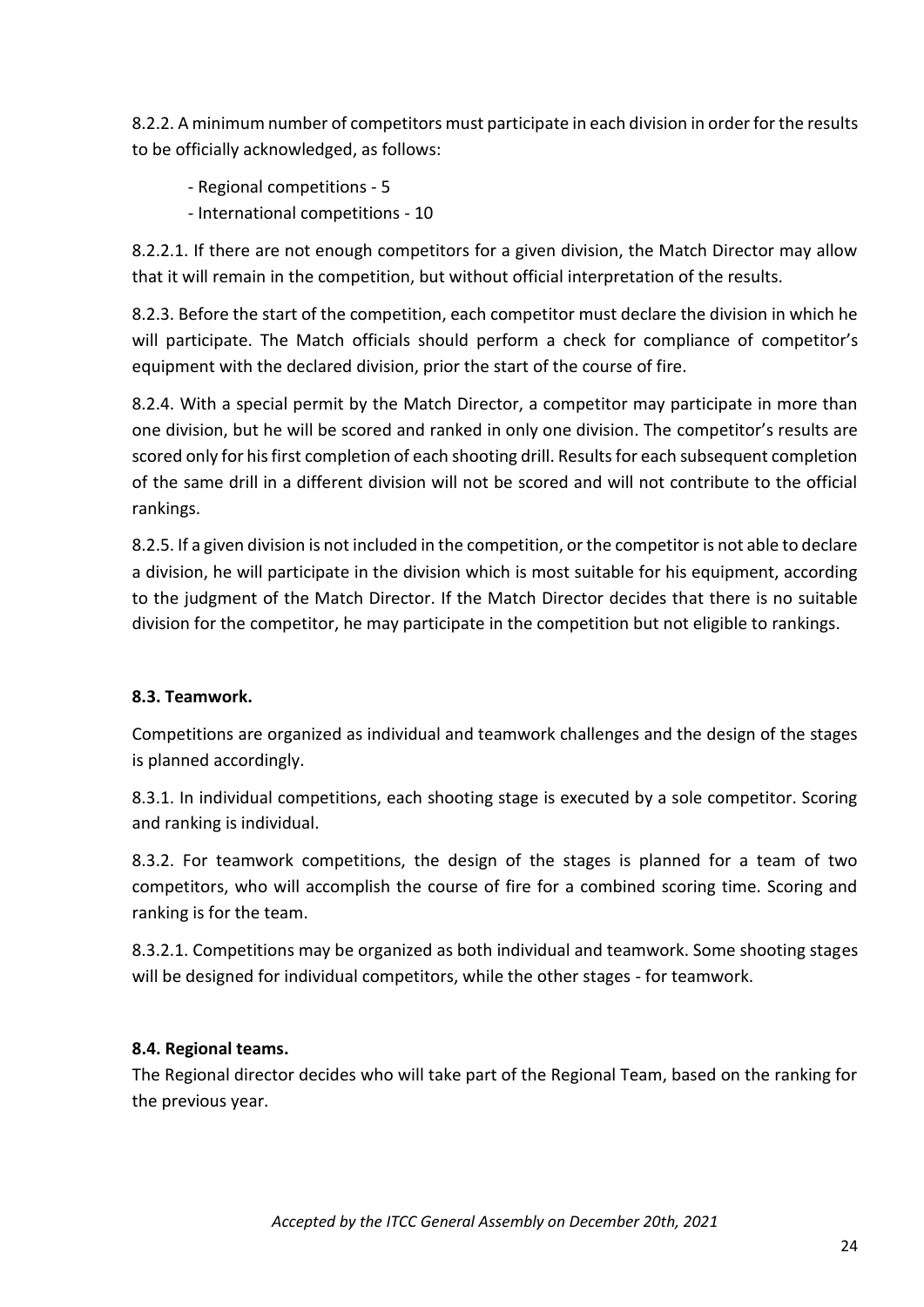8.2.2. A minimum number of competitors must participate in each division in order for the results to be officially acknowledged, as follows:

- Regional competitions 5
- International competitions 10

8.2.2.1. If there are not enough competitors for a given division, the Match Director may allow that it will remain in the competition, but without official interpretation of the results.

8.2.3. Before the start of the competition, each competitor must declare the division in which he will participate. The Match officials should perform a check for compliance of competitor's equipment with the declared division, prior the start of the course of fire.

8.2.4. With a special permit by the Match Director, a competitor may participate in more than one division, but he will be scored and ranked in only one division. The competitor's results are scored only for his first completion of each shooting drill. Results for each subsequent completion of the same drill in a different division will not be scored and will not contribute to the official rankings.

8.2.5. If a given division is not included in the competition, or the competitor is not able to declare a division, he will participate in the division which is most suitable for his equipment, according to the judgment of the Match Director. If the Match Director decides that there is no suitable division for the competitor, he may participate in the competition but not eligible to rankings.

#### **8.3. Teamwork.**

Competitions are organized as individual and teamwork challenges and the design of the stages is planned accordingly.

8.3.1. In individual competitions, each shooting stage is executed by a sole competitor. Scoring and ranking is individual.

8.3.2. For teamwork competitions, the design of the stages is planned for a team of two competitors, who will accomplish the course of fire for a combined scoring time. Scoring and ranking is for the team.

8.3.2.1. Competitions may be organized as both individual and teamwork. Some shooting stages will be designed for individual competitors, while the other stages - for teamwork.

#### **8.4. Regional teams.**

The Regional director decides who will take part of the Regional Team, based on the ranking for the previous year.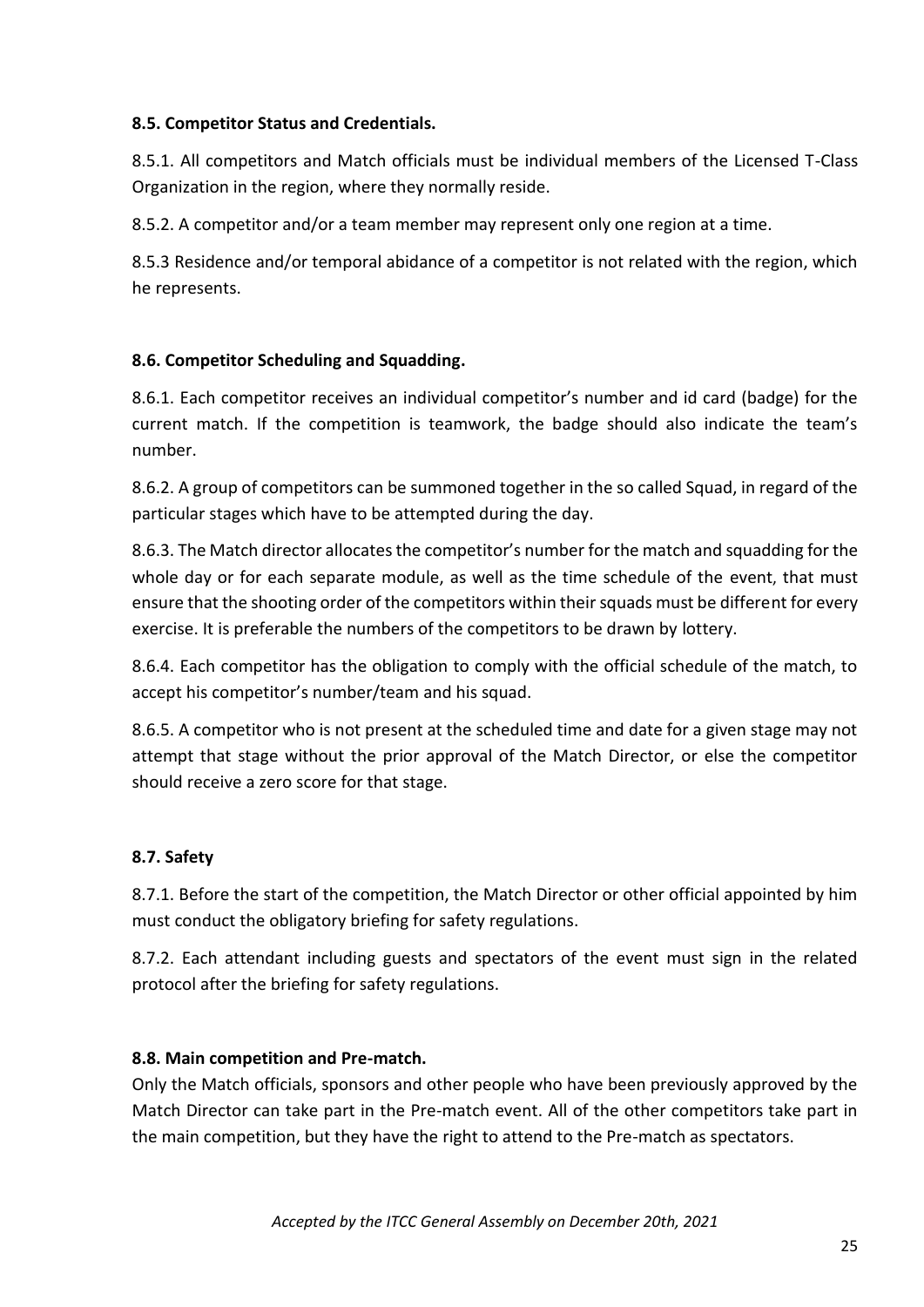## **8.5. Competitor Status and Credentials.**

8.5.1. All competitors and Match officials must be individual members of the Licensed T-Class Organization in the region, where they normally reside.

8.5.2. A competitor and/or a team member may represent only one region at a time.

8.5.3 Residence and/or temporal abidance of a competitor is not related with the region, which he represents.

# **8.6. Competitor Scheduling and Squadding.**

8.6.1. Each competitor receives an individual competitor's number and id card (badge) for the current match. If the competition is teamwork, the badge should also indicate the team's number.

8.6.2. A group of competitors can be summoned together in the so called Squad, in regard of the particular stages which have to be attempted during the day.

8.6.3. The Match director allocates the competitor's number for the match and squadding for the whole day or for each separate module, as well as the time schedule of the event, that must ensure that the shooting order of the competitors within their squads must be different for every exercise. It is preferable the numbers of the competitors to be drawn by lottery.

8.6.4. Each competitor has the obligation to comply with the official schedule of the match, to accept his competitor's number/team and his squad.

8.6.5. A competitor who is not present at the scheduled time and date for a given stage may not attempt that stage without the prior approval of the Match Director, or else the competitor should receive a zero score for that stage.

# **8.7. Safety**

8.7.1. Before the start of the competition, the Match Director or other official appointed by him must conduct the obligatory briefing for safety regulations.

8.7.2. Each attendant including guests and spectators of the event must sign in the related protocol after the briefing for safety regulations.

# **8.8. Main competition and Pre-match.**

Only the Match officials, sponsors and other people who have been previously approved by the Match Director can take part in the Pre-match event. All of the other competitors take part in the main competition, but they have the right to attend to the Pre-match as spectators.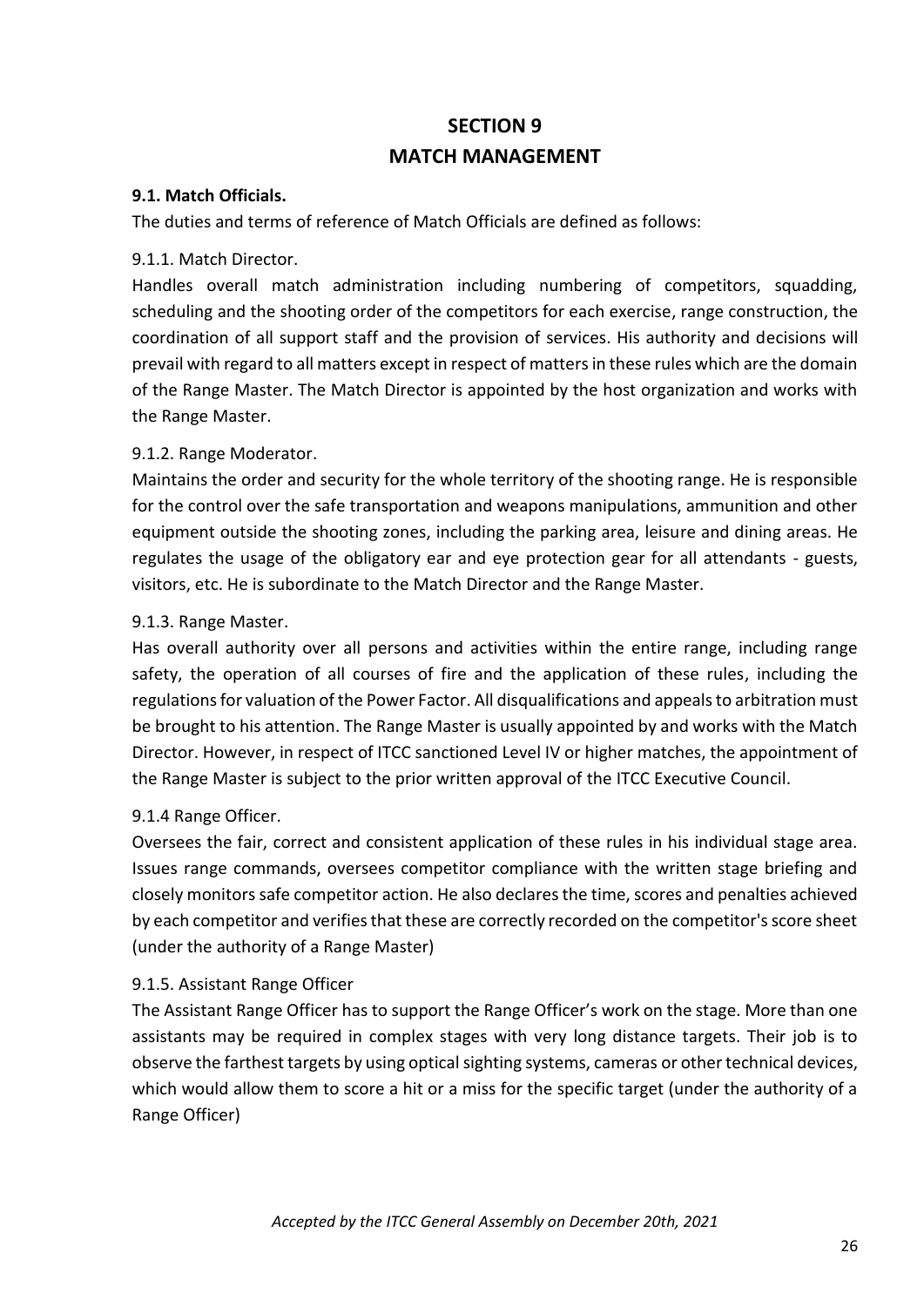# **SECTION 9 MATCH MANAGEMENT**

#### **9.1. Match Officials.**

The duties and terms of reference of Match Officials are defined as follows:

#### 9.1.1. Match Director.

Handles overall match administration including numbering of competitors, squadding, scheduling and the shooting order of the competitors for each exercise, range construction, the coordination of all support staff and the provision of services. His authority and decisions will prevail with regard to all matters except in respect of matters in these rules which are the domain of the Range Master. The Match Director is appointed by the host organization and works with the Range Master.

#### 9.1.2. Range Moderator.

Maintains the order and security for the whole territory of the shooting range. He is responsible for the control over the safe transportation and weapons manipulations, ammunition and other equipment outside the shooting zones, including the parking area, leisure and dining areas. He regulates the usage of the obligatory ear and eye protection gear for all attendants - guests, visitors, etc. He is subordinate to the Match Director and the Range Master.

#### 9.1.3. Range Master.

Has overall authority over all persons and activities within the entire range, including range safety, the operation of all courses of fire and the application of these rules, including the regulations for valuation of the Power Factor. All disqualifications and appeals to arbitration must be brought to his attention. The Range Master is usually appointed by and works with the Match Director. However, in respect of ITCC sanctioned Level IV or higher matches, the appointment of the Range Master is subject to the prior written approval of the ITCC Executive Council.

#### 9.1.4 Range Officer.

Oversees the fair, correct and consistent application of these rules in his individual stage area. Issues range commands, oversees competitor compliance with the written stage briefing and closely monitors safe competitor action. He also declares the time, scores and penalties achieved by each competitor and verifies that these are correctly recorded on the competitor's score sheet (under the authority of a Range Master)

#### 9.1.5. Assistant Range Officer

The Assistant Range Officer has to support the Range Officer's work on the stage. More than one assistants may be required in complex stages with very long distance targets. Their job is to observe the farthest targets by using optical sighting systems, cameras or other technical devices, which would allow them to score a hit or a miss for the specific target (under the authority of a Range Officer)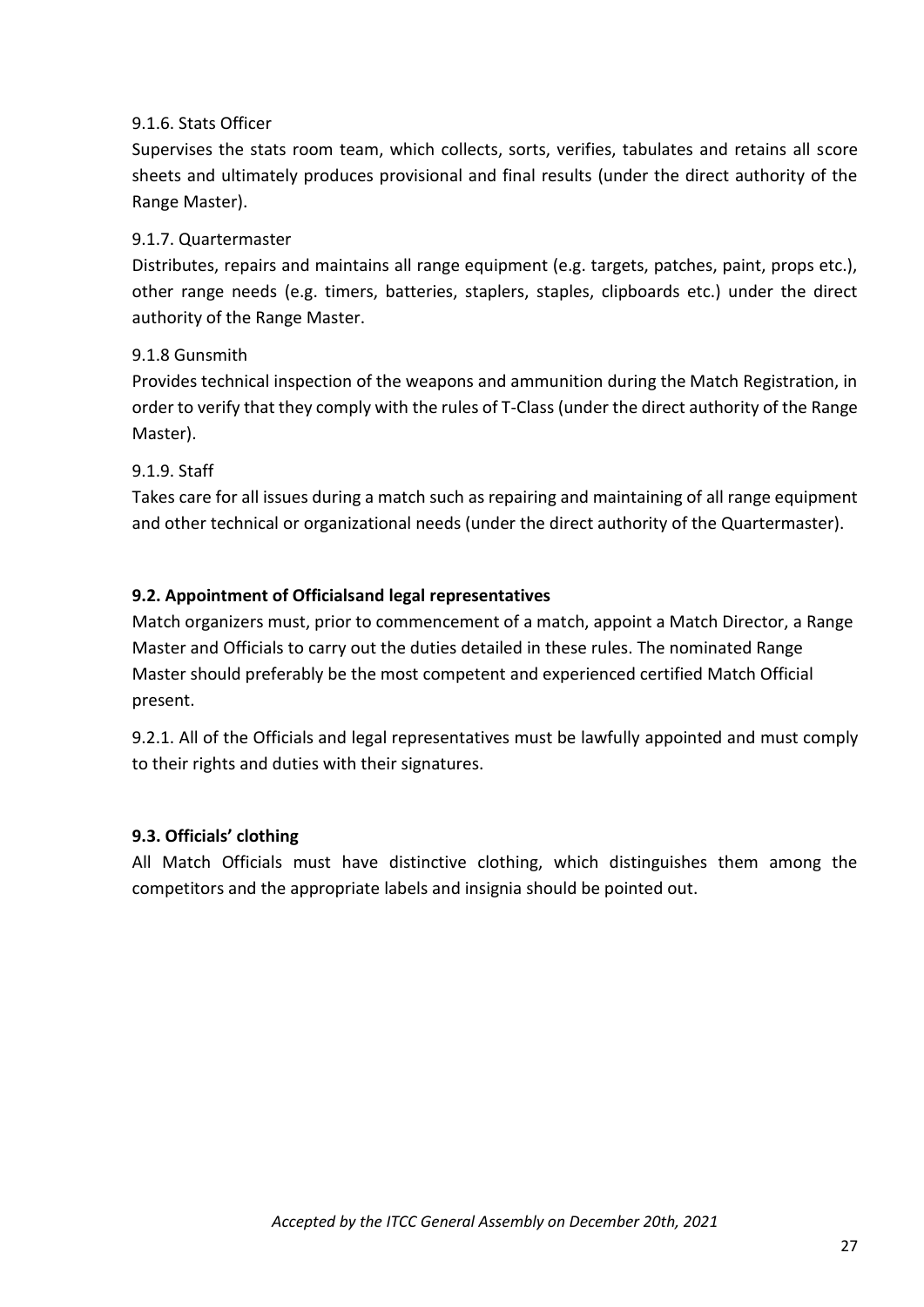# 9.1.6. Stats Officer

Supervises the stats room team, which collects, sorts, verifies, tabulates and retains all score sheets and ultimately produces provisional and final results (under the direct authority of the Range Master).

# 9.1.7. Quartermaster

Distributes, repairs and maintains all range equipment (e.g. targets, patches, paint, props etc.), other range needs (e.g. timers, batteries, staplers, staples, clipboards etc.) under the direct authority of the Range Master.

#### 9.1.8 Gunsmith

Provides technical inspection of the weapons and ammunition during the Match Registration, in order to verify that they comply with the rules of T-Class (under the direct authority of the Range Master).

#### 9.1.9. Staff

Takes care for all issues during a match such as repairing and maintaining of all range equipment and other technical or organizational needs (under the direct authority of the Quartermaster).

#### **9.2. Appointment of Officialsand legal representatives**

Match organizers must, prior to commencement of a match, appoint a Match Director, a Range Master and Officials to carry out the duties detailed in these rules. The nominated Range Master should preferably be the most competent and experienced certified Match Official present.

9.2.1. All of the Officials and legal representatives must be lawfully appointed and must comply to their rights and duties with their signatures.

#### **9.3. Officials' clothing**

All Match Officials must have distinctive clothing, which distinguishes them among the competitors and the appropriate labels and insignia should be pointed out.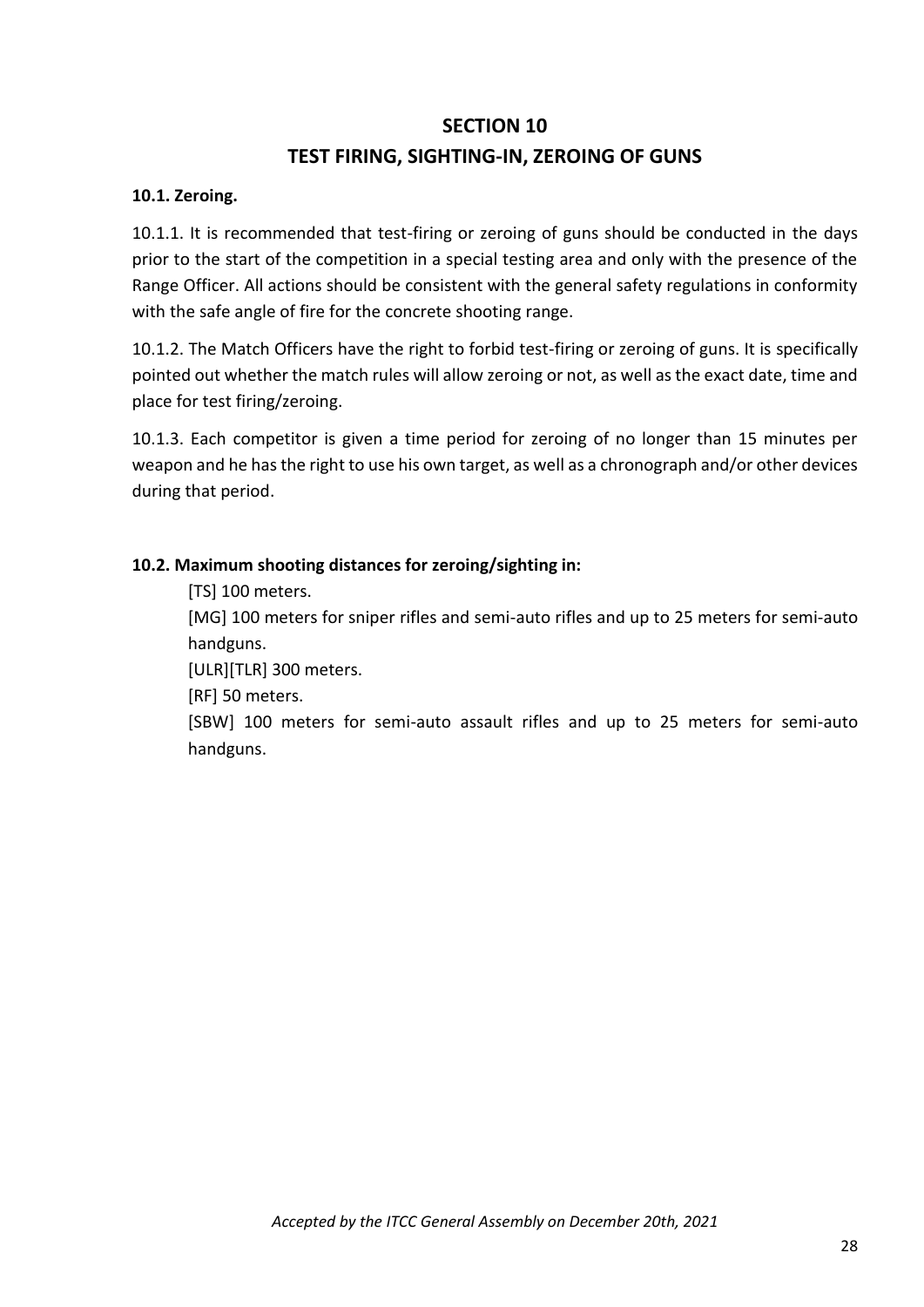# **SECTION 10**

# **TEST FIRING, SIGHTING-IN, ZEROING OF GUNS**

#### **10.1. Zeroing.**

10.1.1. It is recommended that test-firing or zeroing of guns should be conducted in the days prior to the start of the competition in a special testing area and only with the presence of the Range Officer. All actions should be consistent with the general safety regulations in conformity with the safe angle of fire for the concrete shooting range.

10.1.2. The Match Officers have the right to forbid test-firing or zeroing of guns. It is specifically pointed out whether the match rules will allow zeroing or not, as well as the exact date, time and place for test firing/zeroing.

10.1.3. Each competitor is given a time period for zeroing of no longer than 15 minutes per weapon and he has the right to use his own target, as well as a chronograph and/or other devices during that period.

#### **10.2. Maximum shooting distances for zeroing/sighting in:**

[TS] 100 meters.

[MG] 100 meters for sniper rifles and semi-auto rifles and up to 25 meters for semi-auto handguns.

[ULR][TLR] 300 meters.

[RF] 50 meters.

[SBW] 100 meters for semi-auto assault rifles and up to 25 meters for semi-auto handguns.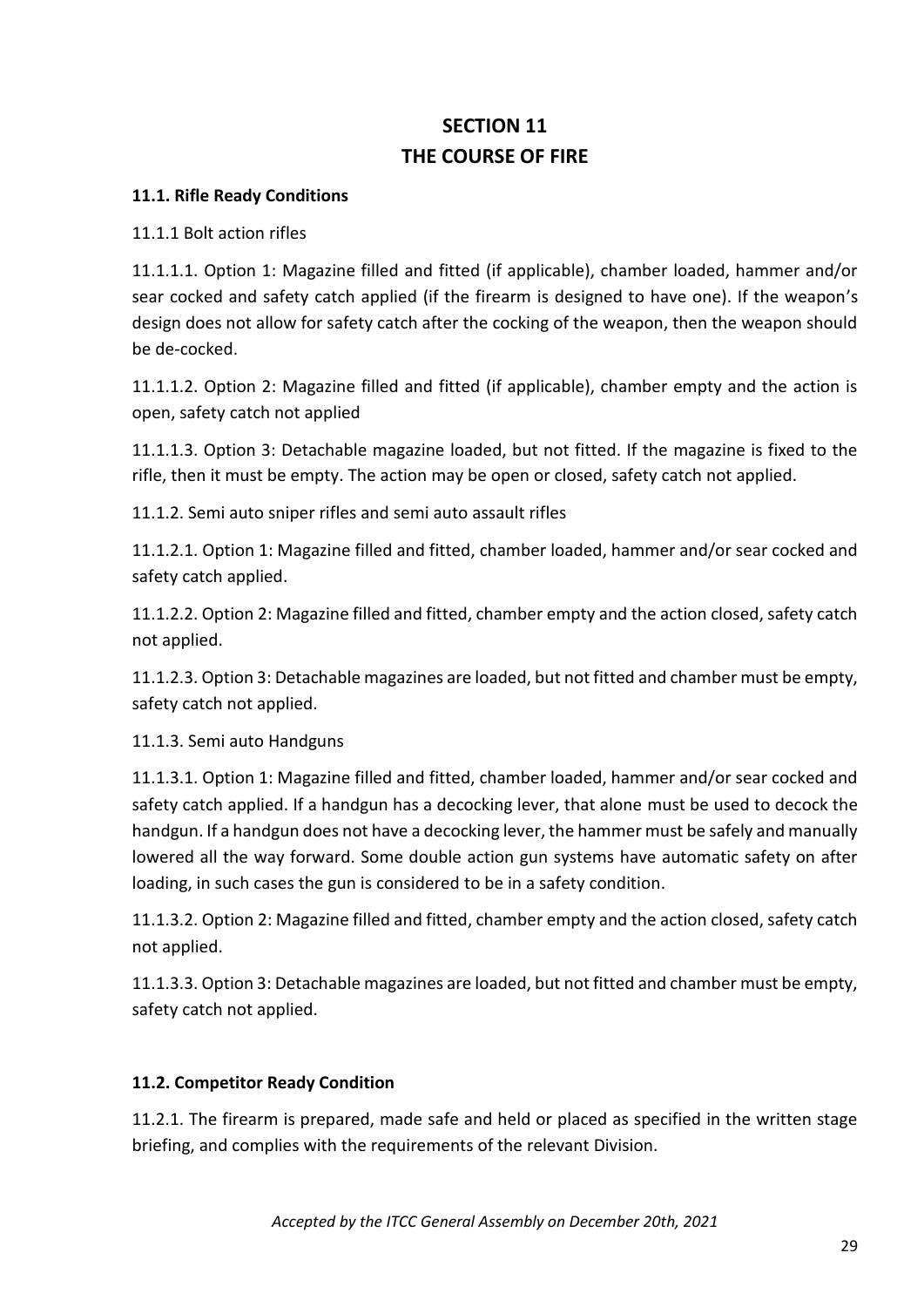# **SECTION 11 THE COURSE OF FIRE**

#### **11.1. Rifle Ready Conditions**

11.1.1 Bolt action rifles

11.1.1.1. Option 1: Magazine filled and fitted (if applicable), chamber loaded, hammer and/or sear cocked and safety catch applied (if the firearm is designed to have one). If the weapon's design does not allow for safety catch after the cocking of the weapon, then the weapon should be de-cocked.

11.1.1.2. Option 2: Magazine filled and fitted (if applicable), chamber empty and the action is open, safety catch not applied

11.1.1.3. Option 3: Detachable magazine loaded, but not fitted. If the magazine is fixed to the rifle, then it must be empty. The action may be open or closed, safety catch not applied.

11.1.2. Semi auto sniper rifles and semi auto assault rifles

11.1.2.1. Option 1: Magazine filled and fitted, chamber loaded, hammer and/or sear cocked and safety catch applied.

11.1.2.2. Option 2: Magazine filled and fitted, chamber empty and the action closed, safety catch not applied.

11.1.2.3. Option 3: Detachable magazines are loaded, but not fitted and chamber must be empty, safety catch not applied.

11.1.3. Semi auto Handguns

11.1.3.1. Option 1: Magazine filled and fitted, chamber loaded, hammer and/or sear cocked and safety catch applied. If a handgun has a decocking lever, that alone must be used to decock the handgun. If a handgun does not have a decocking lever, the hammer must be safely and manually lowered all the way forward. Some double action gun systems have automatic safety on after loading, in such cases the gun is considered to be in a safety condition.

11.1.3.2. Option 2: Magazine filled and fitted, chamber empty and the action closed, safety catch not applied.

11.1.3.3. Option 3: Detachable magazines are loaded, but not fitted and chamber must be empty, safety catch not applied.

#### **11.2. Competitor Ready Condition**

11.2.1. The firearm is prepared, made safe and held or placed as specified in the written stage briefing, and complies with the requirements of the relevant Division.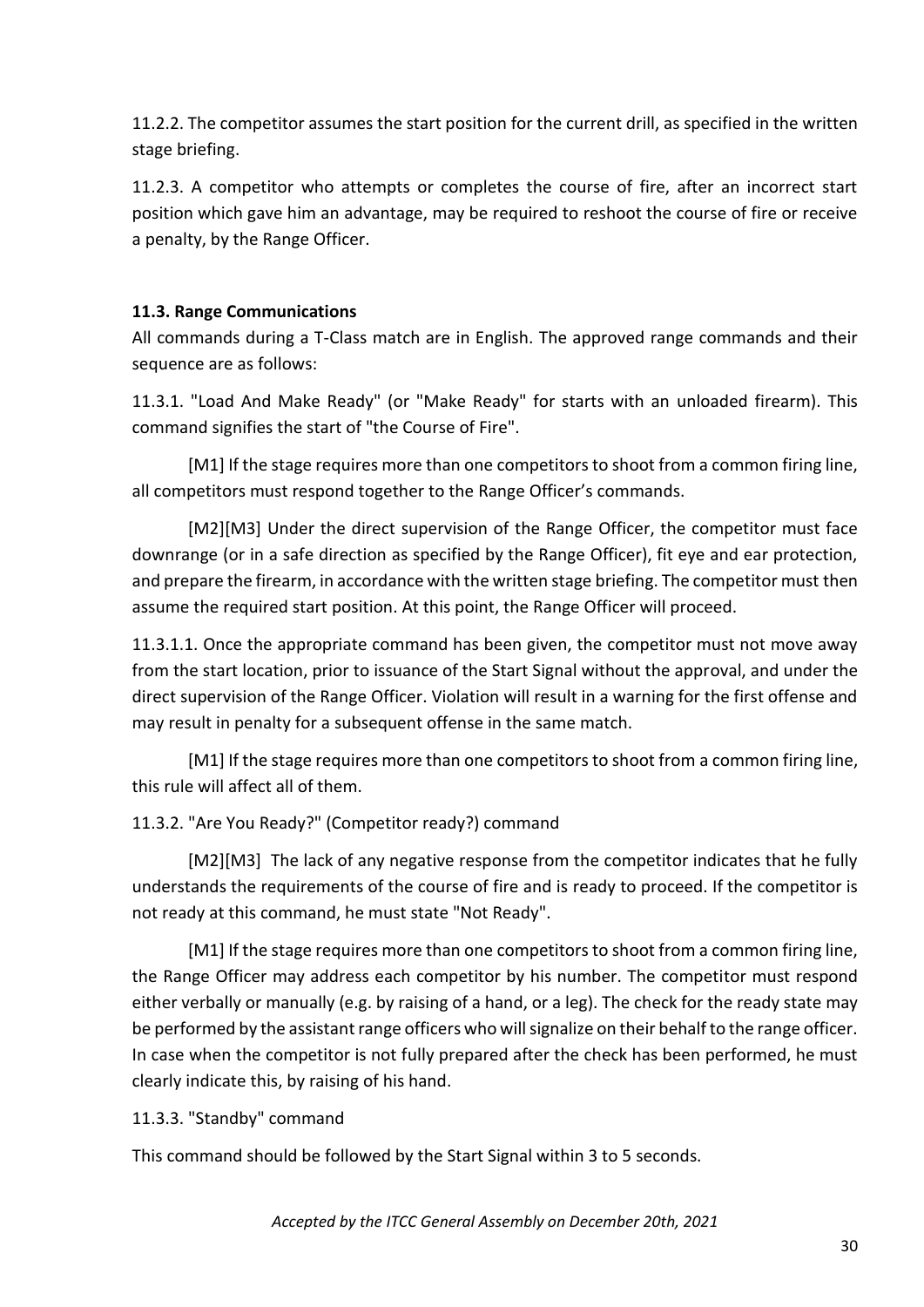11.2.2. The competitor assumes the start position for the current drill, as specified in the written stage briefing.

11.2.3. A competitor who attempts or completes the course of fire, after an incorrect start position which gave him an advantage, may be required to reshoot the course of fire or receive a penalty, by the Range Officer.

# **11.3. Range Communications**

All commands during a T-Class match are in English. The approved range commands and their sequence are as follows:

11.3.1. "Load And Make Ready" (or "Make Ready" for starts with an unloaded firearm). This command signifies the start of "the Course of Fire".

[M1] If the stage requires more than one competitors to shoot from a common firing line, all competitors must respond together to the Range Officer's commands.

[М2][M3] Under the direct supervision of the Range Officer, the competitor must face downrange (or in a safe direction as specified by the Range Officer), fit eye and ear protection, and prepare the firearm, in accordance with the written stage briefing. The competitor must then assume the required start position. At this point, the Range Officer will proceed.

11.3.1.1. Once the appropriate command has been given, the competitor must not move away from the start location, prior to issuance of the Start Signal without the approval, and under the direct supervision of the Range Officer. Violation will result in a warning for the first offense and may result in penalty for a subsequent offense in the same match.

[M1] If the stage requires more than one competitors to shoot from a common firing line, this rule will affect all of them.

#### 11.3.2. "Are You Ready?" (Competitor ready?) command

[M2][M3] The lack of any negative response from the competitor indicates that he fully understands the requirements of the course of fire and is ready to proceed. If the competitor is not ready at this command, he must state "Not Ready".

[M1] If the stage requires more than one competitors to shoot from a common firing line, the Range Officer may address each competitor by his number. The competitor must respond either verbally or manually (e.g. by raising of a hand, or a leg). The check for the ready state may be performed by the assistant range officers who will signalize on their behalf to the range officer. In case when the competitor is not fully prepared after the check has been performed, he must clearly indicate this, by raising of his hand.

11.3.3. "Standby" command

This command should be followed by the Start Signal within 3 to 5 seconds.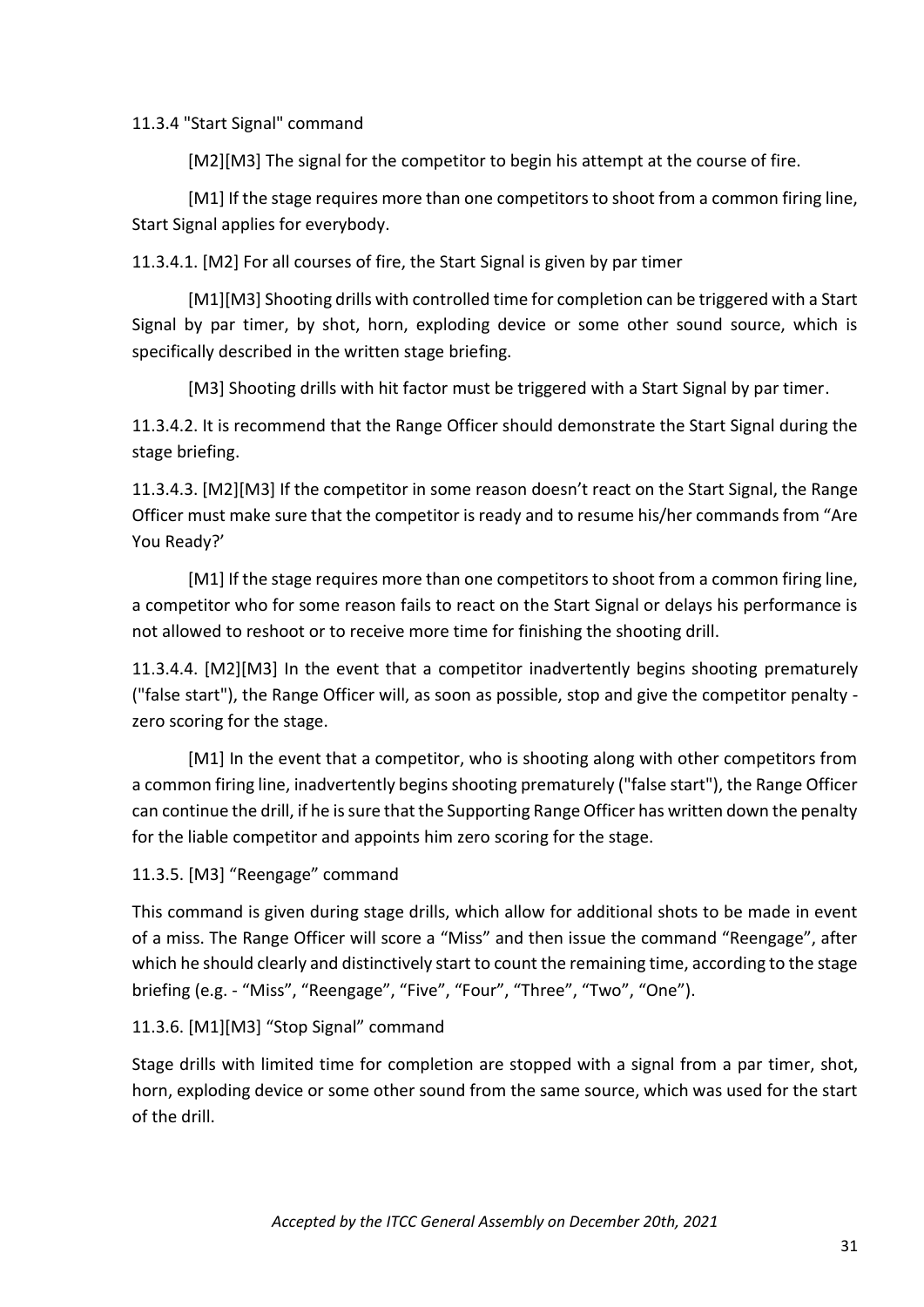11.3.4 "Start Signal" command

[M2][M3] The signal for the competitor to begin his attempt at the course of fire.

[M1] If the stage requires more than one competitors to shoot from a common firing line, Start Signal applies for everybody.

11.3.4.1. [M2] For all courses of fire, the Start Signal is given by par timer

[M1][M3] Shooting drills with controlled time for completion can be triggered with a Start Signal by par timer, by shot, horn, exploding device or some other sound source, which is specifically described in the written stage briefing.

[M3] Shooting drills with hit factor must be triggered with a Start Signal by par timer.

11.3.4.2. It is recommend that the Range Officer should demonstrate the Start Signal during the stage briefing.

11.3.4.3. [M2][M3] If the competitor in some reason doesn't react on the Start Signal, the Range Officer must make sure that the competitor is ready and to resume his/her commands from "Are You Ready?'

[M1] If the stage requires more than one competitors to shoot from a common firing line, a competitor who for some reason fails to react on the Start Signal or delays his performance is not allowed to reshoot or to receive more time for finishing the shooting drill.

11.3.4.4. [M2][M3] In the event that a competitor inadvertently begins shooting prematurely ("false start"), the Range Officer will, as soon as possible, stop and give the competitor penalty zero scoring for the stage.

[M1] In the event that a competitor, who is shooting along with other competitors from a common firing line, inadvertently begins shooting prematurely ("false start"), the Range Officer can continue the drill, if he is sure that the Supporting Range Officer has written down the penalty for the liable competitor and appoints him zero scoring for the stage.

11.3.5. [M3] "Reengage" command

This command is given during stage drills, which allow for additional shots to be made in event of a miss. The Range Officer will score a "Miss" and then issue the command "Reengage", after which he should clearly and distinctively start to count the remaining time, according to the stage briefing (e.g. - "Miss", "Reengage", "Five", "Four", "Three", "Two", "One").

#### 11.3.6. [M1][M3] "Stop Signal" command

Stage drills with limited time for completion are stopped with a signal from a par timer, shot, horn, exploding device or some other sound from the same source, which was used for the start of the drill.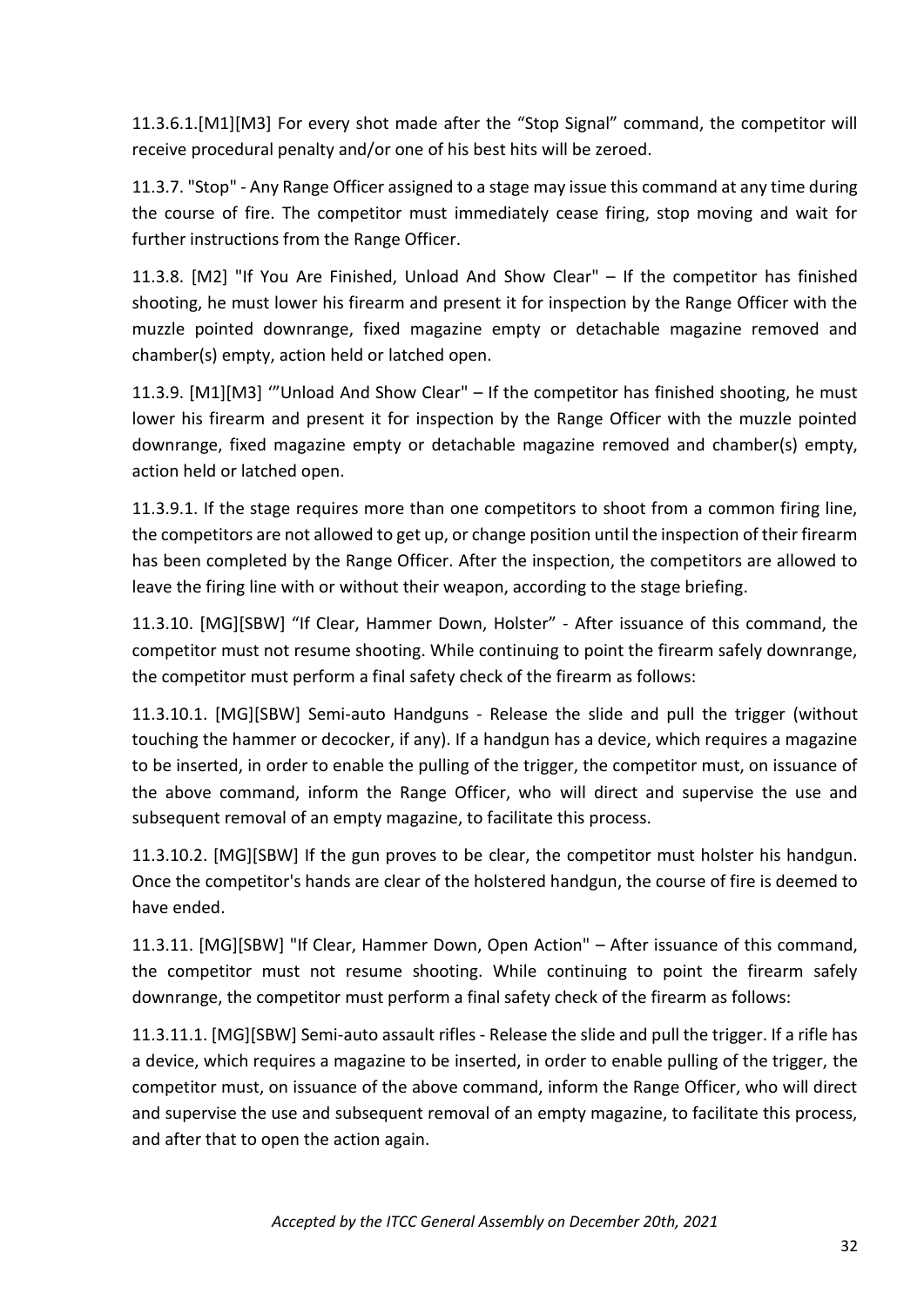11.3.6.1.[M1][M3] For every shot made after the "Stop Signal" command, the competitor will receive procedural penalty and/or one of his best hits will be zeroed.

11.3.7. "Stop" - Any Range Officer assigned to a stage may issue this command at any time during the course of fire. The competitor must immediately cease firing, stop moving and wait for further instructions from the Range Officer.

11.3.8. [M2] "If You Are Finished, Unload And Show Clear" – If the competitor has finished shooting, he must lower his firearm and present it for inspection by the Range Officer with the muzzle pointed downrange, fixed magazine empty or detachable magazine removed and chamber(s) empty, action held or latched open.

11.3.9. [M1][M3] '"Unload And Show Clear" – If the competitor has finished shooting, he must lower his firearm and present it for inspection by the Range Officer with the muzzle pointed downrange, fixed magazine empty or detachable magazine removed and chamber(s) empty, action held or latched open.

11.3.9.1. If the stage requires more than one competitors to shoot from a common firing line, the competitors are not allowed to get up, or change position until the inspection of their firearm has been completed by the Range Officer. After the inspection, the competitors are allowed to leave the firing line with or without their weapon, according to the stage briefing.

11.3.10. [MG][SBW] "If Clear, Hammer Down, Holster" - After issuance of this command, the competitor must not resume shooting. While continuing to point the firearm safely downrange, the competitor must perform a final safety check of the firearm as follows:

11.3.10.1. [MG][SBW] Semi-auto Handguns - Release the slide and pull the trigger (without touching the hammer or decocker, if any). If a handgun has a device, which requires a magazine to be inserted, in order to enable the pulling of the trigger, the competitor must, on issuance of the above command, inform the Range Officer, who will direct and supervise the use and subsequent removal of an empty magazine, to facilitate this process.

11.3.10.2. [MG][SBW] If the gun proves to be clear, the competitor must holster his handgun. Once the competitor's hands are clear of the holstered handgun, the course of fire is deemed to have ended.

11.3.11. [MG][SBW] "If Clear, Hammer Down, Open Action" – After issuance of this command, the competitor must not resume shooting. While continuing to point the firearm safely downrange, the competitor must perform a final safety check of the firearm as follows:

11.3.11.1. [MG][SBW] Semi-auto assault rifles - Release the slide and pull the trigger. If a rifle has a device, which requires a magazine to be inserted, in order to enable pulling of the trigger, the competitor must, on issuance of the above command, inform the Range Officer, who will direct and supervise the use and subsequent removal of an empty magazine, to facilitate this process, and after that to open the action again.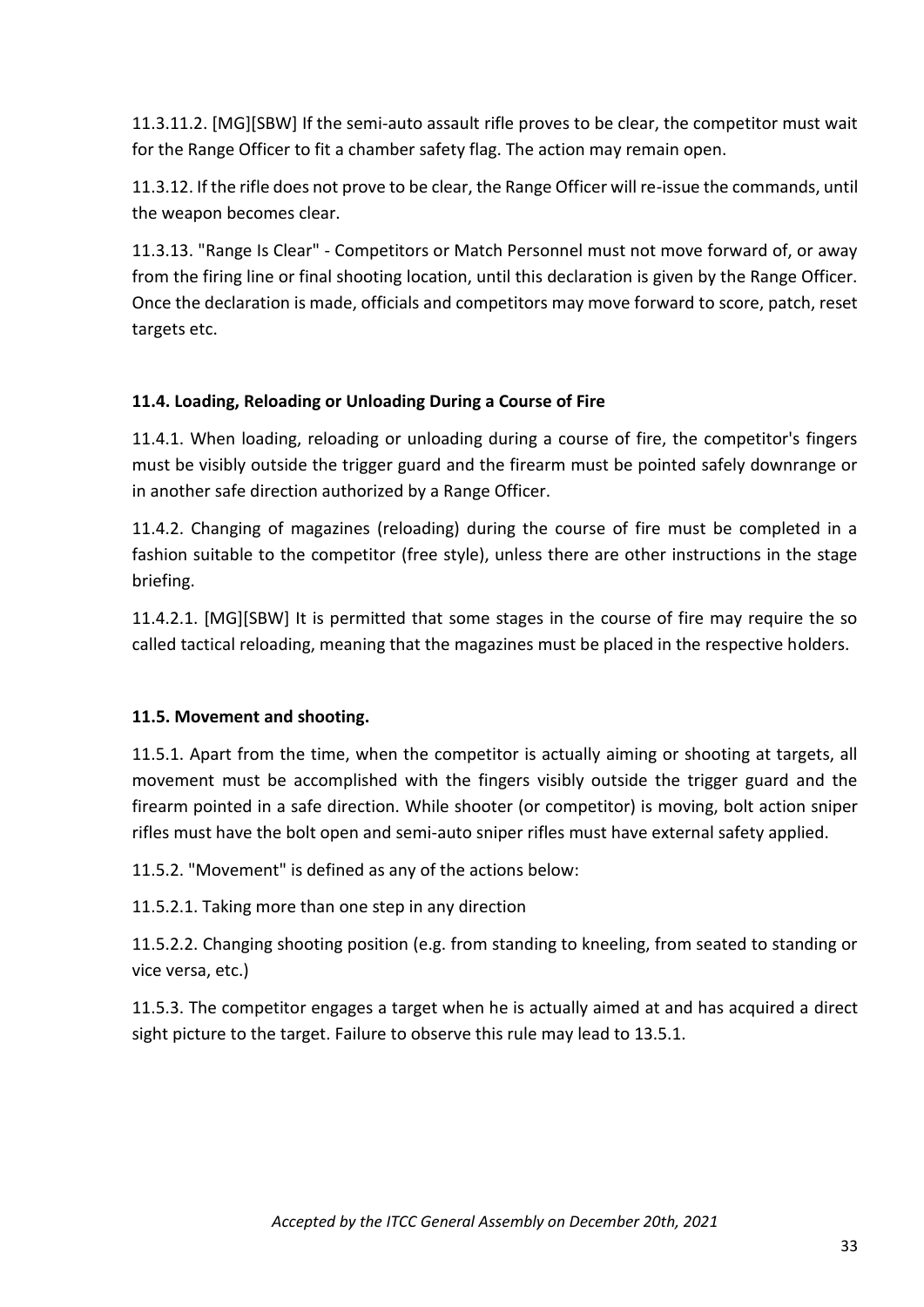11.3.11.2. [MG][SBW] If the semi-auto assault rifle proves to be clear, the competitor must wait for the Range Officer to fit a chamber safety flag. The action may remain open.

11.3.12. If the rifle does not prove to be clear, the Range Officer will re-issue the commands, until the weapon becomes clear.

11.3.13. "Range Is Clear" - Competitors or Match Personnel must not move forward of, or away from the firing line or final shooting location, until this declaration is given by the Range Officer. Once the declaration is made, officials and competitors may move forward to score, patch, reset targets etc.

# **11.4. Loading, Reloading or Unloading During a Course of Fire**

11.4.1. When loading, reloading or unloading during a course of fire, the competitor's fingers must be visibly outside the trigger guard and the firearm must be pointed safely downrange or in another safe direction authorized by a Range Officer.

11.4.2. Changing of magazines (reloading) during the course of fire must be completed in a fashion suitable to the competitor (free style), unless there are other instructions in the stage briefing.

11.4.2.1. [MG][SBW] It is permitted that some stages in the course of fire may require the so called tactical reloading, meaning that the magazines must be placed in the respective holders.

#### **11.5. Movement and shooting.**

11.5.1. Apart from the time, when the competitor is actually aiming or shooting at targets, all movement must be accomplished with the fingers visibly outside the trigger guard and the firearm pointed in a safe direction. While shooter (or competitor) is moving, bolt action sniper rifles must have the bolt open and semi-auto sniper rifles must have external safety applied.

11.5.2. "Movement" is defined as any of the actions below:

11.5.2.1. Taking more than one step in any direction

11.5.2.2. Changing shooting position (e.g. from standing to kneeling, from seated to standing or vice versa, etc.)

11.5.3. The competitor engages a target when he is actually aimed at and has acquired a direct sight picture to the target. Failure to observe this rule may lead to 13.5.1.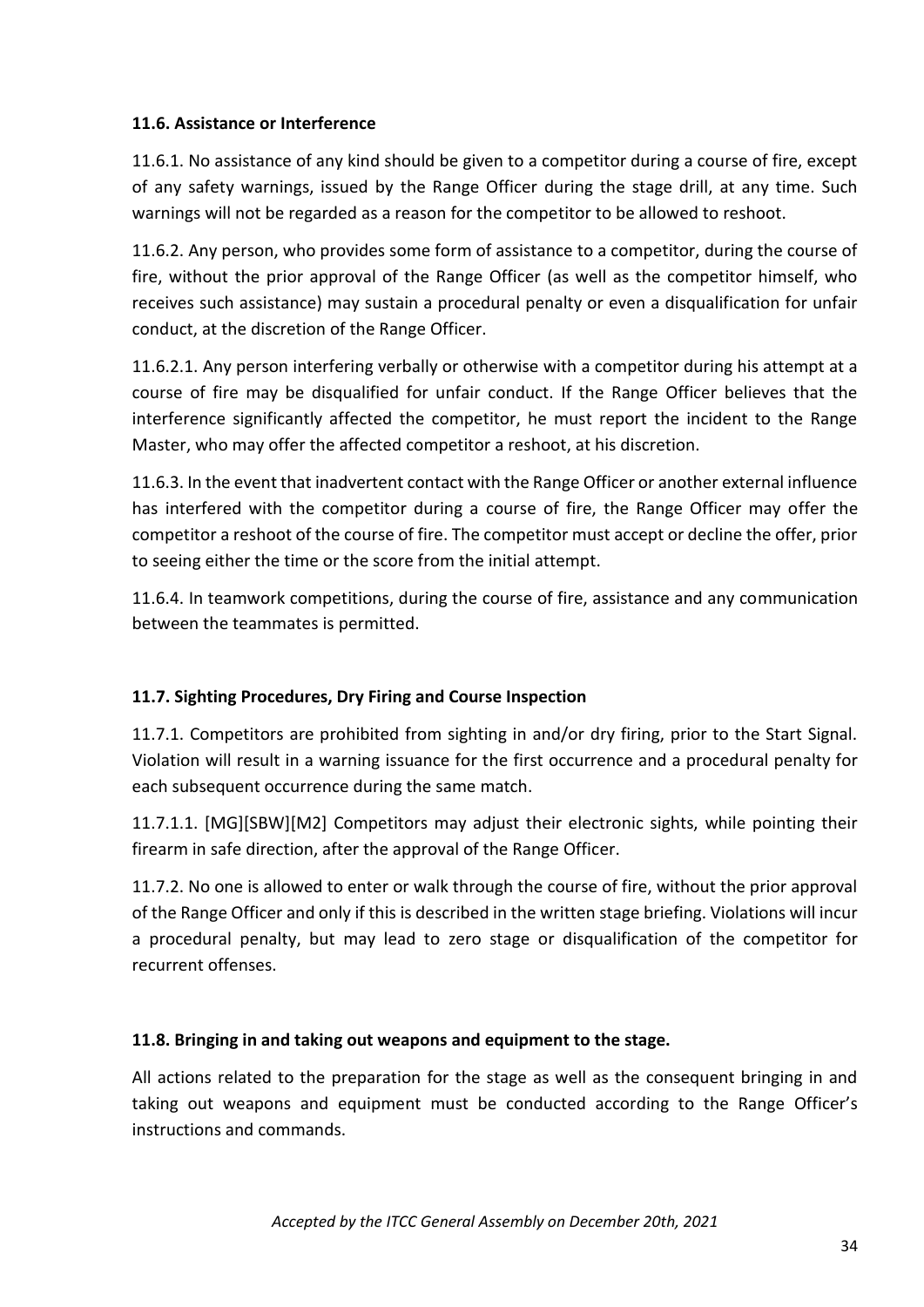## **11.6. Assistance or Interference**

11.6.1. No assistance of any kind should be given to a competitor during a course of fire, except of any safety warnings, issued by the Range Officer during the stage drill, at any time. Such warnings will not be regarded as a reason for the competitor to be allowed to reshoot.

11.6.2. Any person, who provides some form of assistance to a competitor, during the course of fire, without the prior approval of the Range Officer (as well as the competitor himself, who receives such assistance) may sustain a procedural penalty or even a disqualification for unfair conduct, at the discretion of the Range Officer.

11.6.2.1. Any person interfering verbally or otherwise with a competitor during his attempt at a course of fire may be disqualified for unfair conduct. If the Range Officer believes that the interference significantly affected the competitor, he must report the incident to the Range Master, who may offer the affected competitor a reshoot, at his discretion.

11.6.3. In the event that inadvertent contact with the Range Officer or another external influence has interfered with the competitor during a course of fire, the Range Officer may offer the competitor a reshoot of the course of fire. The competitor must accept or decline the offer, prior to seeing either the time or the score from the initial attempt.

11.6.4. In teamwork competitions, during the course of fire, assistance and any communication between the teammates is permitted.

# **11.7. Sighting Procedures, Dry Firing and Course Inspection**

11.7.1. Competitors are prohibited from sighting in and/or dry firing, prior to the Start Signal. Violation will result in a warning issuance for the first occurrence and a procedural penalty for each subsequent occurrence during the same match.

11.7.1.1. [MG][SBW][M2] Competitors may adjust their electronic sights, while pointing their firearm in safe direction, after the approval of the Range Officer.

11.7.2. No one is allowed to enter or walk through the course of fire, without the prior approval of the Range Officer and only if this is described in the written stage briefing. Violations will incur a procedural penalty, but may lead to zero stage or disqualification of the competitor for recurrent offenses.

# **11.8. Bringing in and taking out weapons and equipment to the stage.**

All actions related to the preparation for the stage as well as the consequent bringing in and taking out weapons and equipment must be conducted according to the Range Officer's instructions and commands.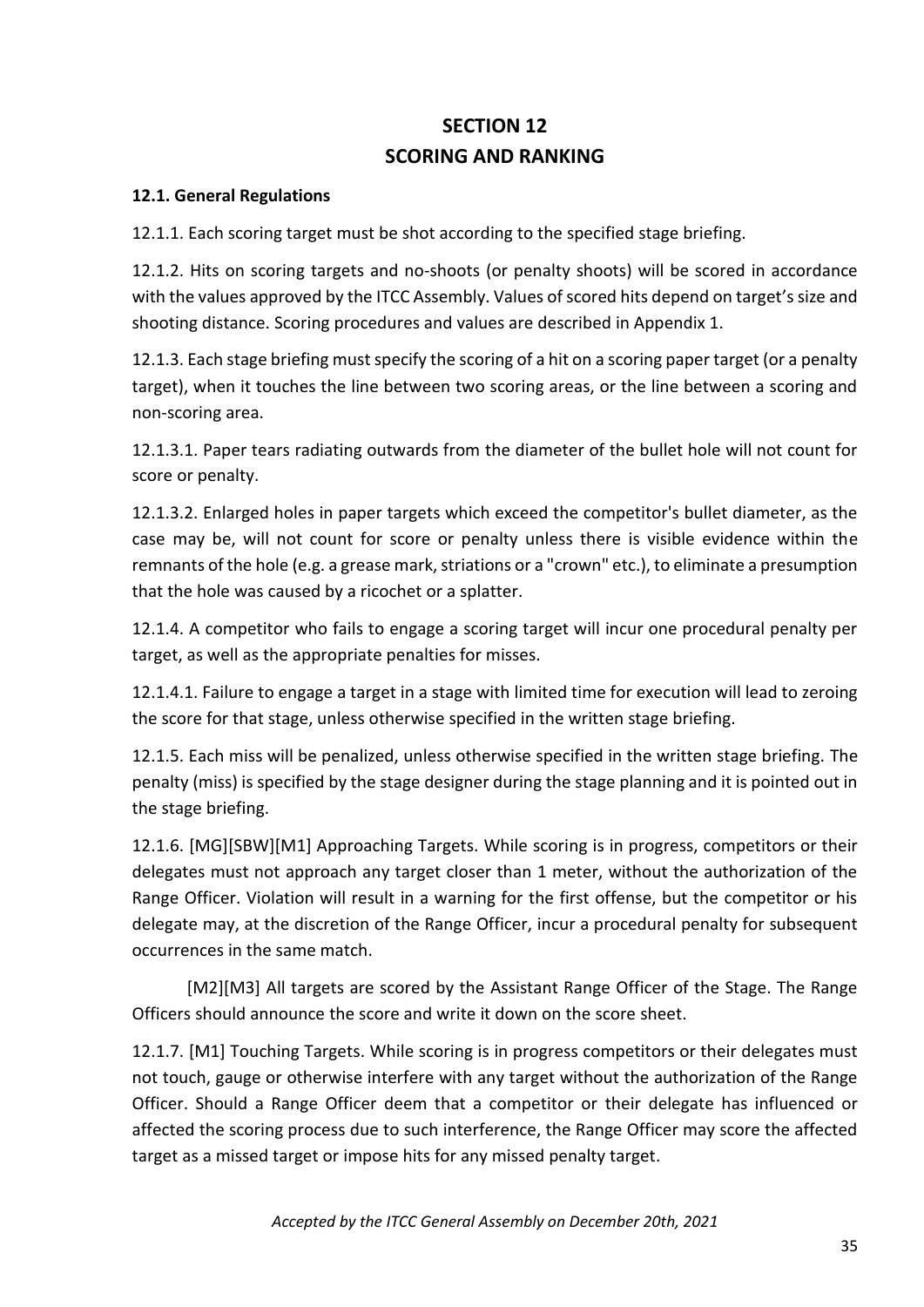# **SECTION 12 SCORING AND RANKING**

## **12.1. General Regulations**

12.1.1. Each scoring target must be shot according to the specified stage briefing.

12.1.2. Hits on scoring targets and no-shoots (or penalty shoots) will be scored in accordance with the values approved by the ITCC Assembly. Values of scored hits depend on target's size and shooting distance. Scoring procedures and values are described in Appendix 1.

12.1.3. Each stage briefing must specify the scoring of a hit on a scoring paper target (or a penalty target), when it touches the line between two scoring areas, or the line between a scoring and non-scoring area.

12.1.3.1. Paper tears radiating outwards from the diameter of the bullet hole will not count for score or penalty.

12.1.3.2. Enlarged holes in paper targets which exceed the competitor's bullet diameter, as the case may be, will not count for score or penalty unless there is visible evidence within the remnants of the hole (e.g. a grease mark, striations or a "crown" etc.), to eliminate a presumption that the hole was caused by a ricochet or a splatter.

12.1.4. A competitor who fails to engage a scoring target will incur one procedural penalty per target, as well as the appropriate penalties for misses.

12.1.4.1. Failure to engage a target in a stage with limited time for execution will lead to zeroing the score for that stage, unless otherwise specified in the written stage briefing.

12.1.5. Each miss will be penalized, unless otherwise specified in the written stage briefing. The penalty (miss) is specified by the stage designer during the stage planning and it is pointed out in the stage briefing.

12.1.6. [MG][SBW][M1] Approaching Targets. While scoring is in progress, competitors or their delegates must not approach any target closer than 1 meter, without the authorization of the Range Officer. Violation will result in a warning for the first offense, but the competitor or his delegate may, at the discretion of the Range Officer, incur a procedural penalty for subsequent occurrences in the same match.

[M2][M3] All targets are scored by the Assistant Range Officer of the Stage. The Range Officers should announce the score and write it down on the score sheet.

12.1.7. [M1] Touching Targets. While scoring is in progress competitors or their delegates must not touch, gauge or otherwise interfere with any target without the authorization of the Range Officer. Should a Range Officer deem that a competitor or their delegate has influenced or affected the scoring process due to such interference, the Range Officer may score the affected target as a missed target or impose hits for any missed penalty target.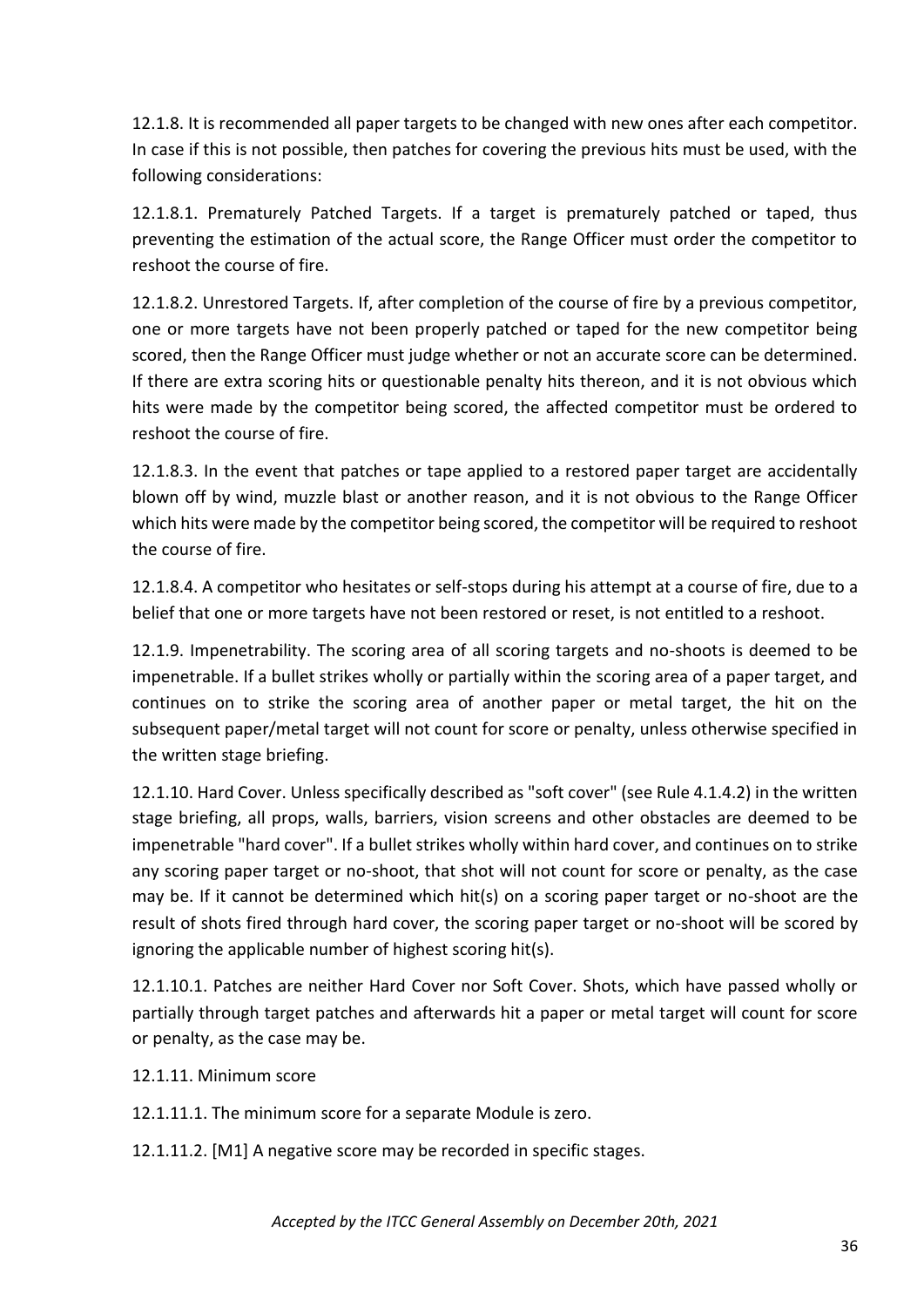12.1.8. It is recommended all paper targets to be changed with new ones after each competitor. In case if this is not possible, then patches for covering the previous hits must be used, with the following considerations:

12.1.8.1. Prematurely Patched Targets. If a target is prematurely patched or taped, thus preventing the estimation of the actual score, the Range Officer must order the competitor to reshoot the course of fire.

12.1.8.2. Unrestored Targets. If, after completion of the course of fire by a previous competitor, one or more targets have not been properly patched or taped for the new competitor being scored, then the Range Officer must judge whether or not an accurate score can be determined. If there are extra scoring hits or questionable penalty hits thereon, and it is not obvious which hits were made by the competitor being scored, the affected competitor must be ordered to reshoot the course of fire.

12.1.8.3. In the event that patches or tape applied to a restored paper target are accidentally blown off by wind, muzzle blast or another reason, and it is not obvious to the Range Officer which hits were made by the competitor being scored, the competitor will be required to reshoot the course of fire.

12.1.8.4. A competitor who hesitates or self-stops during his attempt at a course of fire, due to a belief that one or more targets have not been restored or reset, is not entitled to a reshoot.

12.1.9. Impenetrability. The scoring area of all scoring targets and no-shoots is deemed to be impenetrable. If a bullet strikes wholly or partially within the scoring area of a paper target, and continues on to strike the scoring area of another paper or metal target, the hit on the subsequent paper/metal target will not count for score or penalty, unless otherwise specified in the written stage briefing.

12.1.10. Hard Cover. Unless specifically described as "soft cover" (see Rule 4.1.4.2) in the written stage briefing, all props, walls, barriers, vision screens and other obstacles are deemed to be impenetrable "hard cover". If a bullet strikes wholly within hard cover, and continues on to strike any scoring paper target or no-shoot, that shot will not count for score or penalty, as the case may be. If it cannot be determined which hit(s) on a scoring paper target or no-shoot are the result of shots fired through hard cover, the scoring paper target or no-shoot will be scored by ignoring the applicable number of highest scoring hit(s).

12.1.10.1. Patches are neither Hard Cover nor Soft Cover. Shots, which have passed wholly or partially through target patches and afterwards hit a paper or metal target will count for score or penalty, as the case may be.

- 12.1.11. Minimum score
- 12.1.11.1. The minimum score for a separate Module is zero.
- 12.1.11.2. [M1] A negative score may be recorded in specific stages.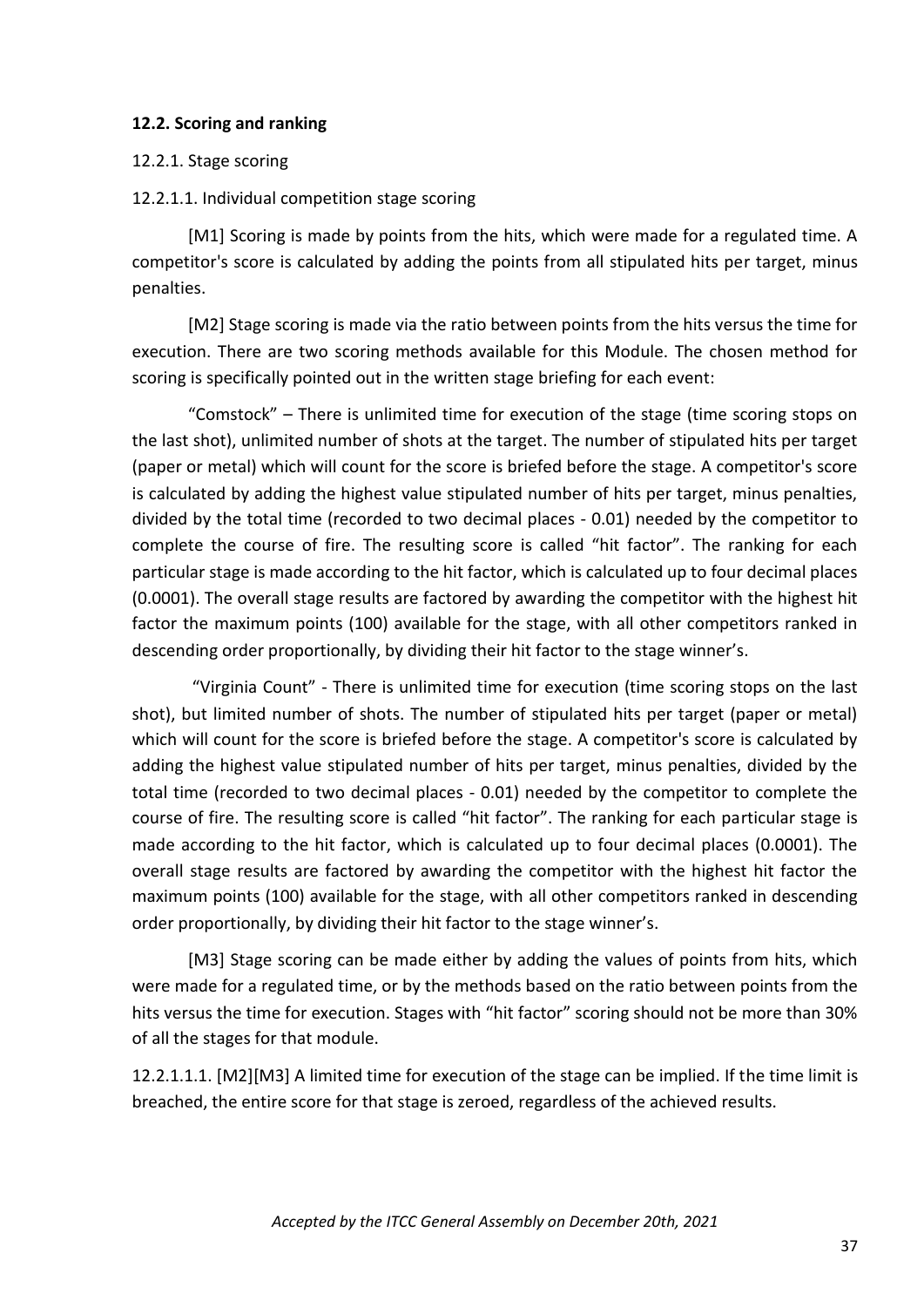#### **12.2. Scoring and ranking**

#### 12.2.1. Stage scoring

#### 12.2.1.1. Individual competition stage scoring

[M1] Scoring is made by points from the hits, which were made for a regulated time. A competitor's score is calculated by adding the points from all stipulated hits per target, minus penalties.

[M2] Stage scoring is made via the ratio between points from the hits versus the time for execution. There are two scoring methods available for this Module. The chosen method for scoring is specifically pointed out in the written stage briefing for each event:

"Comstock" – There is unlimited time for execution of the stage (time scoring stops on the last shot), unlimited number of shots at the target. The number of stipulated hits per target (paper or metal) which will count for the score is briefed before the stage. A competitor's score is calculated by adding the highest value stipulated number of hits per target, minus penalties, divided by the total time (recorded to two decimal places - 0.01) needed by the competitor to complete the course of fire. The resulting score is called "hit factor". The ranking for each particular stage is made according to the hit factor, which is calculated up to four decimal places (0.0001). The overall stage results are factored by awarding the competitor with the highest hit factor the maximum points (100) available for the stage, with all other competitors ranked in descending order proportionally, by dividing their hit factor to the stage winner's.

"Virginia Count" - There is unlimited time for execution (time scoring stops on the last shot), but limited number of shots. The number of stipulated hits per target (paper or metal) which will count for the score is briefed before the stage. A competitor's score is calculated by adding the highest value stipulated number of hits per target, minus penalties, divided by the total time (recorded to two decimal places - 0.01) needed by the competitor to complete the course of fire. The resulting score is called "hit factor". The ranking for each particular stage is made according to the hit factor, which is calculated up to four decimal places (0.0001). The overall stage results are factored by awarding the competitor with the highest hit factor the maximum points (100) available for the stage, with all other competitors ranked in descending order proportionally, by dividing their hit factor to the stage winner's.

[M3] Stage scoring can be made either by adding the values of points from hits, which were made for a regulated time, or by the methods based on the ratio between points from the hits versus the time for execution. Stages with "hit factor" scoring should not be more than 30% of all the stages for that module.

12.2.1.1.1. [M2][M3] A limited time for execution of the stage can be implied. If the time limit is breached, the entire score for that stage is zeroed, regardless of the achieved results.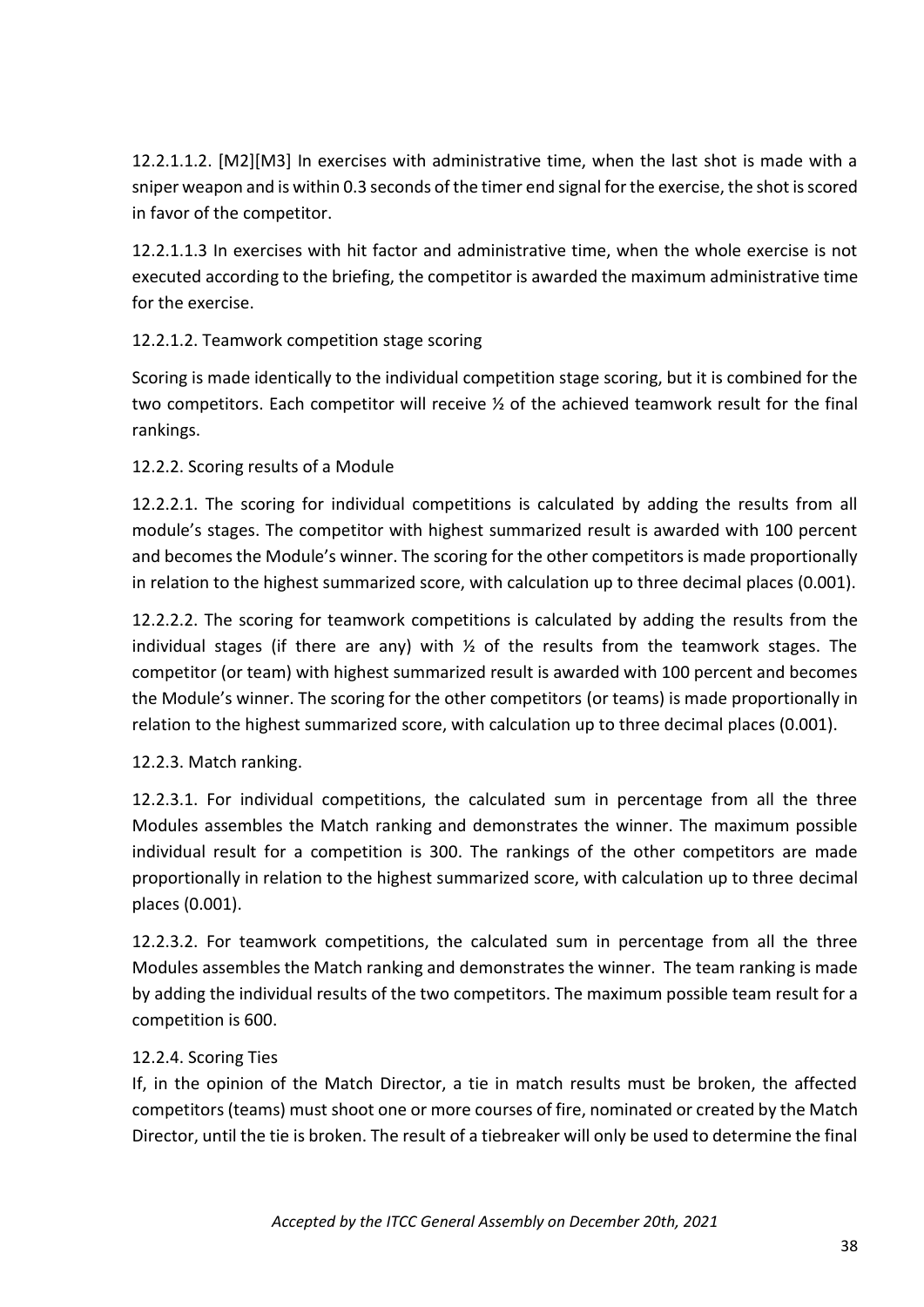12.2.1.1.2. [M2][M3] In exercises with administrative time, when the last shot is made with a sniper weapon and is within 0.3 seconds of the timer end signal for the exercise, the shot is scored in favor of the competitor.

12.2.1.1.3 In exercises with hit factor and administrative time, when the whole exercise is not executed according to the briefing, the competitor is awarded the maximum administrative time for the exercise.

# 12.2.1.2. Teamwork competition stage scoring

Scoring is made identically to the individual competition stage scoring, but it is combined for the two competitors. Each competitor will receive ½ of the achieved teamwork result for the final rankings.

# 12.2.2. Scoring results of a Module

12.2.2.1. The scoring for individual competitions is calculated by adding the results from all module's stages. The competitor with highest summarized result is awarded with 100 percent and becomes the Module's winner. The scoring for the other competitors is made proportionally in relation to the highest summarized score, with calculation up to three decimal places (0.001).

12.2.2.2. The scoring for teamwork competitions is calculated by adding the results from the individual stages (if there are any) with  $\frac{1}{2}$  of the results from the teamwork stages. The competitor (or team) with highest summarized result is awarded with 100 percent and becomes the Module's winner. The scoring for the other competitors (or teams) is made proportionally in relation to the highest summarized score, with calculation up to three decimal places (0.001).

#### 12.2.3. Match ranking.

12.2.3.1. For individual competitions, the calculated sum in percentage from all the three Modules assembles the Match ranking and demonstrates the winner. The maximum possible individual result for a competition is 300. The rankings of the other competitors are made proportionally in relation to the highest summarized score, with calculation up to three decimal places (0.001).

12.2.3.2. For teamwork competitions, the calculated sum in percentage from all the three Modules assembles the Match ranking and demonstrates the winner. The team ranking is made by adding the individual results of the two competitors. The maximum possible team result for a competition is 600.

#### 12.2.4. Scoring Ties

If, in the opinion of the Match Director, a tie in match results must be broken, the affected competitors (teams) must shoot one or more courses of fire, nominated or created by the Match Director, until the tie is broken. The result of a tiebreaker will only be used to determine the final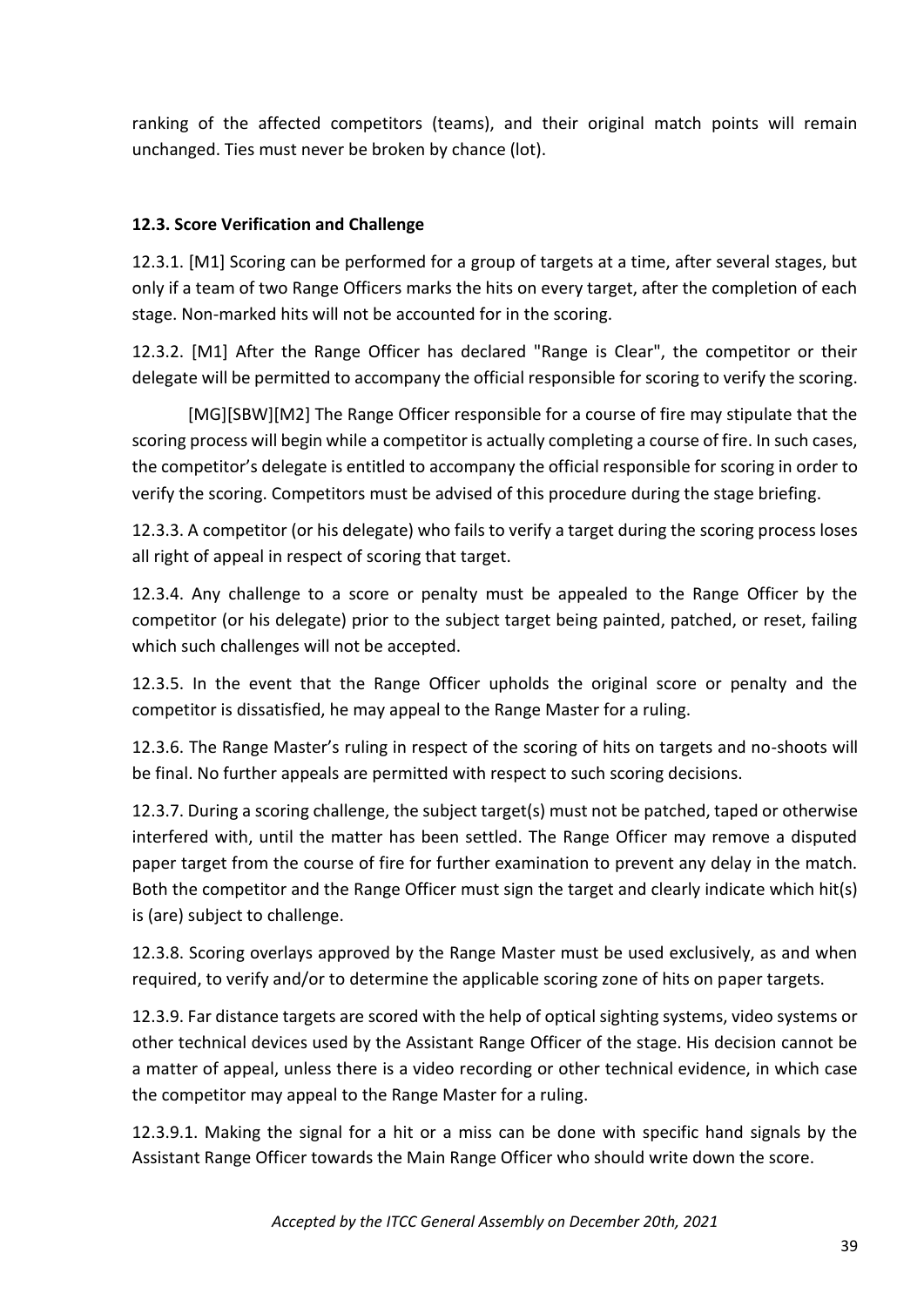ranking of the affected competitors (teams), and their original match points will remain unchanged. Ties must never be broken by chance (lot).

# **12.3. Score Verification and Challenge**

12.3.1. [M1] Scoring can be performed for a group of targets at a time, after several stages, but only if a team of two Range Officers marks the hits on every target, after the completion of each stage. Non-marked hits will not be accounted for in the scoring.

12.3.2. [M1] After the Range Officer has declared "Range is Clear", the competitor or their delegate will be permitted to accompany the official responsible for scoring to verify the scoring.

[MG][SBW][M2] The Range Officer responsible for a course of fire may stipulate that the scoring process will begin while a competitor is actually completing a course of fire. In such cases, the competitor's delegate is entitled to accompany the official responsible for scoring in order to verify the scoring. Competitors must be advised of this procedure during the stage briefing.

12.3.3. A competitor (or his delegate) who fails to verify a target during the scoring process loses all right of appeal in respect of scoring that target.

12.3.4. Any challenge to a score or penalty must be appealed to the Range Officer by the competitor (or his delegate) prior to the subject target being painted, patched, or reset, failing which such challenges will not be accepted.

12.3.5. In the event that the Range Officer upholds the original score or penalty and the competitor is dissatisfied, he may appeal to the Range Master for a ruling.

12.3.6. The Range Master's ruling in respect of the scoring of hits on targets and no-shoots will be final. No further appeals are permitted with respect to such scoring decisions.

12.3.7. During a scoring challenge, the subject target(s) must not be patched, taped or otherwise interfered with, until the matter has been settled. The Range Officer may remove a disputed paper target from the course of fire for further examination to prevent any delay in the match. Both the competitor and the Range Officer must sign the target and clearly indicate which hit(s) is (are) subject to challenge.

12.3.8. Scoring overlays approved by the Range Master must be used exclusively, as and when required, to verify and/or to determine the applicable scoring zone of hits on paper targets.

12.3.9. Far distance targets are scored with the help of optical sighting systems, video systems or other technical devices used by the Assistant Range Officer of the stage. His decision cannot be a matter of appeal, unless there is a video recording or other technical evidence, in which case the competitor may appeal to the Range Master for a ruling.

12.3.9.1. Making the signal for a hit or a miss can be done with specific hand signals by the Assistant Range Officer towards the Main Range Officer who should write down the score.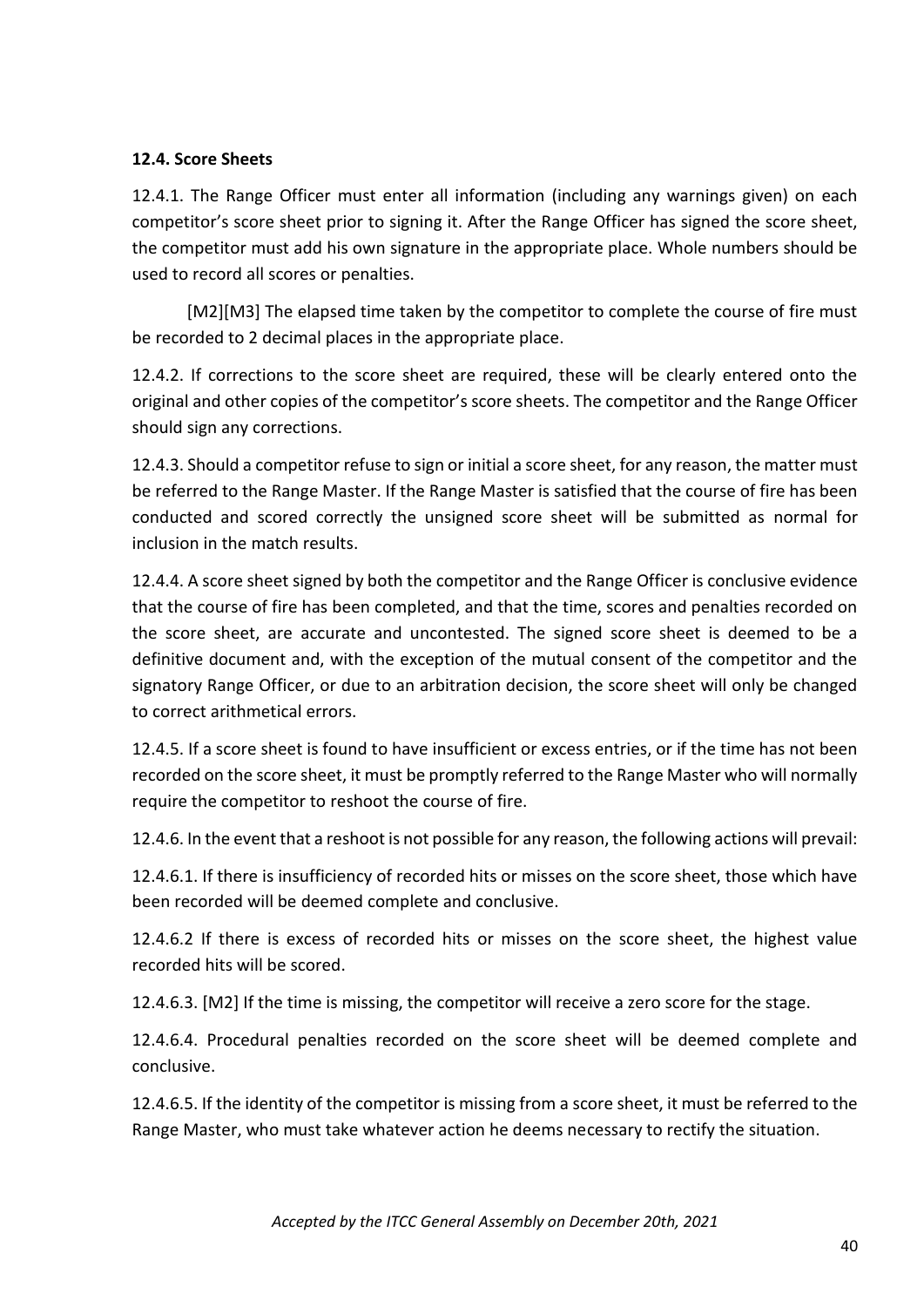#### **12.4. Score Sheets**

12.4.1. The Range Officer must enter all information (including any warnings given) on each competitor's score sheet prior to signing it. After the Range Officer has signed the score sheet, the competitor must add his own signature in the appropriate place. Whole numbers should be used to record all scores or penalties.

[M2][M3] The elapsed time taken by the competitor to complete the course of fire must be recorded to 2 decimal places in the appropriate place.

12.4.2. If corrections to the score sheet are required, these will be clearly entered onto the original and other copies of the competitor's score sheets. The competitor and the Range Officer should sign any corrections.

12.4.3. Should a competitor refuse to sign or initial a score sheet, for any reason, the matter must be referred to the Range Master. If the Range Master is satisfied that the course of fire has been conducted and scored correctly the unsigned score sheet will be submitted as normal for inclusion in the match results.

12.4.4. A score sheet signed by both the competitor and the Range Officer is conclusive evidence that the course of fire has been completed, and that the time, scores and penalties recorded on the score sheet, are accurate and uncontested. The signed score sheet is deemed to be a definitive document and, with the exception of the mutual consent of the competitor and the signatory Range Officer, or due to an arbitration decision, the score sheet will only be changed to correct arithmetical errors.

12.4.5. If a score sheet is found to have insufficient or excess entries, or if the time has not been recorded on the score sheet, it must be promptly referred to the Range Master who will normally require the competitor to reshoot the course of fire.

12.4.6. In the event that a reshoot is not possible for any reason, the following actions will prevail:

12.4.6.1. If there is insufficiency of recorded hits or misses on the score sheet, those which have been recorded will be deemed complete and conclusive.

12.4.6.2 If there is excess of recorded hits or misses on the score sheet, the highest value recorded hits will be scored.

12.4.6.3. [M2] If the time is missing, the competitor will receive a zero score for the stage.

12.4.6.4. Procedural penalties recorded on the score sheet will be deemed complete and conclusive.

12.4.6.5. If the identity of the competitor is missing from a score sheet, it must be referred to the Range Master, who must take whatever action he deems necessary to rectify the situation.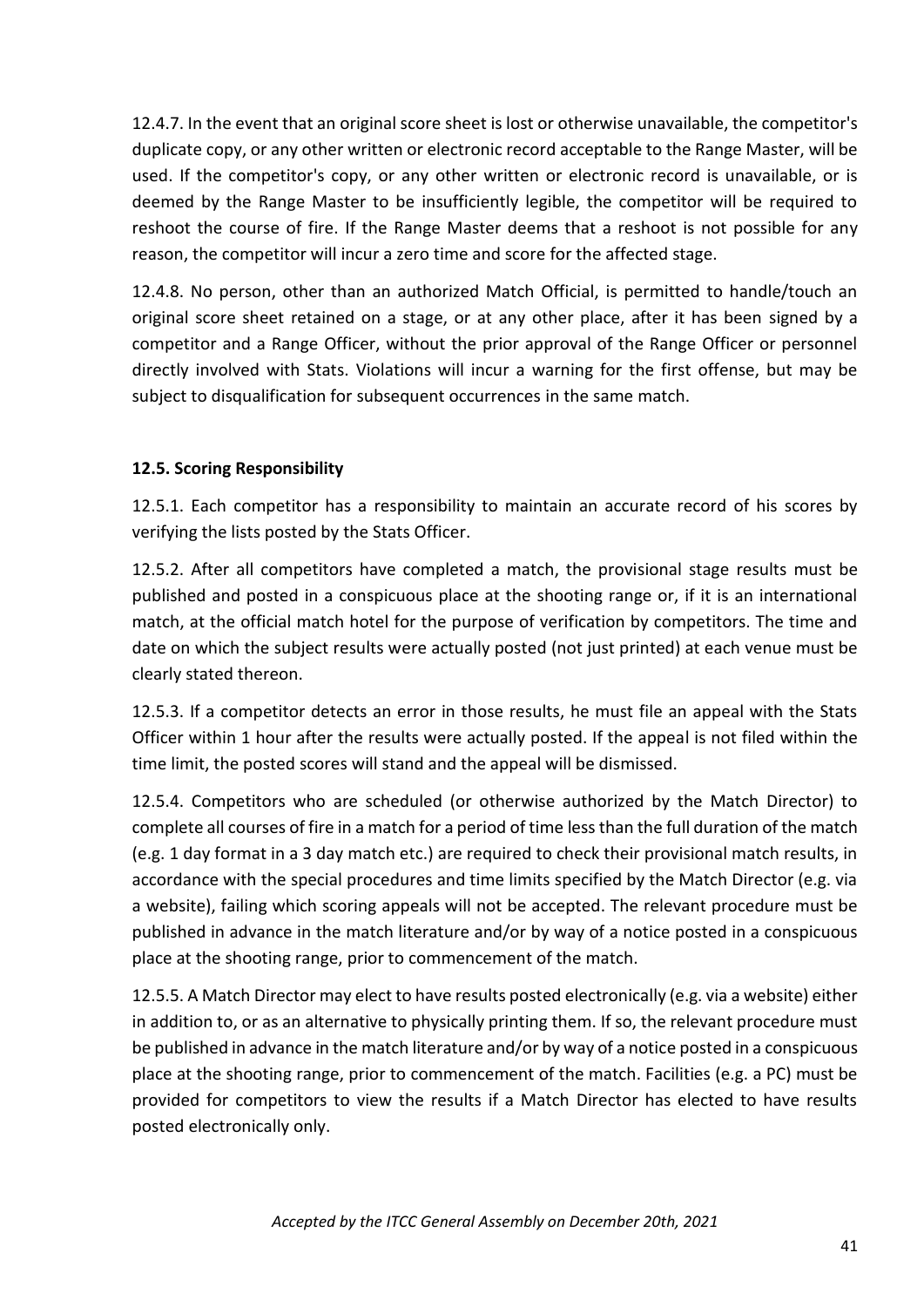12.4.7. In the event that an original score sheet is lost or otherwise unavailable, the competitor's duplicate copy, or any other written or electronic record acceptable to the Range Master, will be used. If the competitor's copy, or any other written or electronic record is unavailable, or is deemed by the Range Master to be insufficiently legible, the competitor will be required to reshoot the course of fire. If the Range Master deems that a reshoot is not possible for any reason, the competitor will incur a zero time and score for the affected stage.

12.4.8. No person, other than an authorized Match Official, is permitted to handle/touch an original score sheet retained on a stage, or at any other place, after it has been signed by a competitor and a Range Officer, without the prior approval of the Range Officer or personnel directly involved with Stats. Violations will incur a warning for the first offense, but may be subject to disqualification for subsequent occurrences in the same match.

# **12.5. Scoring Responsibility**

12.5.1. Each competitor has a responsibility to maintain an accurate record of his scores by verifying the lists posted by the Stats Officer.

12.5.2. After all competitors have completed a match, the provisional stage results must be published and posted in a conspicuous place at the shooting range or, if it is an international match, at the official match hotel for the purpose of verification by competitors. The time and date on which the subject results were actually posted (not just printed) at each venue must be clearly stated thereon.

12.5.3. If a competitor detects an error in those results, he must file an appeal with the Stats Officer within 1 hour after the results were actually posted. If the appeal is not filed within the time limit, the posted scores will stand and the appeal will be dismissed.

12.5.4. Competitors who are scheduled (or otherwise authorized by the Match Director) to complete all courses of fire in a match for a period of time less than the full duration of the match (e.g. 1 day format in a 3 day match etc.) are required to check their provisional match results, in accordance with the special procedures and time limits specified by the Match Director (e.g. via a website), failing which scoring appeals will not be accepted. The relevant procedure must be published in advance in the match literature and/or by way of a notice posted in a conspicuous place at the shooting range, prior to commencement of the match.

12.5.5. A Match Director may elect to have results posted electronically (e.g. via a website) either in addition to, or as an alternative to physically printing them. If so, the relevant procedure must be published in advance in the match literature and/or by way of a notice posted in a conspicuous place at the shooting range, prior to commencement of the match. Facilities (e.g. a PC) must be provided for competitors to view the results if a Match Director has elected to have results posted electronically only.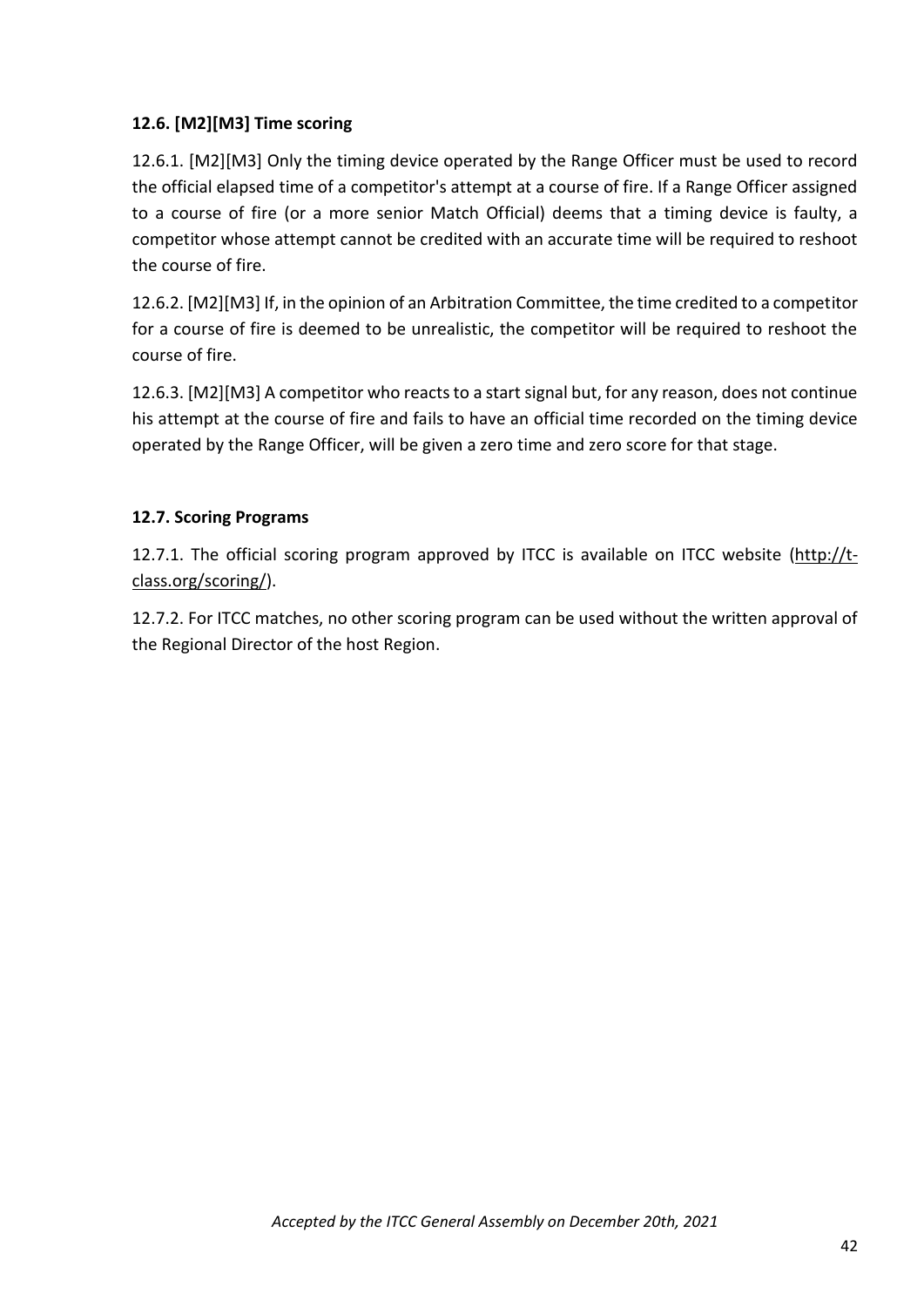# **12.6. [M2][M3] Time scoring**

12.6.1. [M2][M3] Only the timing device operated by the Range Officer must be used to record the official elapsed time of a competitor's attempt at a course of fire. If a Range Officer assigned to a course of fire (or a more senior Match Official) deems that a timing device is faulty, a competitor whose attempt cannot be credited with an accurate time will be required to reshoot the course of fire.

12.6.2. [M2][M3] If, in the opinion of an Arbitration Committee, the time credited to a competitor for a course of fire is deemed to be unrealistic, the competitor will be required to reshoot the course of fire.

12.6.3. [M2][M3] A competitor who reacts to a start signal but, for any reason, does not continue his attempt at the course of fire and fails to have an official time recorded on the timing device operated by the Range Officer, will be given a zero time and zero score for that stage.

# **12.7. Scoring Programs**

12.7.1. The official scoring program approved by ITCC is available on ITCC website [\(http://t](http://t-class.org/scoring/)[class.org/scoring/\)](http://t-class.org/scoring/).

12.7.2. For ITCC matches, no other scoring program can be used without the written approval of the Regional Director of the host Region.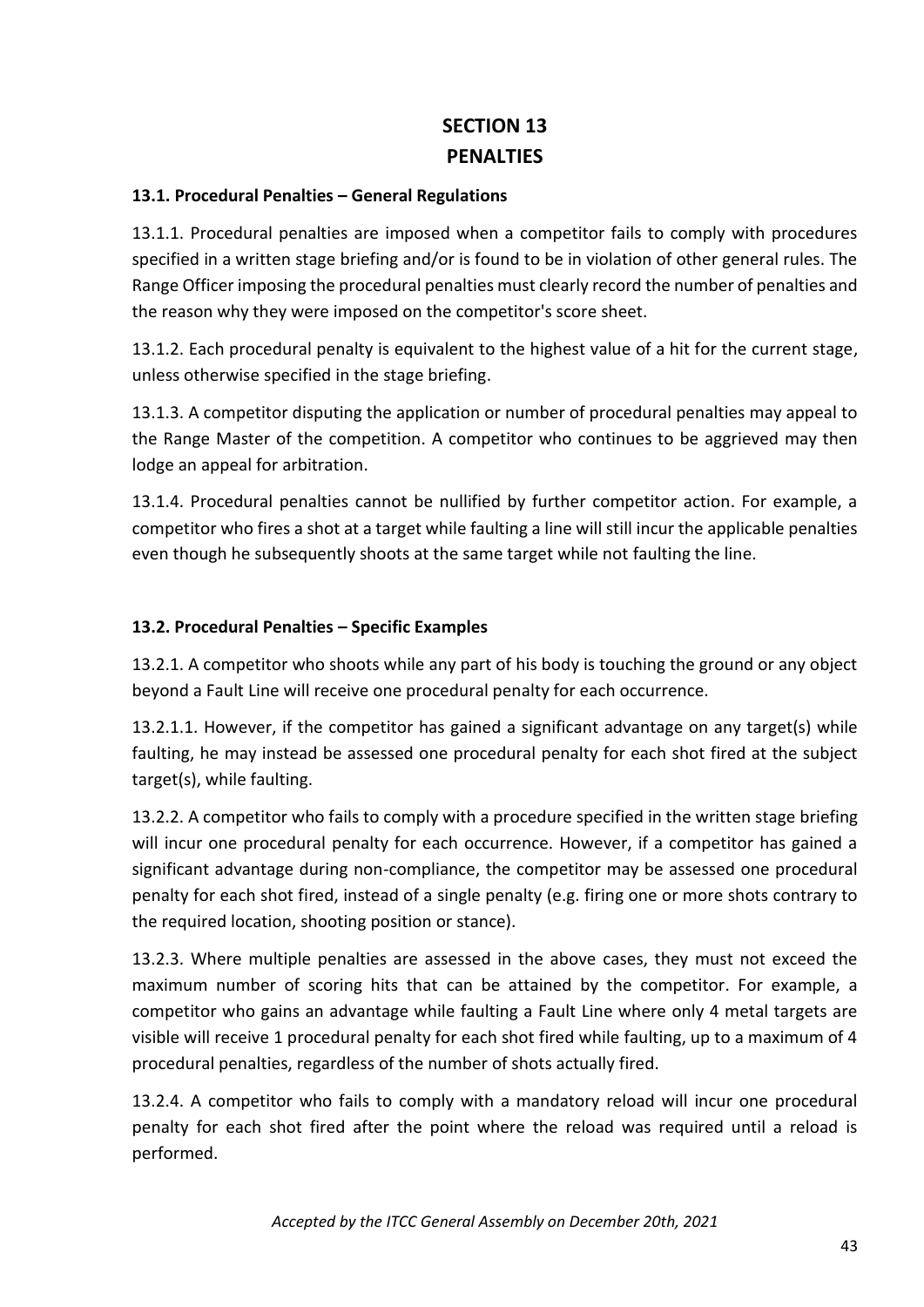# **SECTION 13 PENALTIES**

# **13.1. Procedural Penalties – General Regulations**

13.1.1. Procedural penalties are imposed when a competitor fails to comply with procedures specified in a written stage briefing and/or is found to be in violation of other general rules. The Range Officer imposing the procedural penalties must clearly record the number of penalties and the reason why they were imposed on the competitor's score sheet.

13.1.2. Each procedural penalty is equivalent to the highest value of a hit for the current stage, unless otherwise specified in the stage briefing.

13.1.3. A competitor disputing the application or number of procedural penalties may appeal to the Range Master of the competition. A competitor who continues to be aggrieved may then lodge an appeal for arbitration.

13.1.4. Procedural penalties cannot be nullified by further competitor action. For example, a competitor who fires a shot at a target while faulting a line will still incur the applicable penalties even though he subsequently shoots at the same target while not faulting the line.

# **13.2. Procedural Penalties – Specific Examples**

13.2.1. A competitor who shoots while any part of his body is touching the ground or any object beyond a Fault Line will receive one procedural penalty for each occurrence.

13.2.1.1. However, if the competitor has gained a significant advantage on any target(s) while faulting, he may instead be assessed one procedural penalty for each shot fired at the subject target(s), while faulting.

13.2.2. A competitor who fails to comply with a procedure specified in the written stage briefing will incur one procedural penalty for each occurrence. However, if a competitor has gained a significant advantage during non-compliance, the competitor may be assessed one procedural penalty for each shot fired, instead of a single penalty (e.g. firing one or more shots contrary to the required location, shooting position or stance).

13.2.3. Where multiple penalties are assessed in the above cases, they must not exceed the maximum number of scoring hits that can be attained by the competitor. For example, a competitor who gains an advantage while faulting a Fault Line where only 4 metal targets are visible will receive 1 procedural penalty for each shot fired while faulting, up to a maximum of 4 procedural penalties, regardless of the number of shots actually fired.

13.2.4. A competitor who fails to comply with a mandatory reload will incur one procedural penalty for each shot fired after the point where the reload was required until a reload is performed.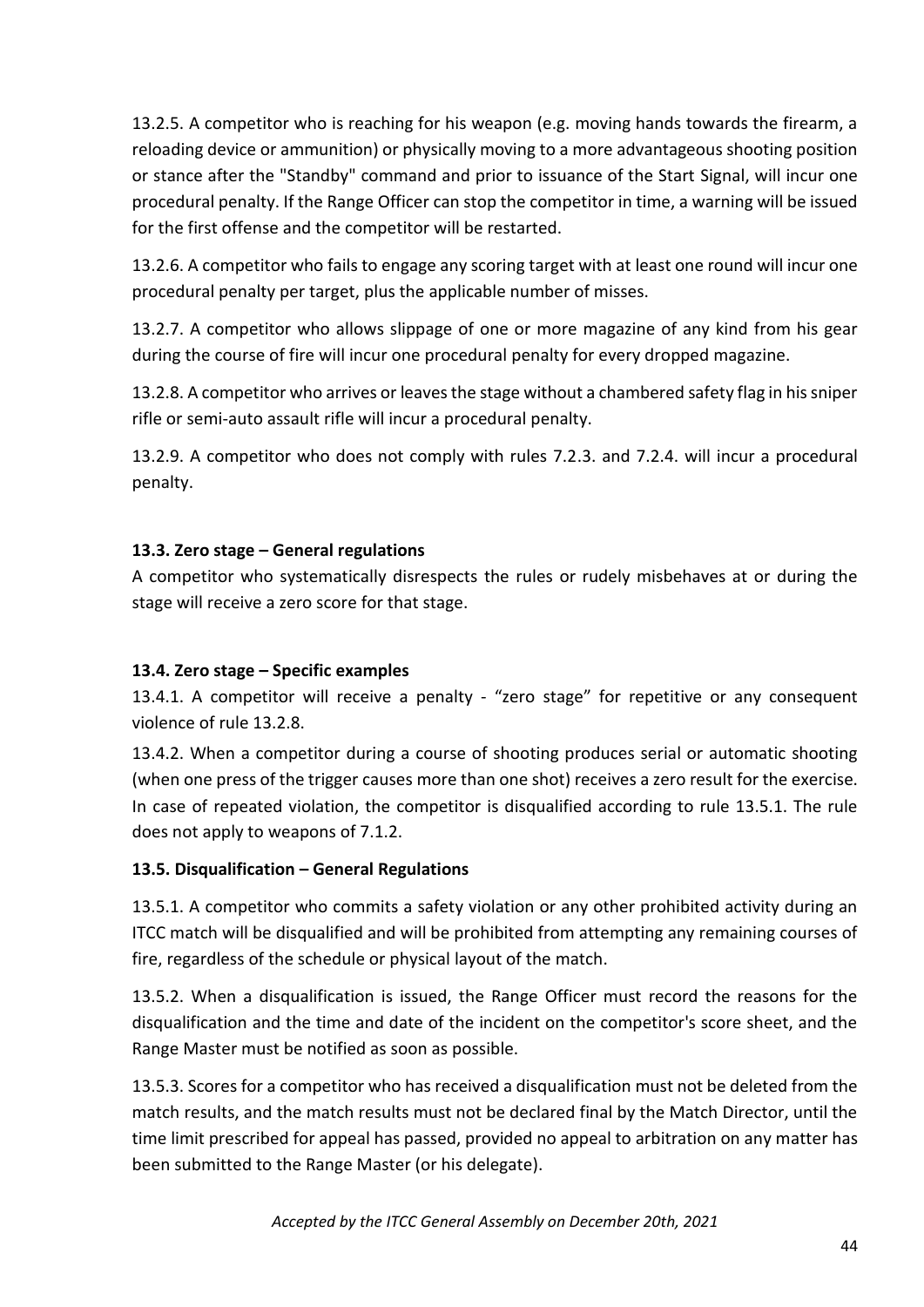13.2.5. A competitor who is reaching for his weapon (e.g. moving hands towards the firearm, a reloading device or ammunition) or physically moving to a more advantageous shooting position or stance after the "Standby" command and prior to issuance of the Start Signal, will incur one procedural penalty. If the Range Officer can stop the competitor in time, a warning will be issued for the first offense and the competitor will be restarted.

13.2.6. A competitor who fails to engage any scoring target with at least one round will incur one procedural penalty per target, plus the applicable number of misses.

13.2.7. A competitor who allows slippage of one or more magazine of any kind from his gear during the course of fire will incur one procedural penalty for every dropped magazine.

13.2.8. A competitor who arrives or leaves the stage without a chambered safety flag in his sniper rifle or semi-auto assault rifle will incur a procedural penalty.

13.2.9. A competitor who does not comply with rules 7.2.3. and 7.2.4. will incur a procedural penalty.

# **13.3. Zero stage – General regulations**

A competitor who systematically disrespects the rules or rudely misbehaves at or during the stage will receive a zero score for that stage.

# **13.4. Zero stage – Specific examples**

13.4.1. A competitor will receive a penalty - "zero stage" for repetitive or any consequent violence of rule 13.2.8.

13.4.2. When a competitor during a course of shooting produces serial or automatic shooting (when one press of the trigger causes more than one shot) receives a zero result for the exercise. In case of repeated violation, the competitor is disqualified according to rule 13.5.1. The rule does not apply to weapons of 7.1.2.

# **13.5. Disqualification – General Regulations**

13.5.1. A competitor who commits a safety violation or any other prohibited activity during an ITCC match will be disqualified and will be prohibited from attempting any remaining courses of fire, regardless of the schedule or physical layout of the match.

13.5.2. When a disqualification is issued, the Range Officer must record the reasons for the disqualification and the time and date of the incident on the competitor's score sheet, and the Range Master must be notified as soon as possible.

13.5.3. Scores for a competitor who has received a disqualification must not be deleted from the match results, and the match results must not be declared final by the Match Director, until the time limit prescribed for appeal has passed, provided no appeal to arbitration on any matter has been submitted to the Range Master (or his delegate).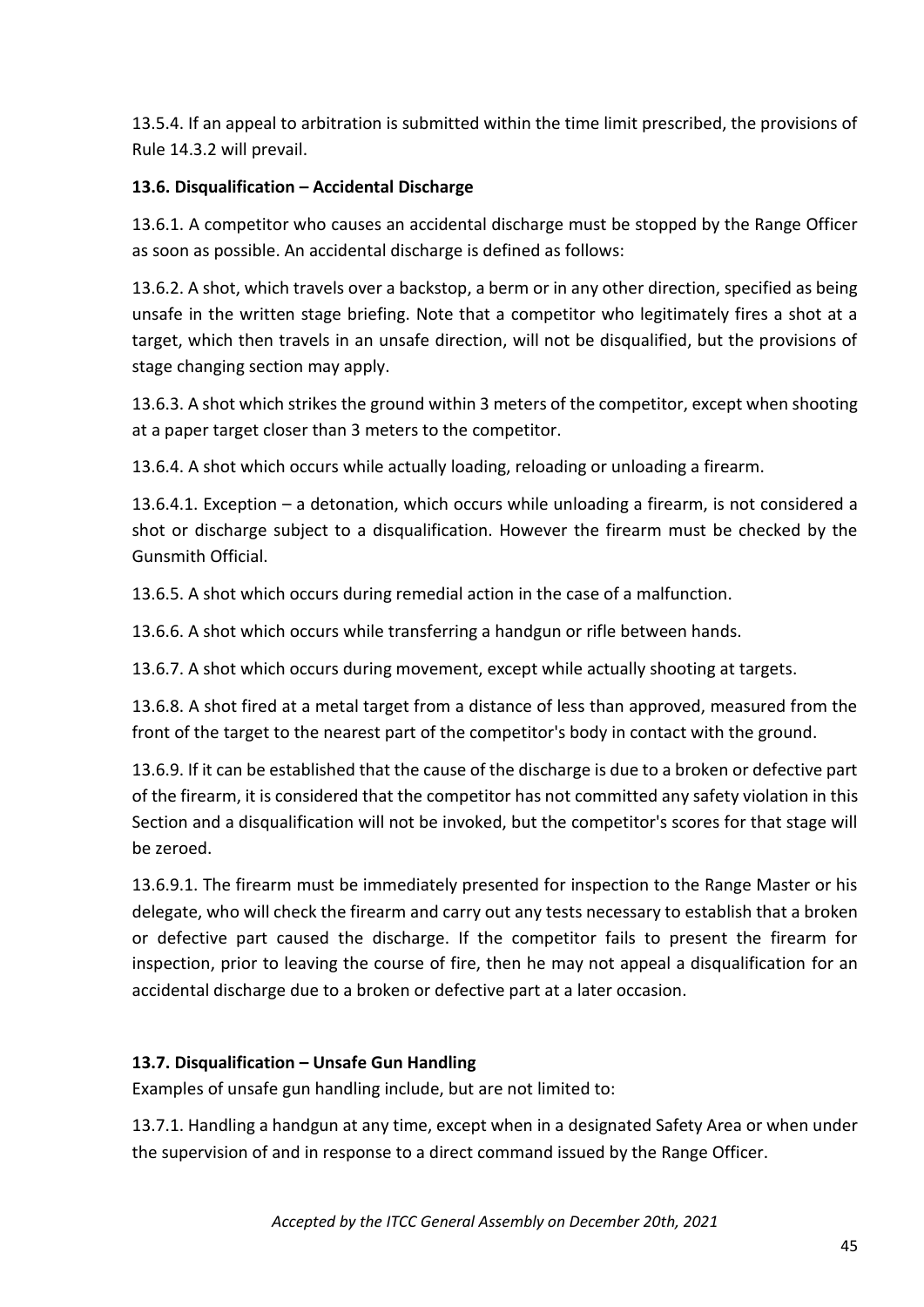13.5.4. If an appeal to arbitration is submitted within the time limit prescribed, the provisions of Rule 14.3.2 will prevail.

# **13.6. Disqualification – Accidental Discharge**

13.6.1. A competitor who causes an accidental discharge must be stopped by the Range Officer as soon as possible. An accidental discharge is defined as follows:

13.6.2. A shot, which travels over a backstop, a berm or in any other direction, specified as being unsafe in the written stage briefing. Note that a competitor who legitimately fires a shot at a target, which then travels in an unsafe direction, will not be disqualified, but the provisions of stage changing section may apply.

13.6.3. A shot which strikes the ground within 3 meters of the competitor, except when shooting at a paper target closer than 3 meters to the competitor.

13.6.4. A shot which occurs while actually loading, reloading or unloading a firearm.

13.6.4.1. Exception – a detonation, which occurs while unloading a firearm, is not considered a shot or discharge subject to a disqualification. However the firearm must be checked by the Gunsmith Official.

13.6.5. A shot which occurs during remedial action in the case of a malfunction.

13.6.6. A shot which occurs while transferring a handgun or rifle between hands.

13.6.7. A shot which occurs during movement, except while actually shooting at targets.

13.6.8. A shot fired at a metal target from a distance of less than approved, measured from the front of the target to the nearest part of the competitor's body in contact with the ground.

13.6.9. If it can be established that the cause of the discharge is due to a broken or defective part of the firearm, it is considered that the competitor has not committed any safety violation in this Section and a disqualification will not be invoked, but the competitor's scores for that stage will be zeroed.

13.6.9.1. The firearm must be immediately presented for inspection to the Range Master or his delegate, who will check the firearm and carry out any tests necessary to establish that a broken or defective part caused the discharge. If the competitor fails to present the firearm for inspection, prior to leaving the course of fire, then he may not appeal a disqualification for an accidental discharge due to a broken or defective part at a later occasion.

# **13.7. Disqualification – Unsafe Gun Handling**

Examples of unsafe gun handling include, but are not limited to:

13.7.1. Handling a handgun at any time, except when in a designated Safety Area or when under the supervision of and in response to a direct command issued by the Range Officer.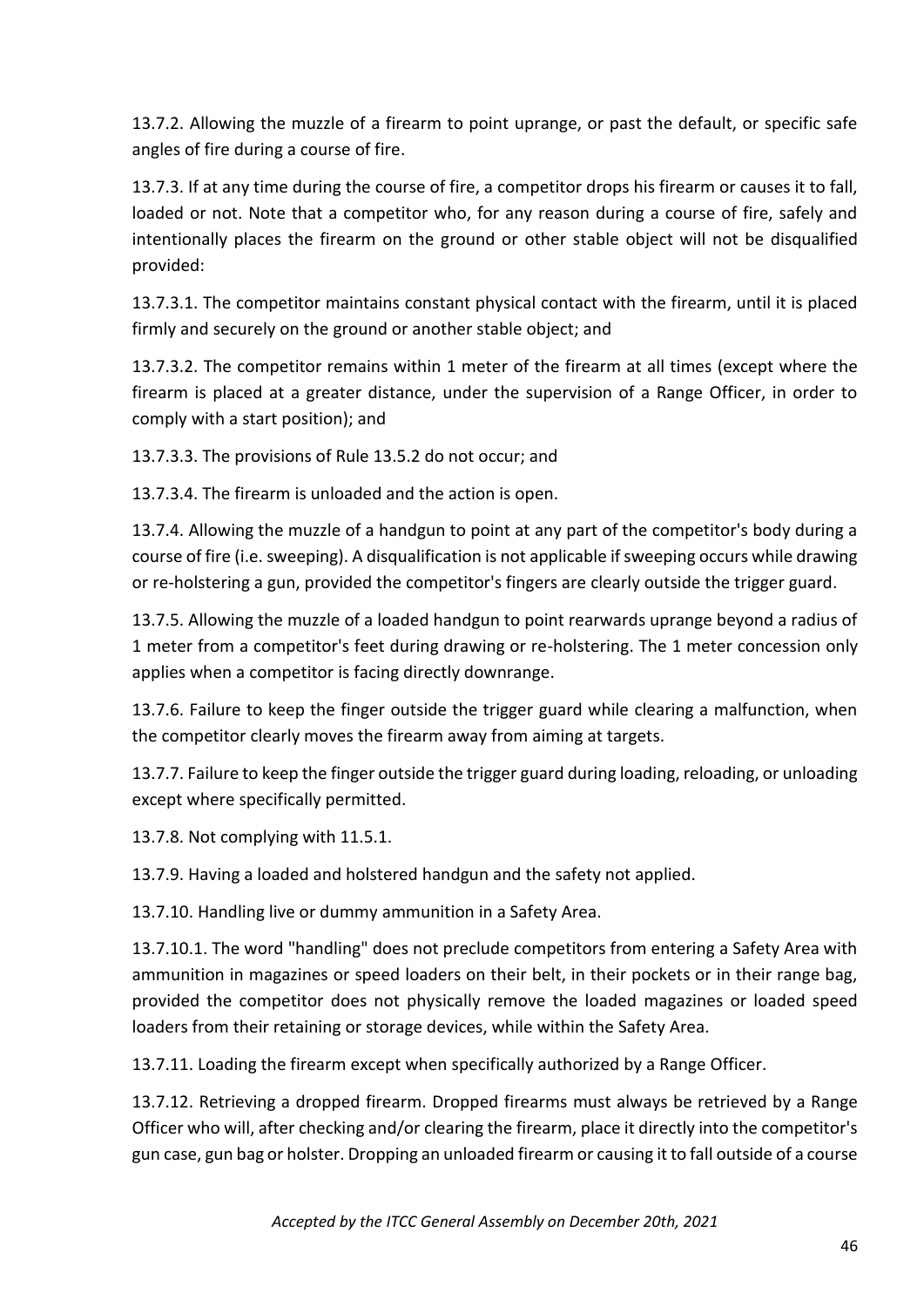13.7.2. Allowing the muzzle of a firearm to point uprange, or past the default, or specific safe angles of fire during a course of fire.

13.7.3. If at any time during the course of fire, a competitor drops his firearm or causes it to fall, loaded or not. Note that a competitor who, for any reason during a course of fire, safely and intentionally places the firearm on the ground or other stable object will not be disqualified provided:

13.7.3.1. The competitor maintains constant physical contact with the firearm, until it is placed firmly and securely on the ground or another stable object; and

13.7.3.2. The competitor remains within 1 meter of the firearm at all times (except where the firearm is placed at a greater distance, under the supervision of a Range Officer, in order to comply with a start position); and

13.7.3.3. The provisions of Rule 13.5.2 do not occur; and

13.7.3.4. The firearm is unloaded and the action is open.

13.7.4. Allowing the muzzle of a handgun to point at any part of the competitor's body during a course of fire (i.e. sweeping). A disqualification is not applicable if sweeping occurs while drawing or re-holstering a gun, provided the competitor's fingers are clearly outside the trigger guard.

13.7.5. Allowing the muzzle of a loaded handgun to point rearwards uprange beyond a radius of 1 meter from a competitor's feet during drawing or re-holstering. The 1 meter concession only applies when a competitor is facing directly downrange.

13.7.6. Failure to keep the finger outside the trigger guard while clearing a malfunction, when the competitor clearly moves the firearm away from aiming at targets.

13.7.7. Failure to keep the finger outside the trigger guard during loading, reloading, or unloading except where specifically permitted.

13.7.8. Not complying with 11.5.1.

13.7.9. Having a loaded and holstered handgun and the safety not applied.

13.7.10. Handling live or dummy ammunition in a Safety Area.

13.7.10.1. The word "handling" does not preclude competitors from entering a Safety Area with ammunition in magazines or speed loaders on their belt, in their pockets or in their range bag, provided the competitor does not physically remove the loaded magazines or loaded speed loaders from their retaining or storage devices, while within the Safety Area.

13.7.11. Loading the firearm except when specifically authorized by a Range Officer.

13.7.12. Retrieving a dropped firearm. Dropped firearms must always be retrieved by a Range Officer who will, after checking and/or clearing the firearm, place it directly into the competitor's gun case, gun bag or holster. Dropping an unloaded firearm or causing it to fall outside of a course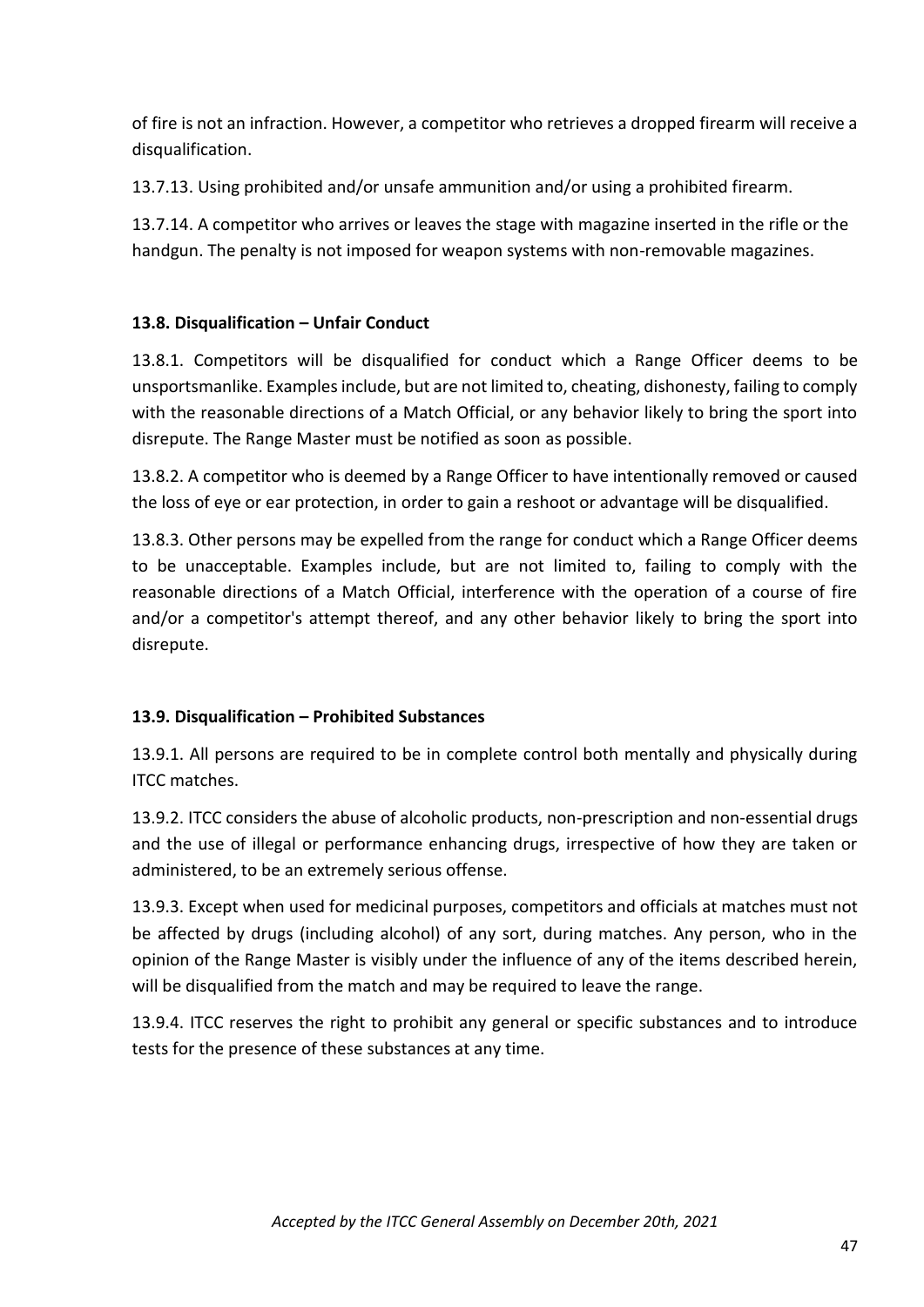of fire is not an infraction. However, a competitor who retrieves a dropped firearm will receive a disqualification.

13.7.13. Using prohibited and/or unsafe ammunition and/or using a prohibited firearm.

13.7.14. A competitor who arrives or leaves the stage with magazine inserted in the rifle or the handgun. The penalty is not imposed for weapon systems with non-removable magazines.

# **13.8. Disqualification – Unfair Conduct**

13.8.1. Competitors will be disqualified for conduct which a Range Officer deems to be unsportsmanlike. Examples include, but are not limited to, cheating, dishonesty, failing to comply with the reasonable directions of a Match Official, or any behavior likely to bring the sport into disrepute. The Range Master must be notified as soon as possible.

13.8.2. A competitor who is deemed by a Range Officer to have intentionally removed or caused the loss of eye or ear protection, in order to gain a reshoot or advantage will be disqualified.

13.8.3. Other persons may be expelled from the range for conduct which a Range Officer deems to be unacceptable. Examples include, but are not limited to, failing to comply with the reasonable directions of a Match Official, interference with the operation of a course of fire and/or a competitor's attempt thereof, and any other behavior likely to bring the sport into disrepute.

# **13.9. Disqualification – Prohibited Substances**

13.9.1. All persons are required to be in complete control both mentally and physically during ITCC matches.

13.9.2. ITCC considers the abuse of alcoholic products, non-prescription and non-essential drugs and the use of illegal or performance enhancing drugs, irrespective of how they are taken or administered, to be an extremely serious offense.

13.9.3. Except when used for medicinal purposes, competitors and officials at matches must not be affected by drugs (including alcohol) of any sort, during matches. Any person, who in the opinion of the Range Master is visibly under the influence of any of the items described herein, will be disqualified from the match and may be required to leave the range.

13.9.4. ITCC reserves the right to prohibit any general or specific substances and to introduce tests for the presence of these substances at any time.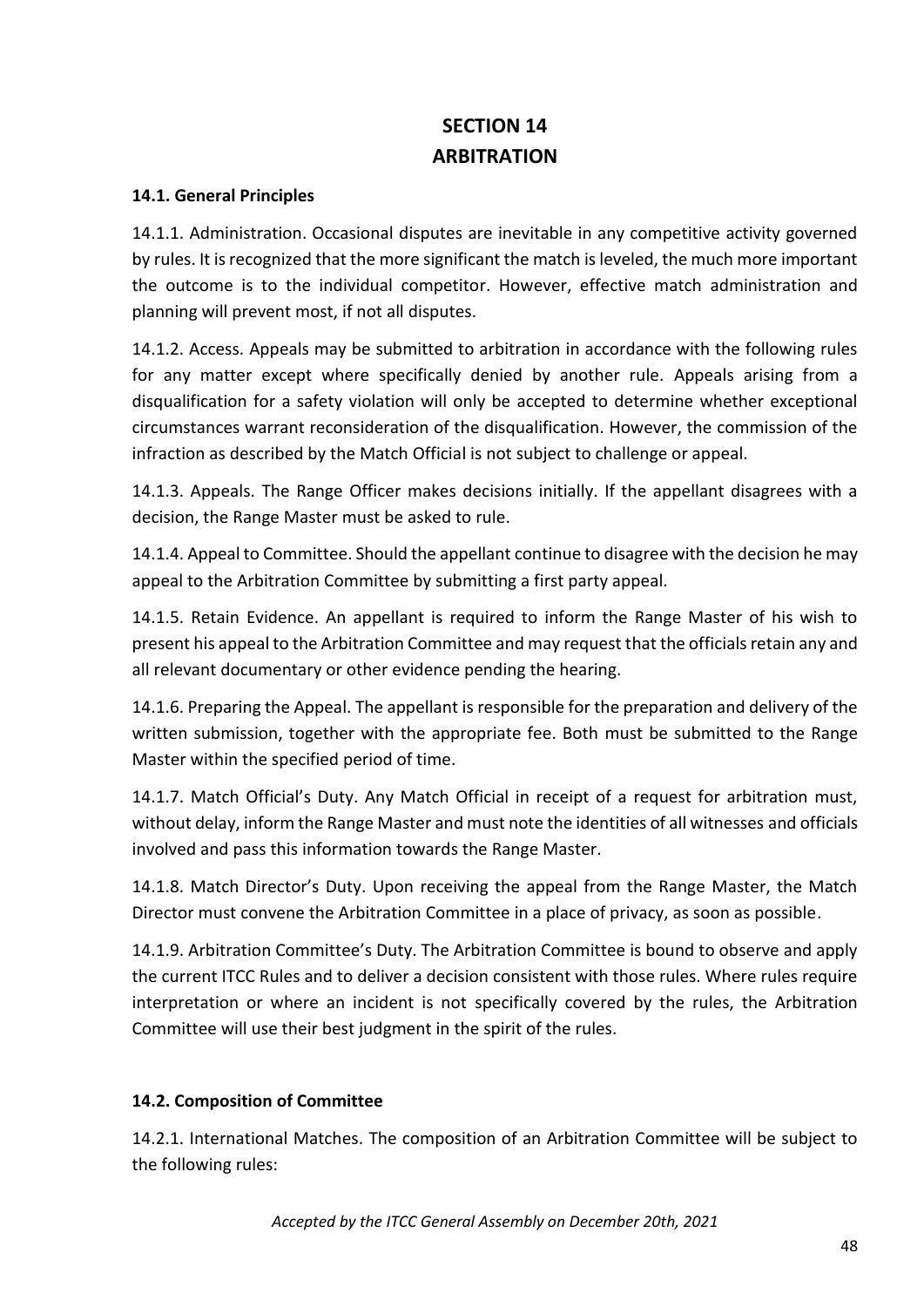# **SECTION 14 ARBITRATION**

#### **14.1. General Principles**

14.1.1. Administration. Occasional disputes are inevitable in any competitive activity governed by rules. It is recognized that the more significant the match is leveled, the much more important the outcome is to the individual competitor. However, effective match administration and planning will prevent most, if not all disputes.

14.1.2. Access. Appeals may be submitted to arbitration in accordance with the following rules for any matter except where specifically denied by another rule. Appeals arising from a disqualification for a safety violation will only be accepted to determine whether exceptional circumstances warrant reconsideration of the disqualification. However, the commission of the infraction as described by the Match Official is not subject to challenge or appeal.

14.1.3. Appeals. The Range Officer makes decisions initially. If the appellant disagrees with a decision, the Range Master must be asked to rule.

14.1.4. Appeal to Committee. Should the appellant continue to disagree with the decision he may appeal to the Arbitration Committee by submitting a first party appeal.

14.1.5. Retain Evidence. An appellant is required to inform the Range Master of his wish to present his appeal to the Arbitration Committee and may request that the officials retain any and all relevant documentary or other evidence pending the hearing.

14.1.6. Preparing the Appeal. The appellant is responsible for the preparation and delivery of the written submission, together with the appropriate fee. Both must be submitted to the Range Master within the specified period of time.

14.1.7. Match Official's Duty. Any Match Official in receipt of a request for arbitration must, without delay, inform the Range Master and must note the identities of all witnesses and officials involved and pass this information towards the Range Master.

14.1.8. Match Director's Duty. Upon receiving the appeal from the Range Master, the Match Director must convene the Arbitration Committee in a place of privacy, as soon as possible.

14.1.9. Arbitration Committee's Duty. The Arbitration Committee is bound to observe and apply the current ITCC Rules and to deliver a decision consistent with those rules. Where rules require interpretation or where an incident is not specifically covered by the rules, the Arbitration Committee will use their best judgment in the spirit of the rules.

#### **14.2. Composition of Committee**

14.2.1. International Matches. The composition of an Arbitration Committee will be subject to the following rules: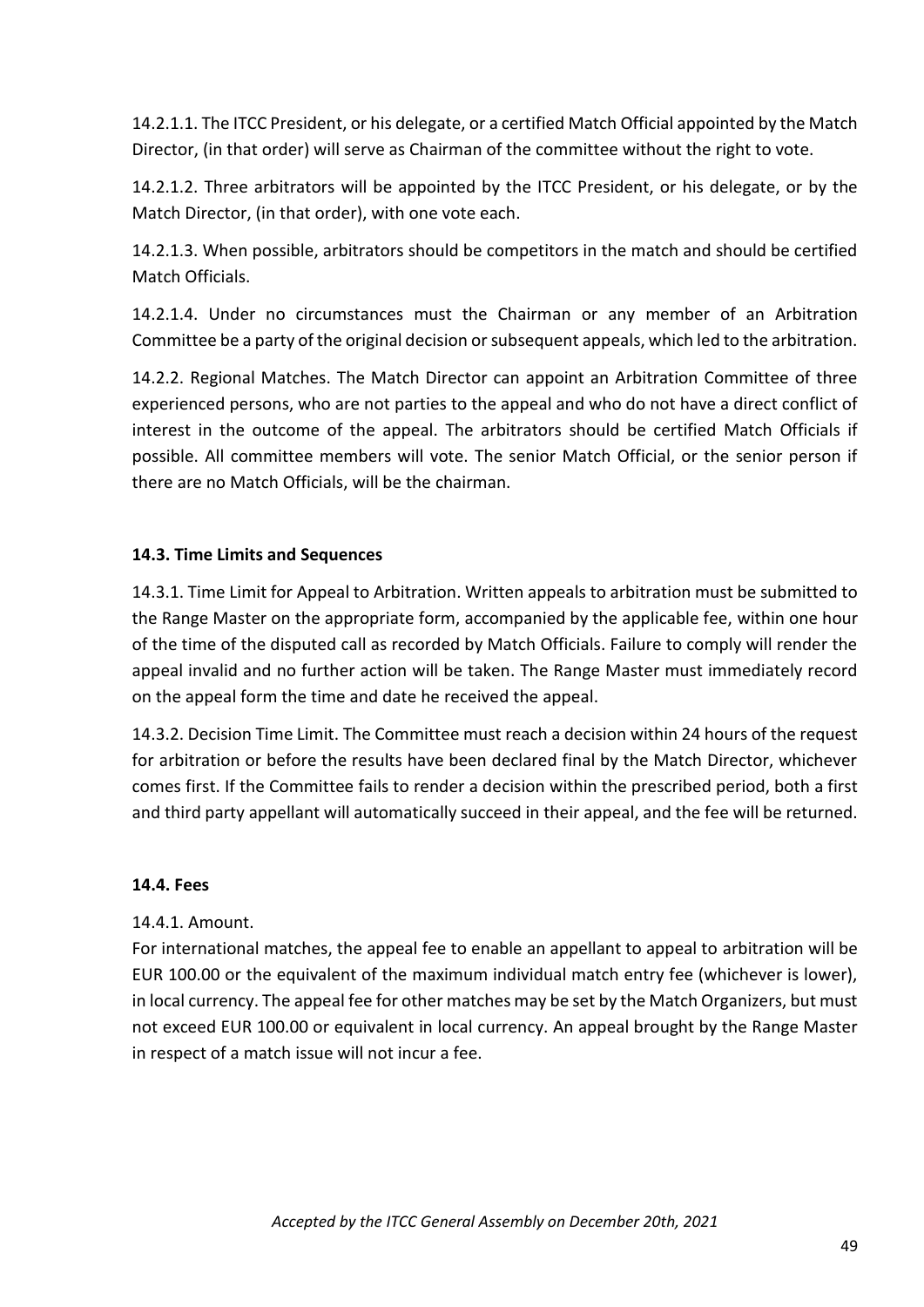14.2.1.1. The ITCC President, or his delegate, or a certified Match Official appointed by the Match Director, (in that order) will serve as Chairman of the committee without the right to vote.

14.2.1.2. Three arbitrators will be appointed by the ITCC President, or his delegate, or by the Match Director, (in that order), with one vote each.

14.2.1.3. When possible, arbitrators should be competitors in the match and should be certified Match Officials.

14.2.1.4. Under no circumstances must the Chairman or any member of an Arbitration Committee be a party of the original decision or subsequent appeals, which led to the arbitration.

14.2.2. Regional Matches. The Match Director can appoint an Arbitration Committee of three experienced persons, who are not parties to the appeal and who do not have a direct conflict of interest in the outcome of the appeal. The arbitrators should be certified Match Officials if possible. All committee members will vote. The senior Match Official, or the senior person if there are no Match Officials, will be the chairman.

#### **14.3. Time Limits and Sequences**

14.3.1. Time Limit for Appeal to Arbitration. Written appeals to arbitration must be submitted to the Range Master on the appropriate form, accompanied by the applicable fee, within one hour of the time of the disputed call as recorded by Match Officials. Failure to comply will render the appeal invalid and no further action will be taken. The Range Master must immediately record on the appeal form the time and date he received the appeal.

14.3.2. Decision Time Limit. The Committee must reach a decision within 24 hours of the request for arbitration or before the results have been declared final by the Match Director, whichever comes first. If the Committee fails to render a decision within the prescribed period, both a first and third party appellant will automatically succeed in their appeal, and the fee will be returned.

#### **14.4. Fees**

14.4.1. Amount.

For international matches, the appeal fee to enable an appellant to appeal to arbitration will be EUR 100.00 or the equivalent of the maximum individual match entry fee (whichever is lower), in local currency. The appeal fee for other matches may be set by the Match Organizers, but must not exceed EUR 100.00 or equivalent in local currency. An appeal brought by the Range Master in respect of a match issue will not incur a fee.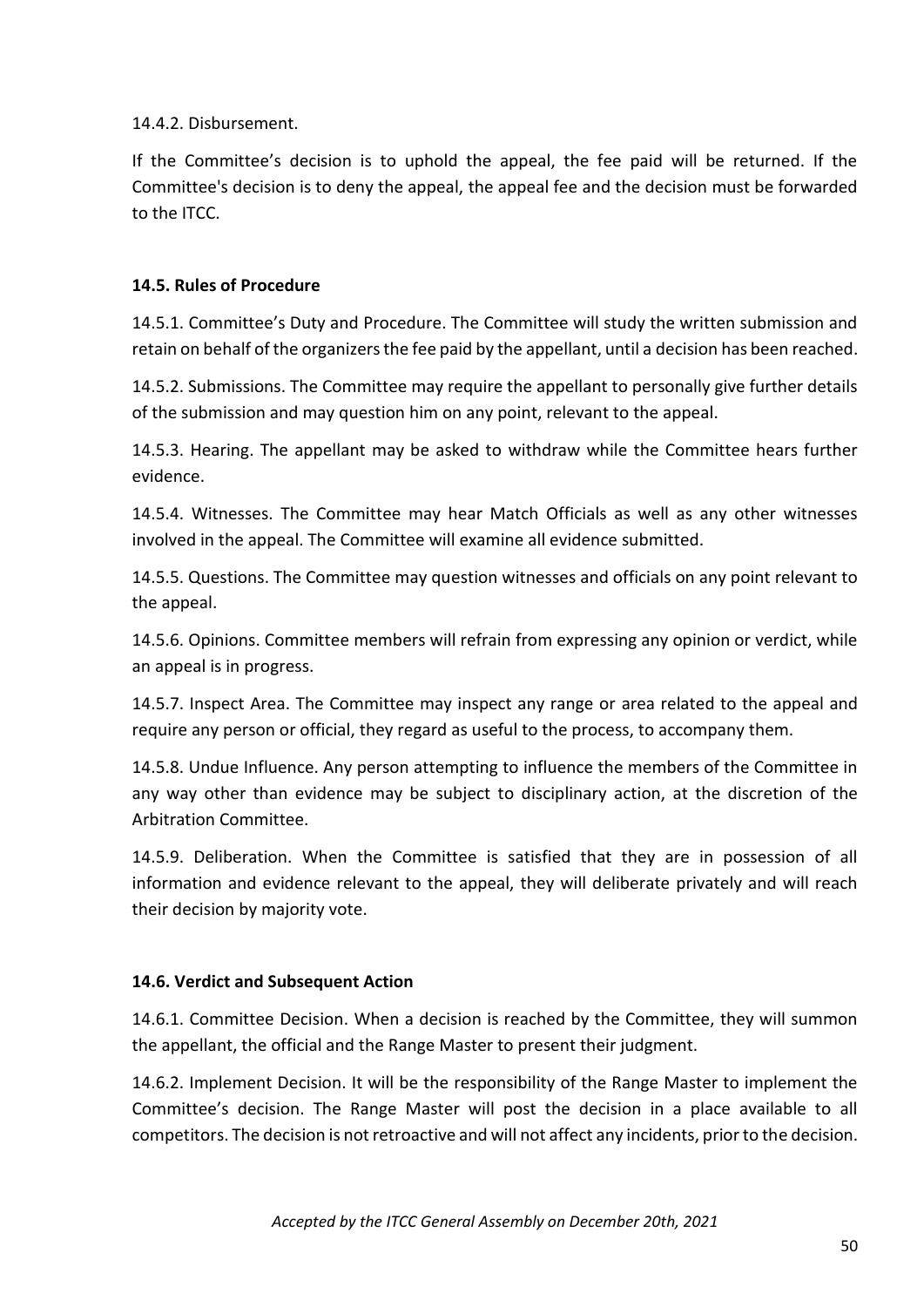14.4.2. Disbursement.

If the Committee's decision is to uphold the appeal, the fee paid will be returned. If the Committee's decision is to deny the appeal, the appeal fee and the decision must be forwarded to the ITCC.

# **14.5. Rules of Procedure**

14.5.1. Committee's Duty and Procedure. The Committee will study the written submission and retain on behalf of the organizers the fee paid by the appellant, until a decision has been reached.

14.5.2. Submissions. The Committee may require the appellant to personally give further details of the submission and may question him on any point, relevant to the appeal.

14.5.3. Hearing. The appellant may be asked to withdraw while the Committee hears further evidence.

14.5.4. Witnesses. The Committee may hear Match Officials as well as any other witnesses involved in the appeal. The Committee will examine all evidence submitted.

14.5.5. Questions. The Committee may question witnesses and officials on any point relevant to the appeal.

14.5.6. Opinions. Committee members will refrain from expressing any opinion or verdict, while an appeal is in progress.

14.5.7. Inspect Area. The Committee may inspect any range or area related to the appeal and require any person or official, they regard as useful to the process, to accompany them.

14.5.8. Undue Influence. Any person attempting to influence the members of the Committee in any way other than evidence may be subject to disciplinary action, at the discretion of the Arbitration Committee.

14.5.9. Deliberation. When the Committee is satisfied that they are in possession of all information and evidence relevant to the appeal, they will deliberate privately and will reach their decision by majority vote.

#### **14.6. Verdict and Subsequent Action**

14.6.1. Committee Decision. When a decision is reached by the Committee, they will summon the appellant, the official and the Range Master to present their judgment.

14.6.2. Implement Decision. It will be the responsibility of the Range Master to implement the Committee's decision. The Range Master will post the decision in a place available to all competitors. The decision is not retroactive and will not affect any incidents, prior to the decision.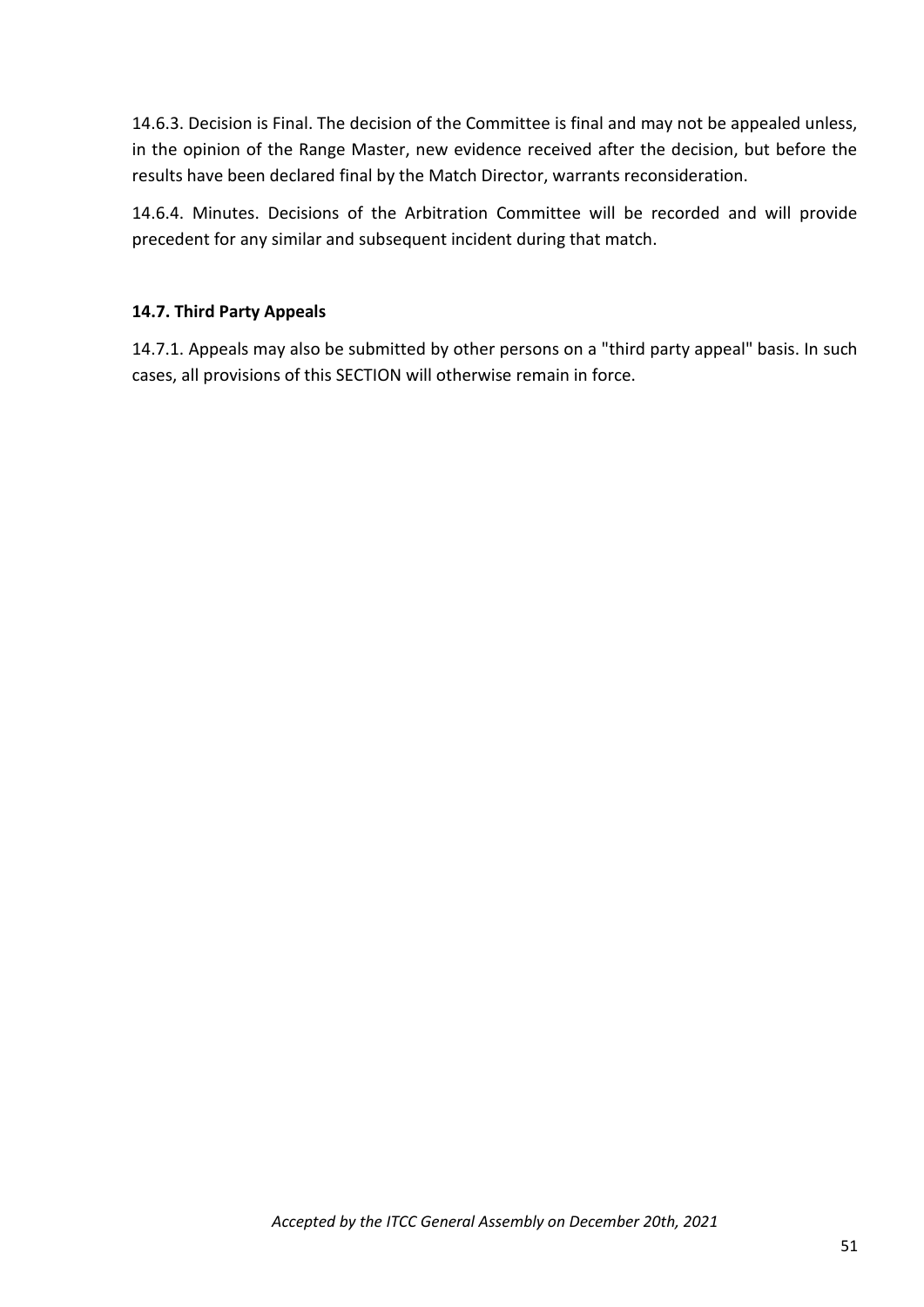14.6.3. Decision is Final. The decision of the Committee is final and may not be appealed unless, in the opinion of the Range Master, new evidence received after the decision, but before the results have been declared final by the Match Director, warrants reconsideration.

14.6.4. Minutes. Decisions of the Arbitration Committee will be recorded and will provide precedent for any similar and subsequent incident during that match.

# **14.7. Third Party Appeals**

14.7.1. Appeals may also be submitted by other persons on a "third party appeal" basis. In such cases, all provisions of this SECTION will otherwise remain in force.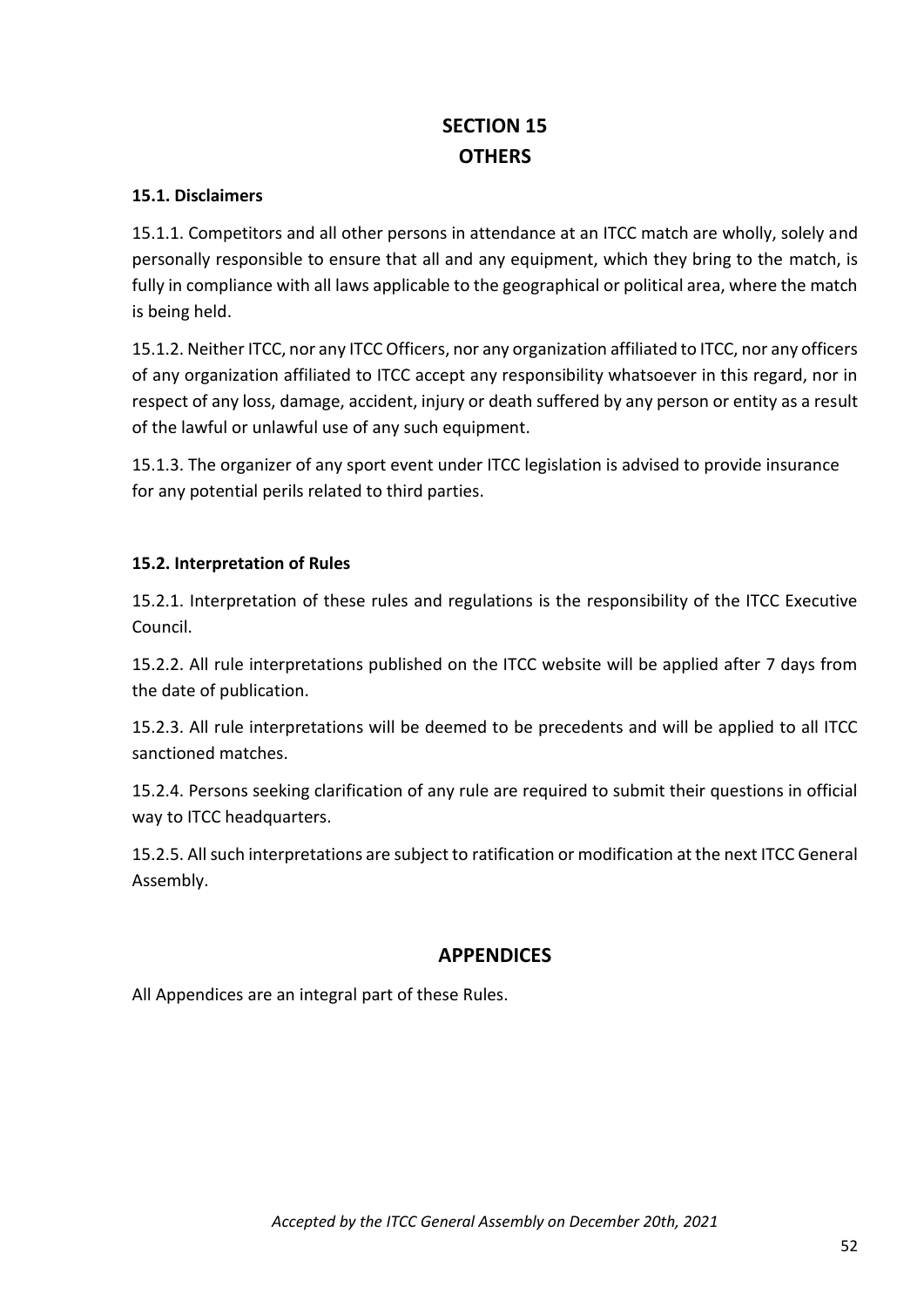# **SECTION 15 OTHERS**

## **15.1. Disclaimers**

15.1.1. Competitors and all other persons in attendance at an ITCC match are wholly, solely and personally responsible to ensure that all and any equipment, which they bring to the match, is fully in compliance with all laws applicable to the geographical or political area, where the match is being held.

15.1.2. Neither ITCC, nor any ITCC Officers, nor any organization affiliated to ITCC, nor any officers of any organization affiliated to ITCC accept any responsibility whatsoever in this regard, nor in respect of any loss, damage, accident, injury or death suffered by any person or entity as a result of the lawful or unlawful use of any such equipment.

15.1.3. The organizer of any sport event under ITCC legislation is advised to provide insurance for any potential perils related to third parties.

# **15.2. Interpretation of Rules**

15.2.1. Interpretation of these rules and regulations is the responsibility of the ITCC Executive Council.

15.2.2. All rule interpretations published on the ITCC website will be applied after 7 days from the date of publication.

15.2.3. All rule interpretations will be deemed to be precedents and will be applied to all ITCC sanctioned matches.

15.2.4. Persons seeking clarification of any rule are required to submit their questions in official way to ITCC headquarters.

15.2.5. All such interpretations are subject to ratification or modification at the next ITCC General Assembly.

# **APPENDICES**

All Appendices are an integral part of these Rules.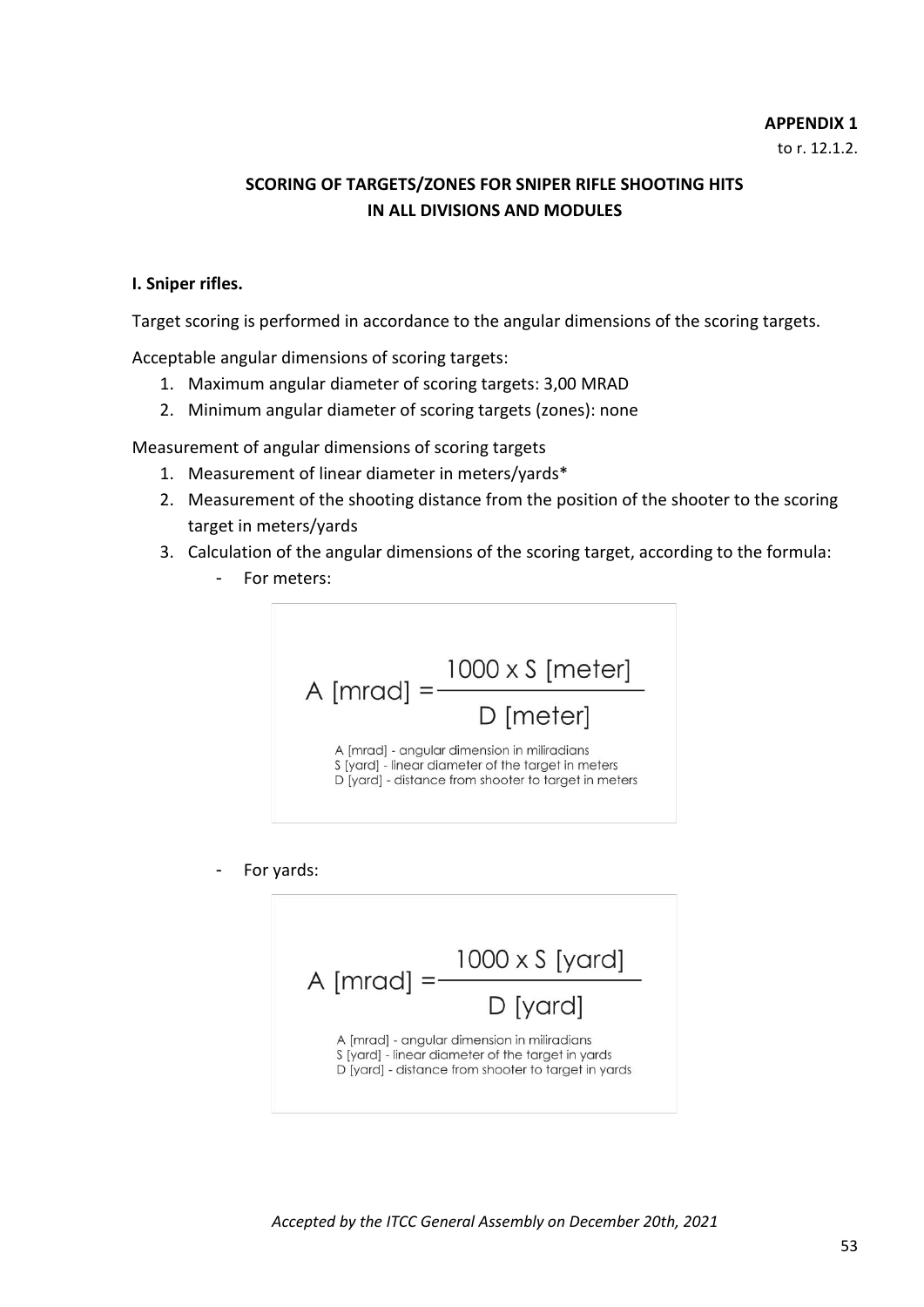#### **APPENDIX 1**

to r. 12.1.2.

# **SCORING OF TARGETS/ZONES FOR SNIPER RIFLE SHOOTING HITS IN ALL DIVISIONS AND MODULES**

#### **I. Sniper rifles.**

Target scoring is performed in accordance to the angular dimensions of the scoring targets.

Acceptable angular dimensions of scoring targets:

- 1. Maximum angular diameter of scoring targets: 3,00 MRAD
- 2. Minimum angular diameter of scoring targets (zones): none

Measurement of angular dimensions of scoring targets

- 1. Measurement of linear diameter in meters/yards\*
- 2. Measurement of the shooting distance from the position of the shooter to the scoring target in meters/yards
- 3. Calculation of the angular dimensions of the scoring target, according to the formula:
	- For meters:



For yards:

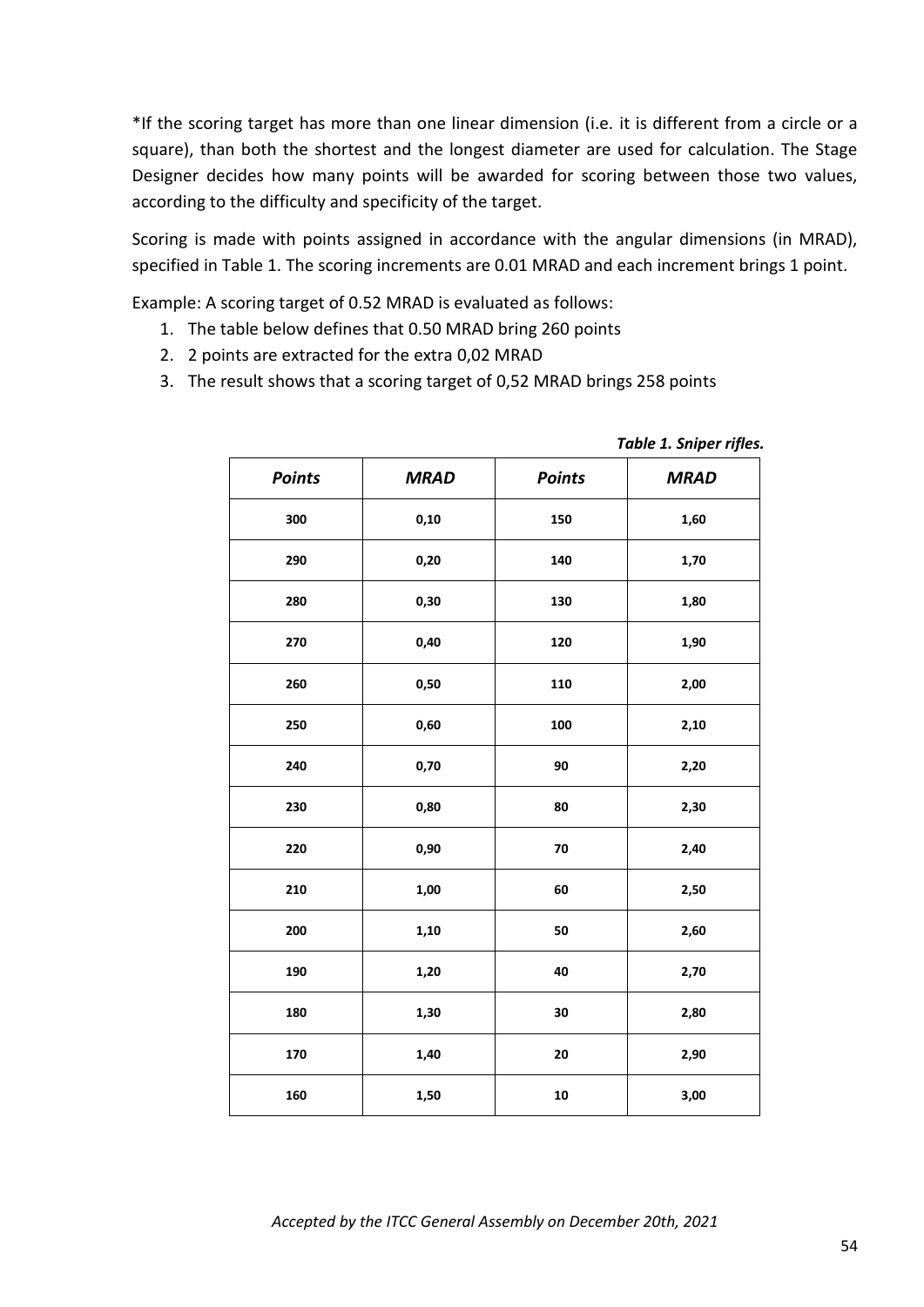\*If the scoring target has more than one linear dimension (i.e. it is different from a circle or a square), than both the shortest and the longest diameter are used for calculation. The Stage Designer decides how many points will be awarded for scoring between those two values, according to the difficulty and specificity of the target.

Scoring is made with points assigned in accordance with the angular dimensions (in MRAD), specified in Table 1. The scoring increments are 0.01 MRAD and each increment brings 1 point.

Example: A scoring target of 0.52 MRAD is evaluated as follows:

- 1. The table below defines that 0.50 MRAD bring 260 points
- 2. 2 points are extracted for the extra 0,02 MRAD
- 3. The result shows that a scoring target of 0,52 MRAD brings 258 points

| <b>Points</b> | <b>MRAD</b> | <b>Points</b> | <b>MRAD</b> |
|---------------|-------------|---------------|-------------|
| 300           | 0,10        | 150           | 1,60        |
| 290           | 0,20        | 140           | 1,70        |
| 280           | 0,30        | 130           | 1,80        |
| 270           | 0,40        | 120           | 1,90        |
| 260           | 0,50        | 110           | 2,00        |
| 250           | 0,60        | 100           | 2,10        |
| 240           | 0,70        | 90            | 2,20        |
| 230           | 0,80        | 80            | 2,30        |
| 220           | 0,90        | 70            | 2,40        |
| 210           | 1,00        | 60            | 2,50        |
| 200           | 1,10        | 50            | 2,60        |
| 190           | 1,20        | 40            | 2,70        |
| 180           | 1,30        | 30            | 2,80        |
| 170           | 1,40        | 20<br>2,90    |             |
| 160           | 1,50        | 10<br>3,00    |             |

*Table 1. Sniper rifles.*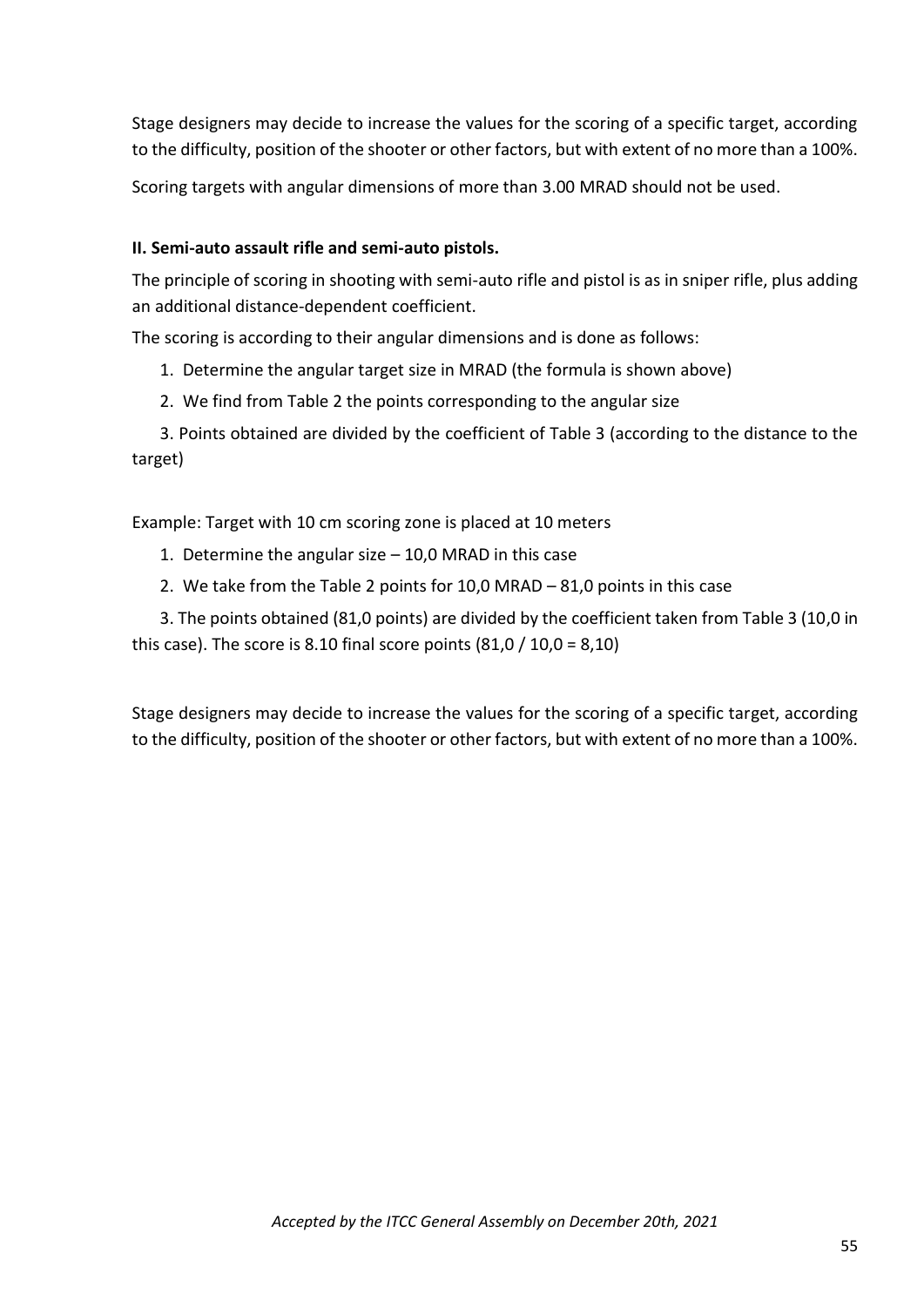Stage designers may decide to increase the values for the scoring of a specific target, according to the difficulty, position of the shooter or other factors, but with extent of no more than a 100%.

Scoring targets with angular dimensions of more than 3.00 MRAD should not be used.

# **II. Semi-auto assault rifle and semi-auto pistols.**

The principle of scoring in shooting with semi-auto rifle and pistol is as in sniper rifle, plus adding an additional distance-dependent coefficient.

The scoring is according to their angular dimensions and is done as follows:

- 1. Determine the angular target size in MRAD (the formula is shown above)
- 2. We find from Table 2 the points corresponding to the angular size

3. Points obtained are divided by the coefficient of Table 3 (according to the distance to the target)

Еxample: Target with 10 cm scoring zone is placed at 10 meters

- 1. Determine the angular size 10,0 MRAD in this case
- 2. We take from the Table 2 points for 10,0 MRAD 81,0 points in this case

3. The points obtained (81,0 points) are divided by the coefficient taken from Table 3 (10,0 in this case). The score is 8.10 final score points  $(81,0 / 10,0 = 8,10)$ 

Stage designers may decide to increase the values for the scoring of a specific target, according to the difficulty, position of the shooter or other factors, but with extent of no more than a 100%.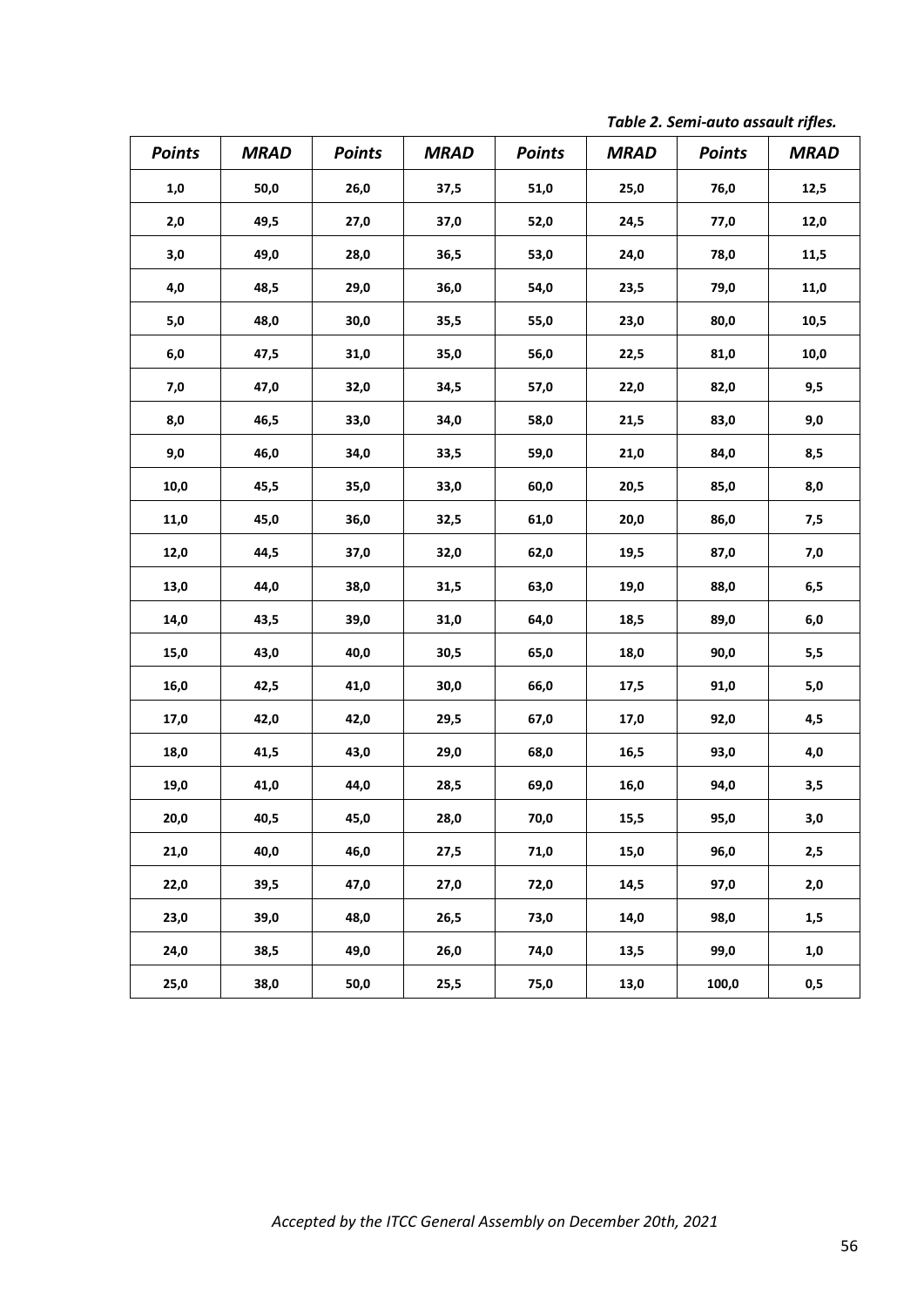| <b>Points</b> | <b>MRAD</b> | <b>Points</b> | <b>MRAD</b> | <b>Points</b> | <b>MRAD</b> | <b>Points</b> | <b>MRAD</b> |
|---------------|-------------|---------------|-------------|---------------|-------------|---------------|-------------|
| 1,0           | 50,0        | 26,0          | 37,5        | 51,0          | 25,0        | 76,0          | 12,5        |
| 2,0           | 49,5        | 27,0          | 37,0        | 52,0          | 24,5        | 77,0          | 12,0        |
| 3,0           | 49,0        | 28,0          | 36,5        | 53,0          | 24,0        | 78,0          | 11,5        |
| $4,0$         | 48,5        | 29,0          | 36,0        | 54,0          | 23,5        | 79,0          | 11,0        |
| $5,0$         | 48,0        | 30,0          | 35,5        | 55,0          | 23,0        | 80,0          | 10,5        |
| $6,0$         | 47,5        | 31,0          | 35,0        | 56,0          | 22,5        | 81,0          | 10,0        |
| 7,0           | 47,0        | 32,0          | 34,5        | 57,0          | 22,0        | 82,0          | 9,5         |
| 8,0           | 46,5        | 33,0          | 34,0        | 58,0          | 21,5        | 83,0          | 9,0         |
| 9,0           | 46,0        | 34,0          | 33,5        | 59,0          | 21,0        | 84,0          | 8,5         |
| 10,0          | 45,5        | 35,0          | 33,0        | 60,0          | 20,5        | 85,0          | 8,0         |
| 11,0          | 45,0        | 36,0          | 32,5        | 61,0          | 20,0        | 86,0          | 7,5         |
| 12,0          | 44,5        | 37,0          | 32,0        | 62,0          | 19,5        | 87,0          | 7,0         |
| 13,0          | 44,0        | 38,0          | 31,5        | 63,0          | 19,0        | 88,0          | 6,5         |
| 14,0          | 43,5        | 39,0          | 31,0        | 64,0          | 18,5        | 89,0          | 6,0         |
| 15,0          | 43,0        | 40,0          | 30,5        | 65,0          | 18,0        | 90,0          | 5,5         |
| 16,0          | 42,5        | 41,0          | 30,0        | 66,0          | 17,5        | 91,0          | $5,0$       |
| 17,0          | 42,0        | 42,0          | 29,5        | 67,0          | 17,0        | 92,0          | 4,5         |
| 18,0          | 41,5        | 43,0          | 29,0        | 68,0          | 16,5        | 93,0          | 4,0         |
| 19,0          | 41,0        | 44,0          | 28,5        | 69,0          | 16,0        | 94,0          | 3,5         |
| 20,0          | 40,5        | 45,0          | 28,0        | 70,0          | 15,5        | 95,0          | 3,0         |
| 21,0          | 40,0        | 46,0          | 27,5        | 71,0          | 15,0        | 96,0          | 2,5         |
| 22,0          | 39,5        | 47,0          | 27,0        | 72,0          | 14,5        | 97,0          | 2,0         |
| 23,0          | 39,0        | 48,0          | 26,5        | 73,0          | 14,0        | 98,0          | 1,5         |
| 24,0          | 38,5        | 49,0          | 26,0        | 74,0          | 13,5        | 99,0          | 1,0         |
| 25,0          | 38,0        | 50,0          | 25,5        | 75,0          | 13,0        | 100,0         | 0,5         |

*Table 2. Semi-auto assault rifles.*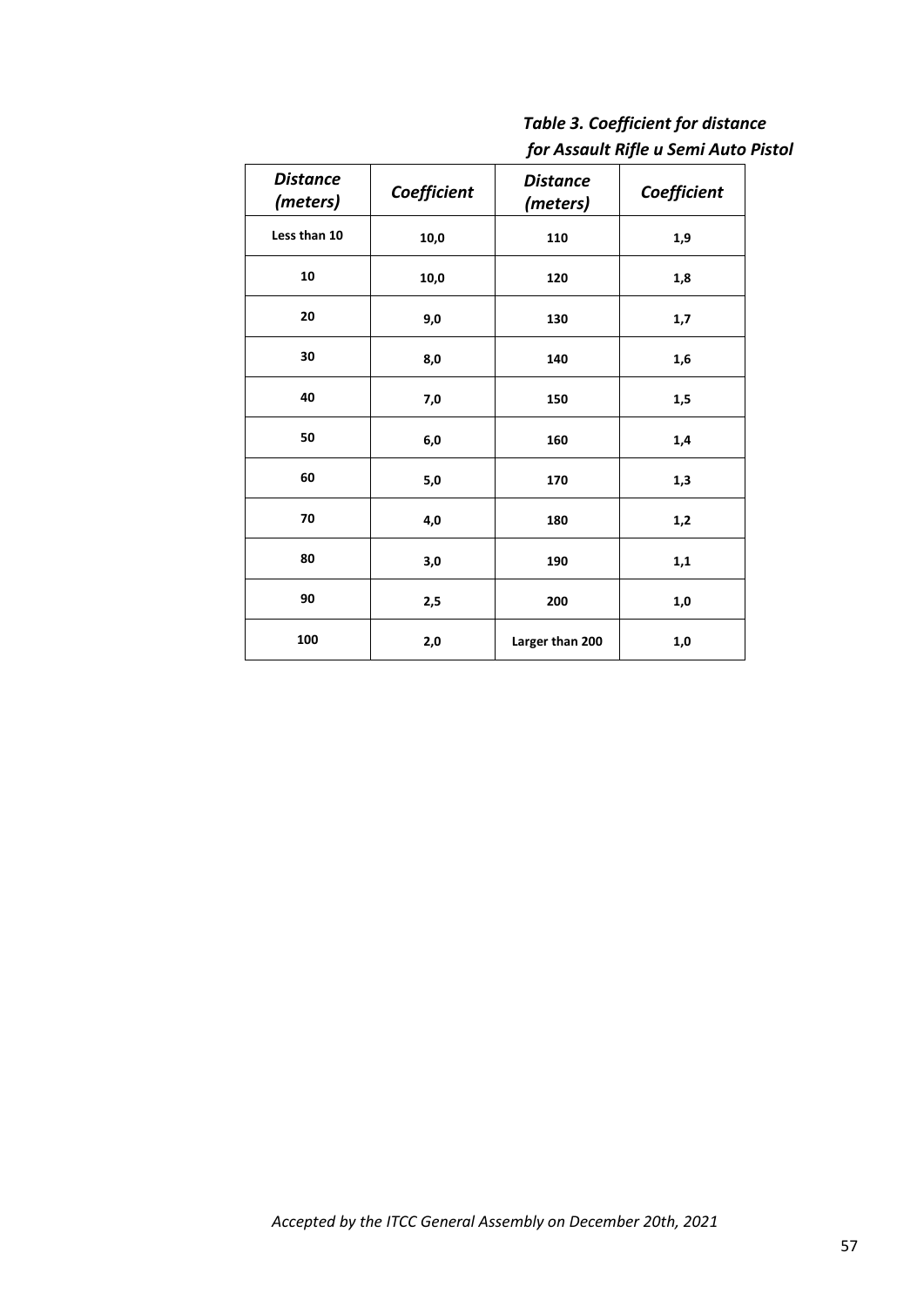| <b>Table 3. Coefficient for distance</b> |
|------------------------------------------|
| for Assault Rifle u Semi Auto Pistol     |

| <b>Distance</b><br>(meters) | Coefficient | <b>Distance</b><br>(meters) | Coefficient |
|-----------------------------|-------------|-----------------------------|-------------|
| Less than 10                | 10,0        | 110                         | 1,9         |
| 10                          | 10,0        | 120                         | 1,8         |
| 20                          | 9,0<br>130  |                             | 1,7         |
| 30                          | 8,0         | 140                         | 1,6         |
| 40                          | 7,0         | 150                         | 1,5         |
| 50                          | 6,0         | 160                         | 1,4         |
| 60                          | $5,0$       | 170                         | 1,3         |
| 70                          | 4,0         | 180                         | 1,2         |
| 80                          | 3,0         | 190                         | 1,1         |
| 90                          | 2,5         | 200                         | 1,0         |
| 100                         | 2,0         | Larger than 200<br>1,0      |             |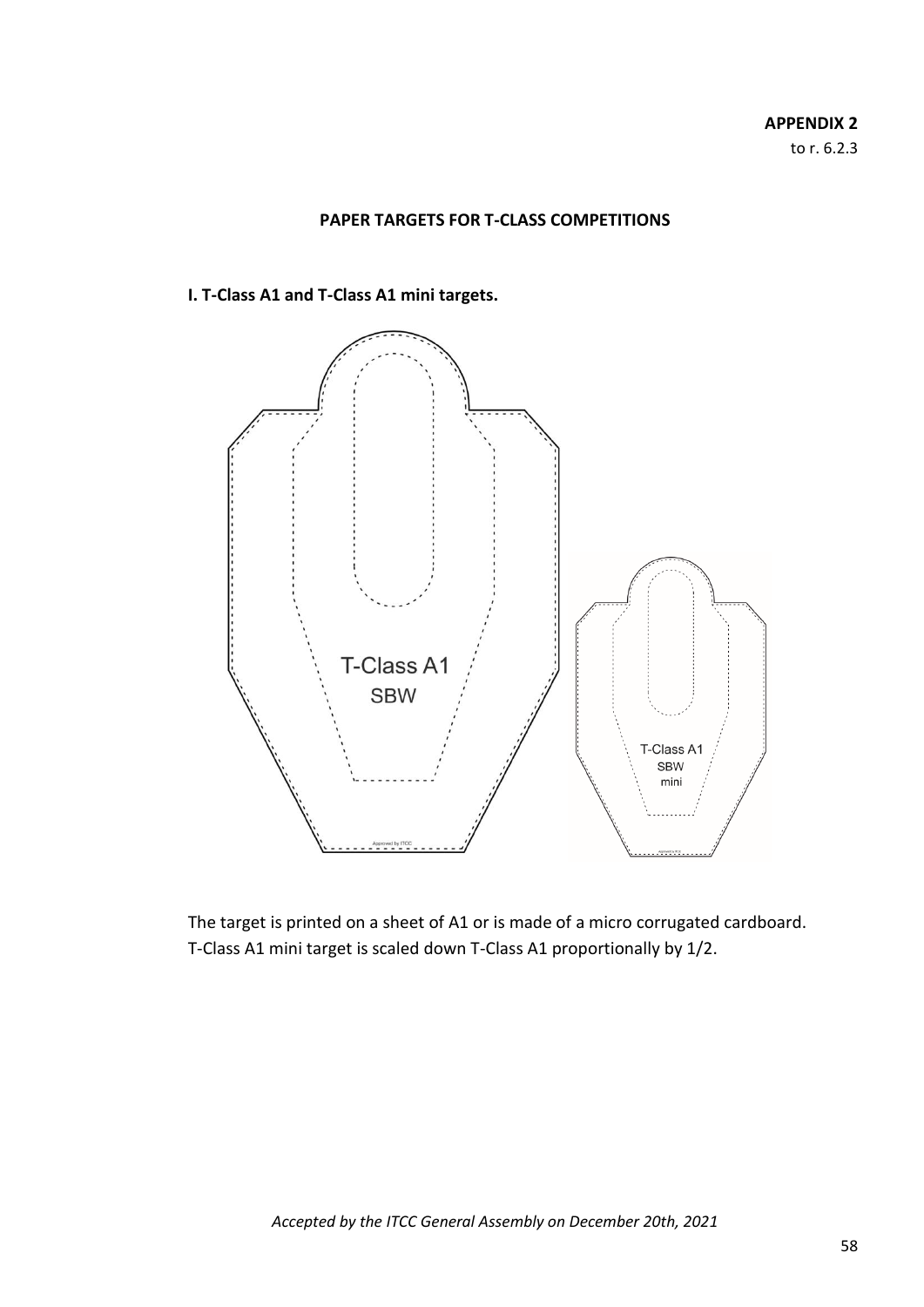#### **PAPER TARGETS FOR T-CLASS COMPETITIONS**

#### **I. T-Class A1 and T-Class A1 mini targets.**



The target is printed on a sheet of A1 or is made of a micro corrugated cardboard. T-Class A1 mini target is scaled down T-Class A1 proportionally by 1/2.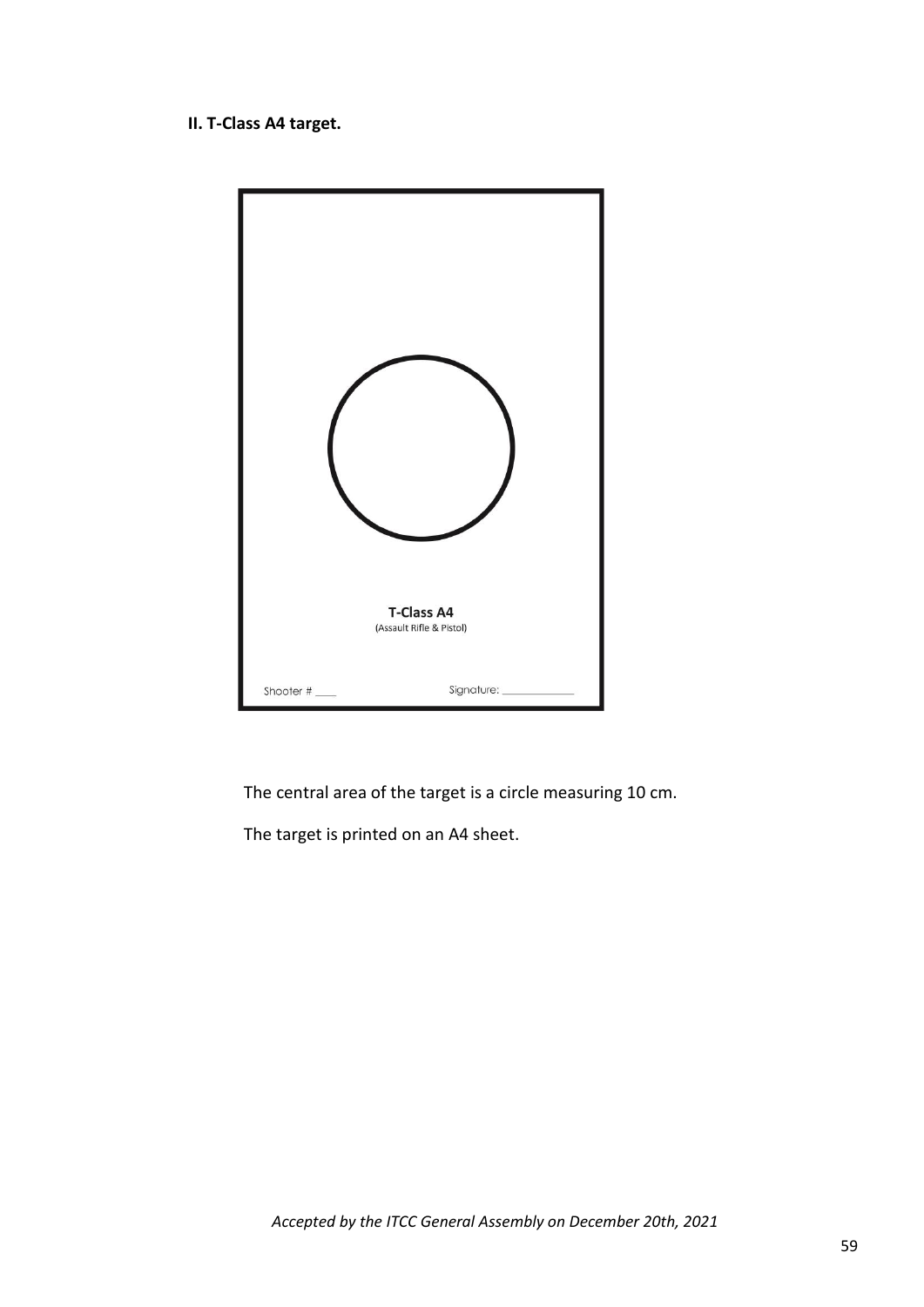# **II. T-Class A4 target.**



The central area of the target is a circle measuring 10 cm.

The target is printed on an A4 sheet.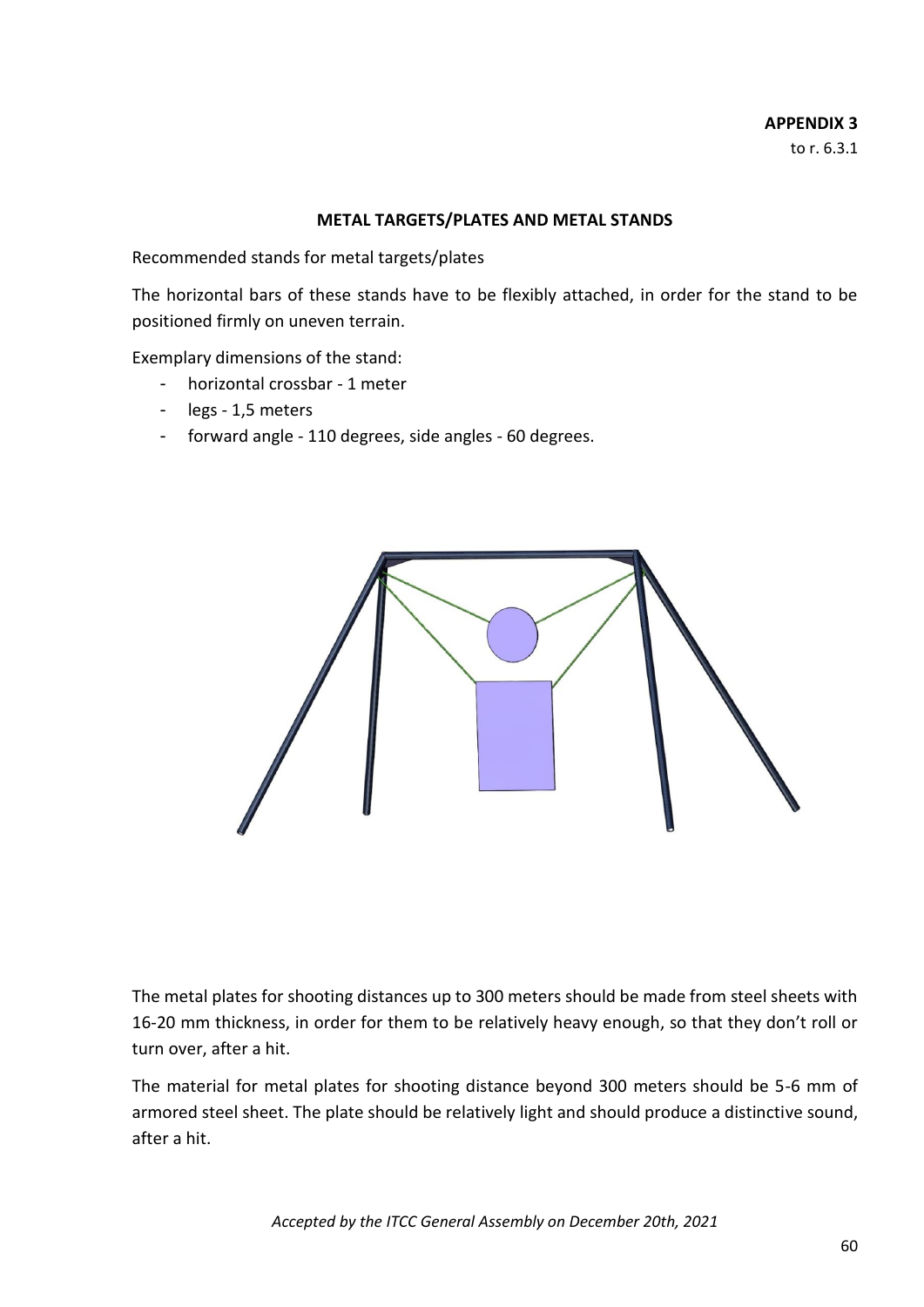#### **APPENDIX 3** to r. 6.3.1

#### **METAL TARGETS/PLATES AND METAL STANDS**

Recommended stands for metal targets/plates

The horizontal bars of these stands have to be flexibly attached, in order for the stand to be positioned firmly on uneven terrain.

Exemplary dimensions of the stand:

- horizontal crossbar 1 meter
- legs 1,5 meters
- forward angle 110 degrees, side angles 60 degrees.



The metal plates for shooting distances up to 300 meters should be made from steel sheets with 16-20 mm thickness, in order for them to be relatively heavy enough, so that they don't roll or turn over, after a hit.

The material for metal plates for shooting distance beyond 300 meters should be 5-6 mm of armored steel sheet. The plate should be relatively light and should produce a distinctive sound, after a hit.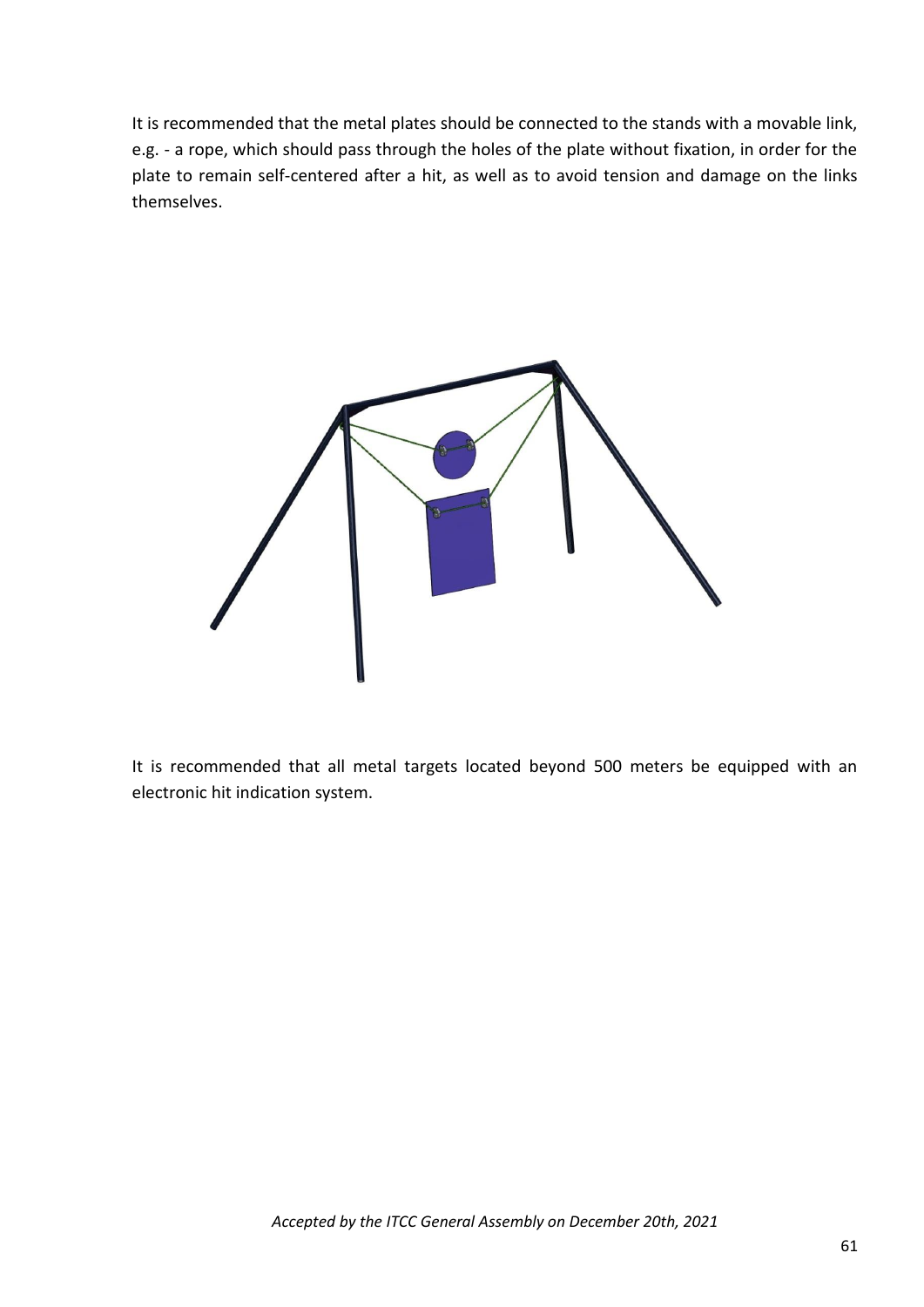It is recommended that the metal plates should be connected to the stands with a movable link, e.g. - a rope, which should pass through the holes of the plate without fixation, in order for the plate to remain self-centered after a hit, as well as to avoid tension and damage on the links themselves.



It is recommended that all metal targets located beyond 500 meters be equipped with an electronic hit indication system.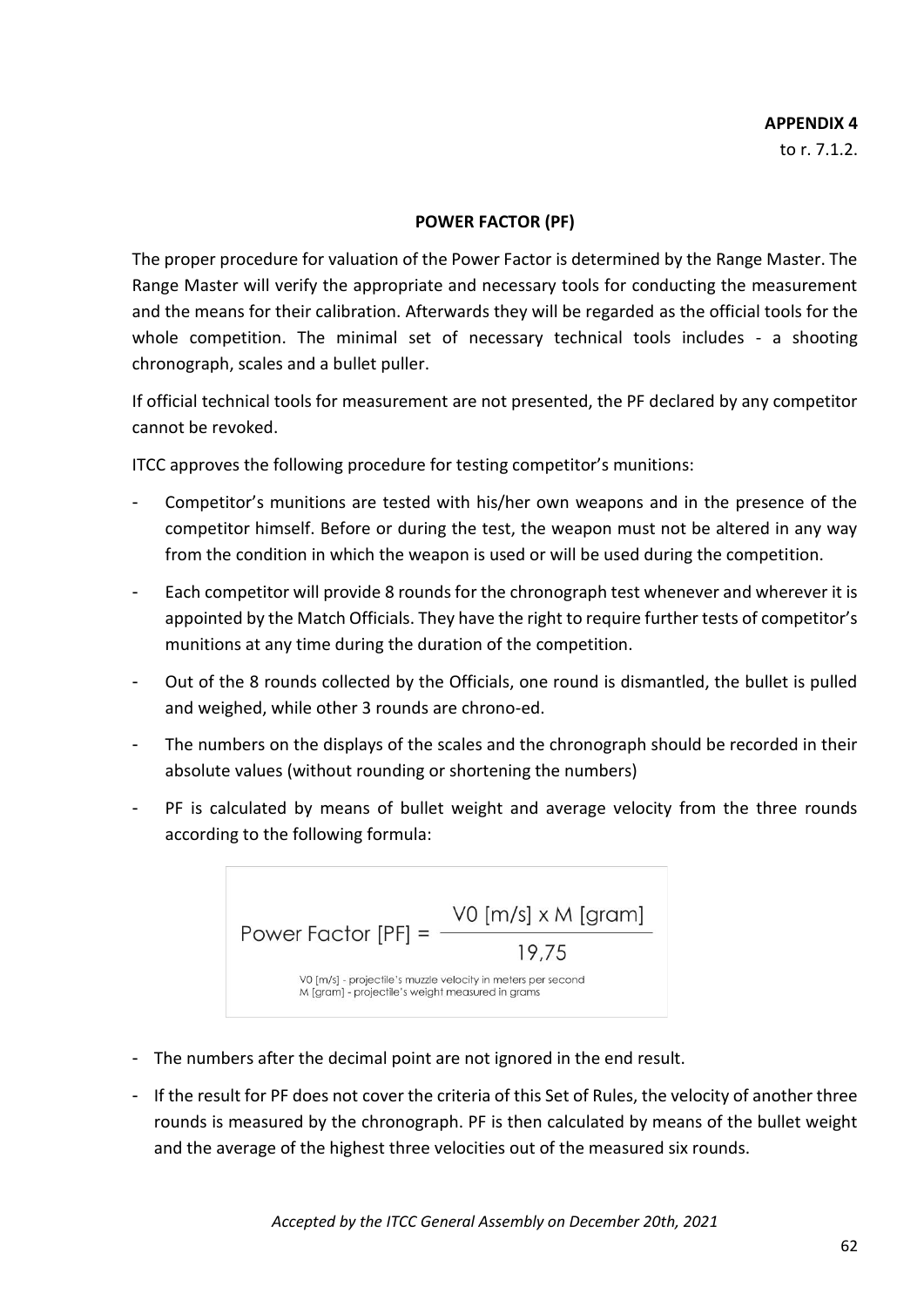# **APPENDIX 4**

to r. 7.1.2.

#### **POWER FACTOR (PF)**

The proper procedure for valuation of the Power Factor is determined by the Range Master. The Range Master will verify the appropriate and necessary tools for conducting the measurement and the means for their calibration. Afterwards they will be regarded as the official tools for the whole competition. The minimal set of necessary technical tools includes - a shooting chronograph, scales and a bullet puller.

If official technical tools for measurement are not presented, the PF declared by any competitor cannot be revoked.

ITCC approves the following procedure for testing competitor's munitions:

- Competitor's munitions are tested with his/her own weapons and in the presence of the competitor himself. Before or during the test, the weapon must not be altered in any way from the condition in which the weapon is used or will be used during the competition.
- Each competitor will provide 8 rounds for the chronograph test whenever and wherever it is appointed by the Match Officials. They have the right to require further tests of competitor's munitions at any time during the duration of the competition.
- Out of the 8 rounds collected by the Officials, one round is dismantled, the bullet is pulled and weighed, while other 3 rounds are chrono-ed.
- The numbers on the displays of the scales and the chronograph should be recorded in their absolute values (without rounding or shortening the numbers)
- PF is calculated by means of bullet weight and average velocity from the three rounds according to the following formula:



- The numbers after the decimal point are not ignored in the end result.
- If the result for PF does not cover the criteria of this Set of Rules, the velocity of another three rounds is measured by the chronograph. PF is then calculated by means of the bullet weight and the average of the highest three velocities out of the measured six rounds.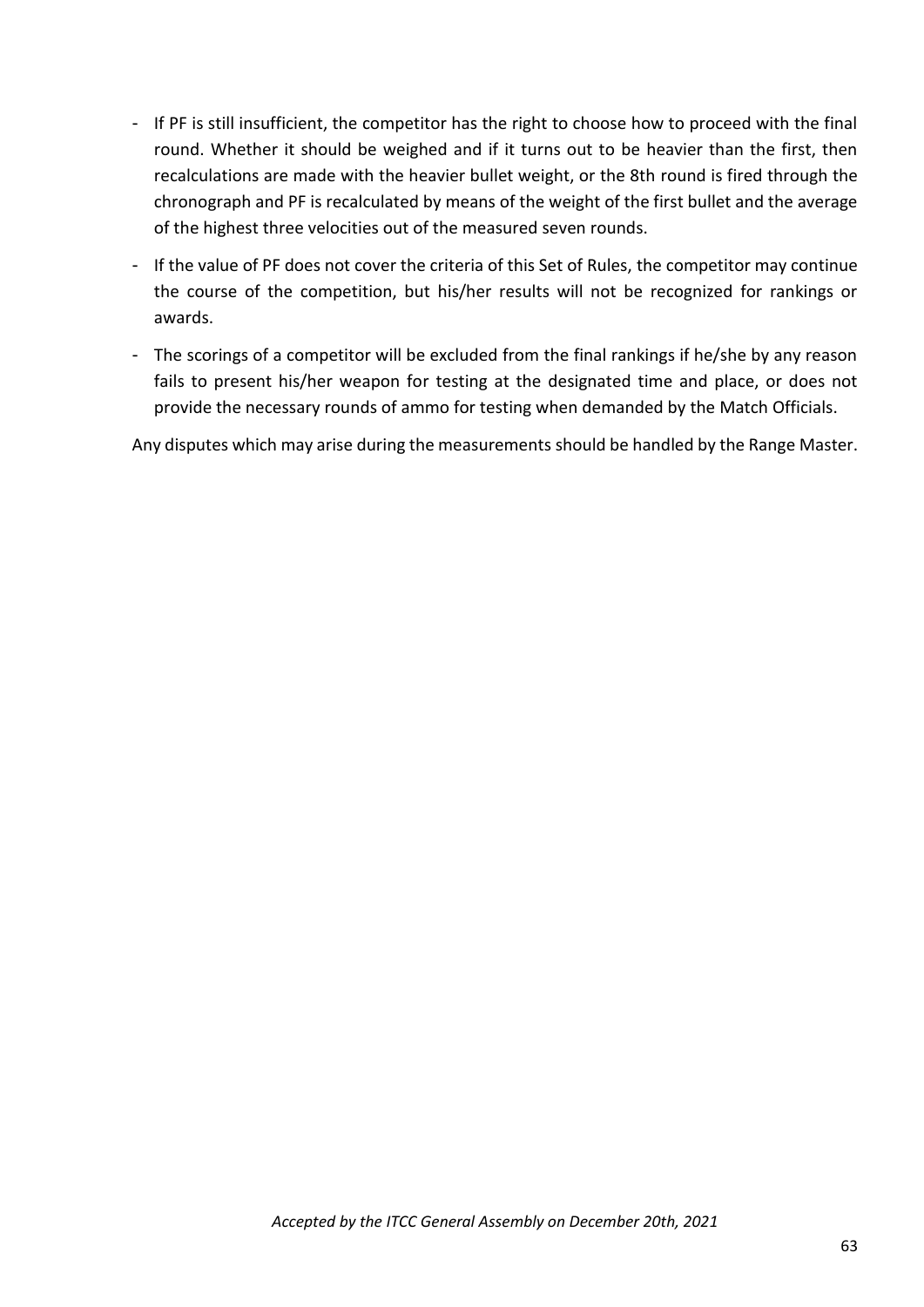- If PF is still insufficient, the competitor has the right to choose how to proceed with the final round. Whether it should be weighed and if it turns out to be heavier than the first, then recalculations are made with the heavier bullet weight, or the 8th round is fired through the chronograph and PF is recalculated by means of the weight of the first bullet and the average of the highest three velocities out of the measured seven rounds.
- If the value of PF does not cover the criteria of this Set of Rules, the competitor may continue the course of the competition, but his/her results will not be recognized for rankings or awards.
- The scorings of a competitor will be excluded from the final rankings if he/she by any reason fails to present his/her weapon for testing at the designated time and place, or does not provide the necessary rounds of ammo for testing when demanded by the Match Officials.

Any disputes which may arise during the measurements should be handled by the Range Master.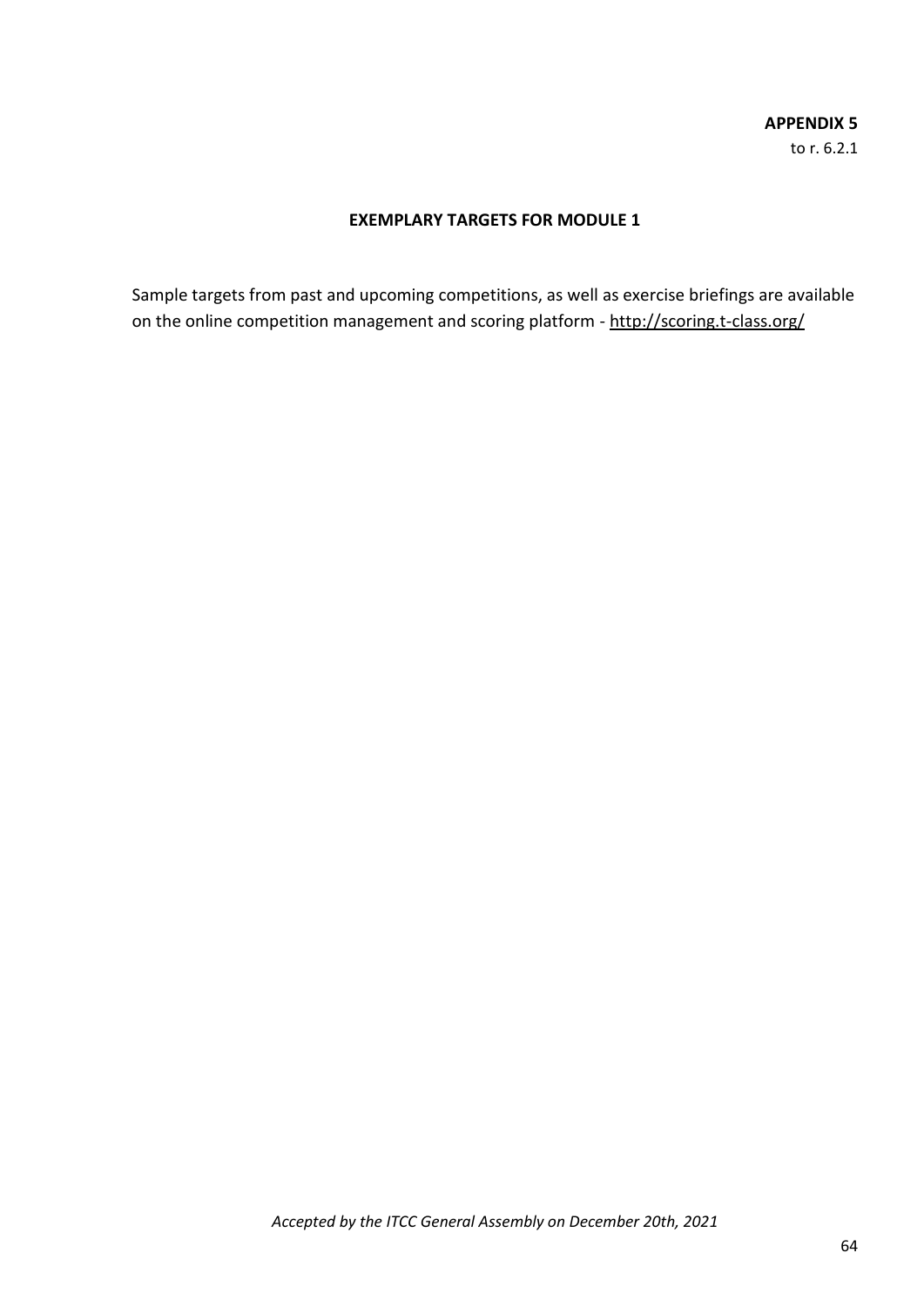# **APPENDIX 5** to r. 6.2.1

# **EXEMPLARY TARGETS FOR MODULE 1**

Sample targets from past and upcoming competitions, as well as exercise briefings are available on the online competition management and scoring platform - http://scoring.t-class.org/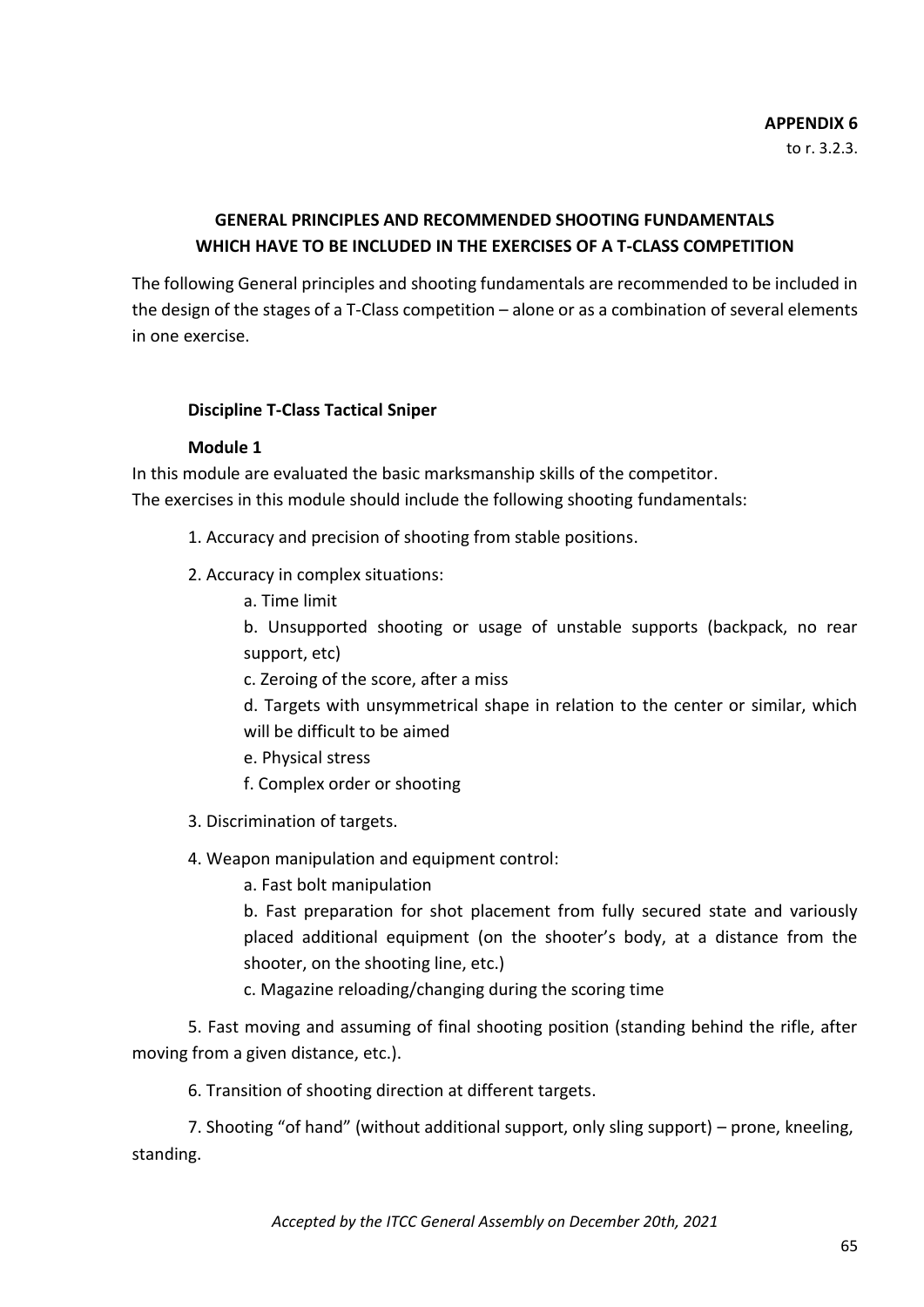#### **APPENDIX 6** to r. 3.2.3.

# **GENERAL PRINCIPLES AND RECOMMENDED SHOOTING FUNDAMENTALS WHICH HAVE TO BE INCLUDED IN THE EXERCISES OF A T-CLASS COMPETITION**

The following General principles and shooting fundamentals are recommended to be included in the design of the stages of a T-Class competition – alone or as a combination of several elements in one exercise.

#### **Discipline T-Class Tactical Sniper**

#### **Module 1**

In this module are evaluated the basic marksmanship skills of the competitor. The exercises in this module should include the following shooting fundamentals:

- 1. Accuracy and precision of shooting from stable positions.
- 2. Accuracy in complex situations:
	- a. Time limit

b. Unsupported shooting or usage of unstable supports (backpack, no rear support, etc)

c. Zeroing of the score, after a miss

d. Targets with unsymmetrical shape in relation to the center or similar, which will be difficult to be aimed

- e. Physical stress
- f. Complex order or shooting
- 3. Discrimination of targets.
- 4. Weapon manipulation and equipment control:
	- a. Fast bolt manipulation

b. Fast preparation for shot placement from fully secured state and variously placed additional equipment (on the shooter's body, at a distance from the shooter, on the shooting line, etc.)

c. Magazine reloading/changing during the scoring time

5. Fast moving and assuming of final shooting position (standing behind the rifle, after moving from a given distance, etc.).

6. Transition of shooting direction at different targets.

7. Shooting "of hand" (without additional support, only sling support) – prone, kneeling, standing.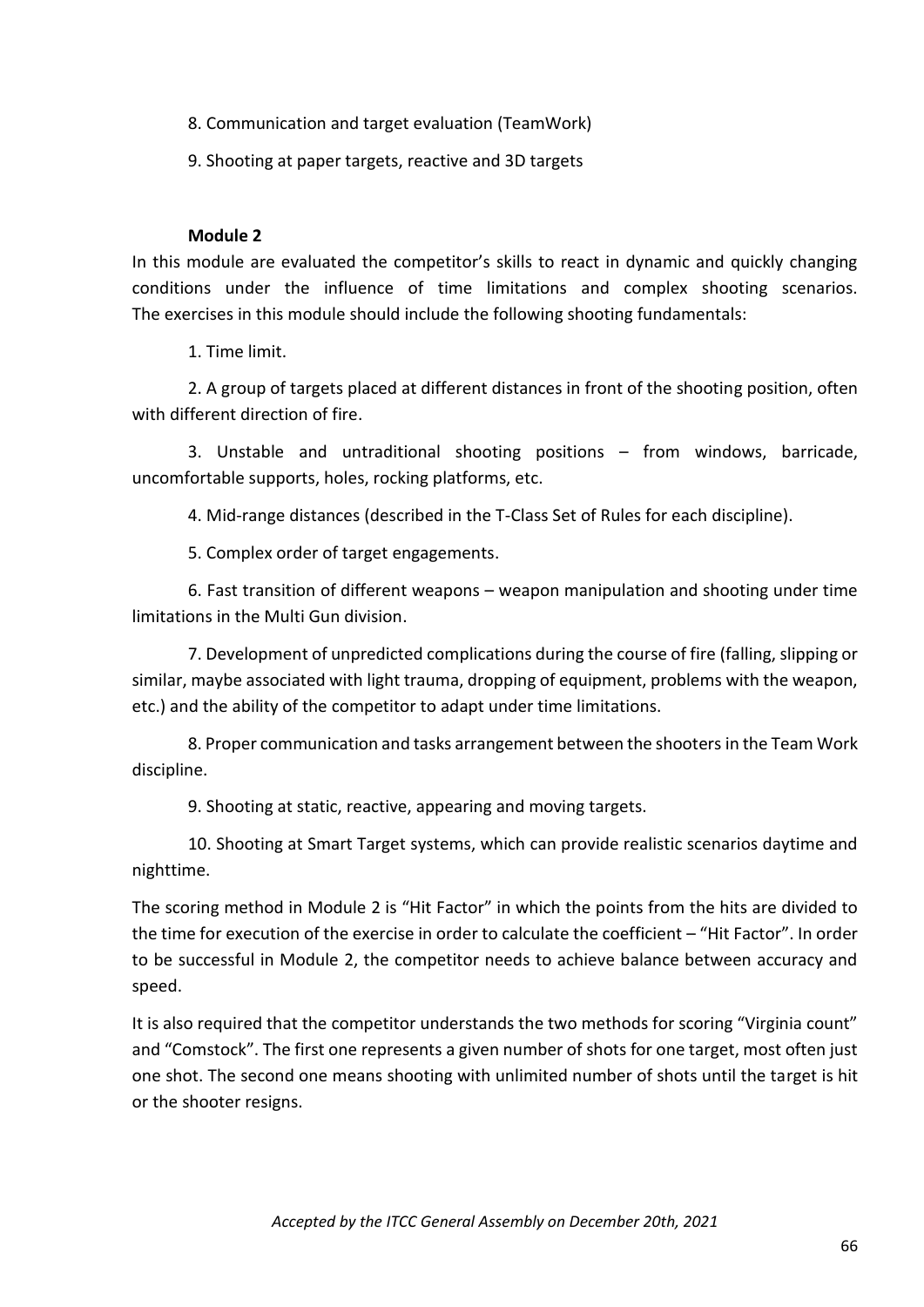- 8. Communication and target evaluation (TeamWork)
- 9. Shooting at paper targets, reactive and 3D targets

#### **Module 2**

In this module are evaluated the competitor's skills to react in dynamic and quickly changing conditions under the influence of time limitations and complex shooting scenarios. The exercises in this module should include the following shooting fundamentals:

1. Time limit.

2. A group of targets placed at different distances in front of the shooting position, often with different direction of fire.

3. Unstable and untraditional shooting positions – from windows, barricade, uncomfortable supports, holes, rocking platforms, etc.

4. Mid-range distances (described in the T-Class Set of Rules for each discipline).

5. Complex order of target engagements.

6. Fast transition of different weapons – weapon manipulation and shooting under time limitations in the Multi Gun division.

7. Development of unpredicted complications during the course of fire (falling, slipping or similar, maybe associated with light trauma, dropping of equipment, problems with the weapon, etc.) and the ability of the competitor to adapt under time limitations.

8. Proper communication and tasks arrangement between the shooters in the Team Work discipline.

9. Shooting at static, reactive, appearing and moving targets.

10. Shooting at Smart Target systems, which can provide realistic scenarios daytime and nighttime.

The scoring method in Module 2 is "Hit Factor" in which the points from the hits are divided to the time for execution of the exercise in order to calculate the coefficient – "Hit Factor". In order to be successful in Module 2, the competitor needs to achieve balance between accuracy and speed.

It is also required that the competitor understands the two methods for scoring "Virginia count" and "Comstock". The first one represents a given number of shots for one target, most often just one shot. The second one means shooting with unlimited number of shots until the target is hit or the shooter resigns.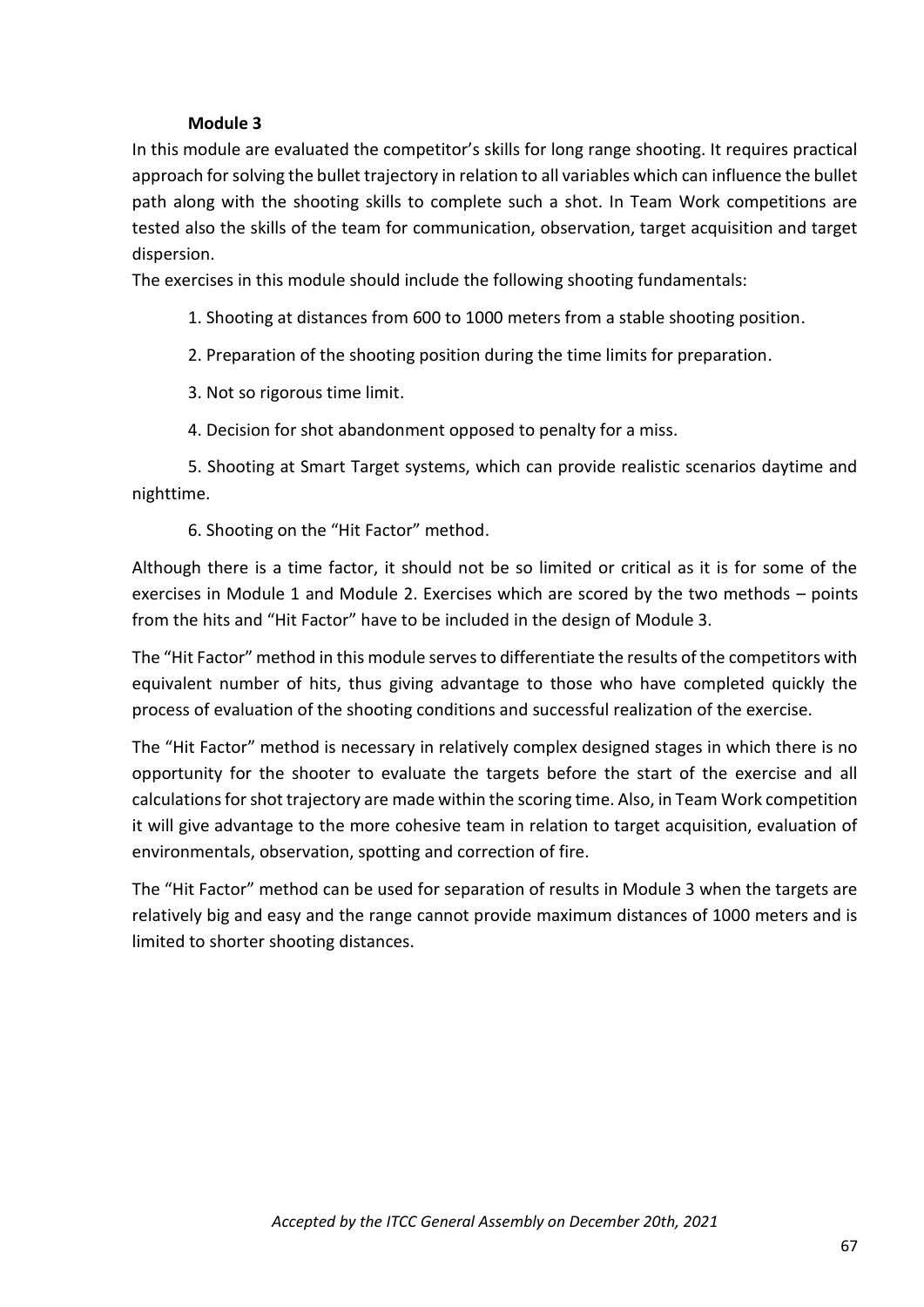#### **Module 3**

In this module are evaluated the competitor's skills for long range shooting. It requires practical approach for solving the bullet trajectory in relation to all variables which can influence the bullet path along with the shooting skills to complete such a shot. In Team Work competitions are tested also the skills of the team for communication, observation, target acquisition and target dispersion.

The exercises in this module should include the following shooting fundamentals:

- 1. Shooting at distances from 600 to 1000 meters from a stable shooting position.
- 2. Preparation of the shooting position during the time limits for preparation.
- 3. Not so rigorous time limit.
- 4. Decision for shot abandonment opposed to penalty for a miss.

5. Shooting at Smart Target systems, which can provide realistic scenarios daytime and nighttime.

6. Shooting on the "Hit Factor" method.

Although there is a time factor, it should not be so limited or critical as it is for some of the exercises in Module 1 and Module 2. Exercises which are scored by the two methods – points from the hits and "Hit Factor" have to be included in the design of Module 3.

The "Hit Factor" method in this module serves to differentiate the results of the competitors with equivalent number of hits, thus giving advantage to those who have completed quickly the process of evaluation of the shooting conditions and successful realization of the exercise.

The "Hit Factor" method is necessary in relatively complex designed stages in which there is no opportunity for the shooter to evaluate the targets before the start of the exercise and all calculations for shot trajectory are made within the scoring time. Also, in Team Work competition it will give advantage to the more cohesive team in relation to target acquisition, evaluation of environmentals, observation, spotting and correction of fire.

The "Hit Factor" method can be used for separation of results in Module 3 when the targets are relatively big and easy and the range cannot provide maximum distances of 1000 meters and is limited to shorter shooting distances.